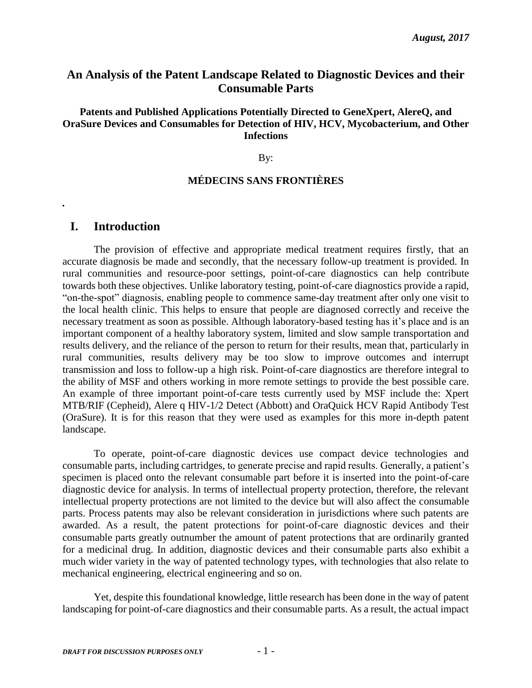## **An Analysis of the Patent Landscape Related to Diagnostic Devices and their Consumable Parts**

## **Patents and Published Applications Potentially Directed to GeneXpert, AlereQ, and OraSure Devices and Consumables for Detection of HIV, HCV, Mycobacterium, and Other Infections**

### By:

## **MÉDECINS SANS FRONTIÈRES**

## **I. Introduction**

*.*

The provision of effective and appropriate medical treatment requires firstly, that an accurate diagnosis be made and secondly, that the necessary follow-up treatment is provided. In rural communities and resource-poor settings, point-of-care diagnostics can help contribute towards both these objectives. Unlike laboratory testing, point-of-care diagnostics provide a rapid, "on-the-spot" diagnosis, enabling people to commence same-day treatment after only one visit to the local health clinic. This helps to ensure that people are diagnosed correctly and receive the necessary treatment as soon as possible. Although laboratory-based testing has it's place and is an important component of a healthy laboratory system, limited and slow sample transportation and results delivery, and the reliance of the person to return for their results, mean that, particularly in rural communities, results delivery may be too slow to improve outcomes and interrupt transmission and loss to follow-up a high risk. Point-of-care diagnostics are therefore integral to the ability of MSF and others working in more remote settings to provide the best possible care. An example of three important point-of-care tests currently used by MSF include the: Xpert MTB/RIF (Cepheid), Alere q HIV-1/2 Detect (Abbott) and OraQuick HCV Rapid Antibody Test (OraSure). It is for this reason that they were used as examples for this more in-depth patent landscape.

To operate, point-of-care diagnostic devices use compact device technologies and consumable parts, including cartridges, to generate precise and rapid results. Generally, a patient's specimen is placed onto the relevant consumable part before it is inserted into the point-of-care diagnostic device for analysis. In terms of intellectual property protection, therefore, the relevant intellectual property protections are not limited to the device but will also affect the consumable parts. Process patents may also be relevant consideration in jurisdictions where such patents are awarded. As a result, the patent protections for point-of-care diagnostic devices and their consumable parts greatly outnumber the amount of patent protections that are ordinarily granted for a medicinal drug. In addition, diagnostic devices and their consumable parts also exhibit a much wider variety in the way of patented technology types, with technologies that also relate to mechanical engineering, electrical engineering and so on.

Yet, despite this foundational knowledge, little research has been done in the way of patent landscaping for point-of-care diagnostics and their consumable parts. As a result, the actual impact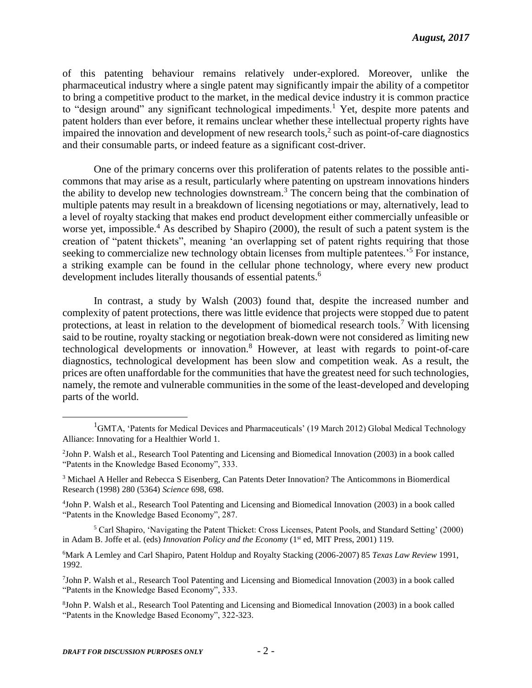of this patenting behaviour remains relatively under-explored. Moreover, unlike the pharmaceutical industry where a single patent may significantly impair the ability of a competitor to bring a competitive product to the market, in the medical device industry it is common practice to "design around" any significant technological impediments.<sup>1</sup> Yet, despite more patents and patent holders than ever before, it remains unclear whether these intellectual property rights have impaired the innovation and development of new research tools, $<sup>2</sup>$  such as point-of-care diagnostics</sup> and their consumable parts, or indeed feature as a significant cost-driver.

One of the primary concerns over this proliferation of patents relates to the possible anticommons that may arise as a result, particularly where patenting on upstream innovations hinders the ability to develop new technologies downstream.<sup>3</sup> The concern being that the combination of multiple patents may result in a breakdown of licensing negotiations or may, alternatively, lead to a level of royalty stacking that makes end product development either commercially unfeasible or worse yet, impossible.<sup>4</sup> As described by Shapiro (2000), the result of such a patent system is the creation of "patent thickets", meaning 'an overlapping set of patent rights requiring that those seeking to commercialize new technology obtain licenses from multiple patentees.<sup>5</sup> For instance, a striking example can be found in the cellular phone technology, where every new product development includes literally thousands of essential patents.<sup>6</sup>

In contrast, a study by Walsh (2003) found that, despite the increased number and complexity of patent protections, there was little evidence that projects were stopped due to patent protections, at least in relation to the development of biomedical research tools.<sup>7</sup> With licensing said to be routine, royalty stacking or negotiation break-down were not considered as limiting new technological developments or innovation.<sup>8</sup> However, at least with regards to point-of-care diagnostics, technological development has been slow and competition weak. As a result, the prices are often unaffordable for the communities that have the greatest need for such technologies, namely, the remote and vulnerable communities in the some of the least-developed and developing parts of the world.

<sup>5</sup> Carl Shapiro, 'Navigating the Patent Thicket: Cross Licenses, Patent Pools, and Standard Setting' (2000) in Adam B. Joffe et al. (eds) *Innovation Policy and the Economy* (1<sup>st</sup> ed, MIT Press, 2001) 119.

 $\overline{a}$ 

<sup>&</sup>lt;sup>1</sup>GMTA, 'Patents for Medical Devices and Pharmaceuticals' (19 March 2012) Global Medical Technology Alliance: Innovating for a Healthier World 1.

<sup>2</sup> John P. Walsh et al., Research Tool Patenting and Licensing and Biomedical Innovation (2003) in a book called "Patents in the Knowledge Based Economy", 333.

<sup>3</sup> Michael A Heller and Rebecca S Eisenberg, Can Patents Deter Innovation? The Anticommons in Biomerdical Research (1998) 280 (5364) *Science* 698, 698.

<sup>4</sup> John P. Walsh et al., Research Tool Patenting and Licensing and Biomedical Innovation (2003) in a book called "Patents in the Knowledge Based Economy", 287.

<sup>6</sup>Mark A Lemley and Carl Shapiro, Patent Holdup and Royalty Stacking (2006-2007) 85 *Texas Law Review* 1991, 1992.

<sup>7</sup> John P. Walsh et al., Research Tool Patenting and Licensing and Biomedical Innovation (2003) in a book called "Patents in the Knowledge Based Economy", 333.

<sup>8</sup> John P. Walsh et al., Research Tool Patenting and Licensing and Biomedical Innovation (2003) in a book called "Patents in the Knowledge Based Economy", 322-323.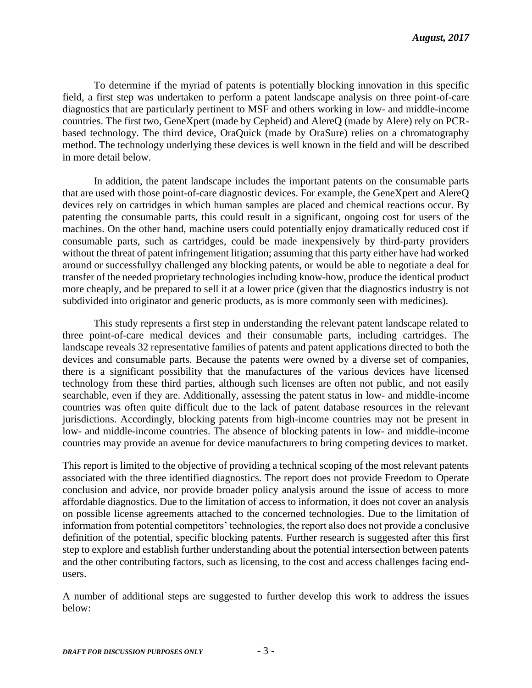To determine if the myriad of patents is potentially blocking innovation in this specific field, a first step was undertaken to perform a patent landscape analysis on three point-of-care diagnostics that are particularly pertinent to MSF and others working in low- and middle-income countries. The first two, GeneXpert (made by Cepheid) and AlereQ (made by Alere) rely on PCRbased technology. The third device, OraQuick (made by OraSure) relies on a chromatography method. The technology underlying these devices is well known in the field and will be described in more detail below.

In addition, the patent landscape includes the important patents on the consumable parts that are used with those point-of-care diagnostic devices. For example, the GeneXpert and AlereQ devices rely on cartridges in which human samples are placed and chemical reactions occur. By patenting the consumable parts, this could result in a significant, ongoing cost for users of the machines. On the other hand, machine users could potentially enjoy dramatically reduced cost if consumable parts, such as cartridges, could be made inexpensively by third-party providers without the threat of patent infringement litigation; assuming that this party either have had worked around or successfullyy challenged any blocking patents, or would be able to negotiate a deal for transfer of the needed proprietary technologies including know-how, produce the identical product more cheaply, and be prepared to sell it at a lower price (given that the diagnostics industry is not subdivided into originator and generic products, as is more commonly seen with medicines).

This study represents a first step in understanding the relevant patent landscape related to three point-of-care medical devices and their consumable parts, including cartridges. The landscape reveals 32 representative families of patents and patent applications directed to both the devices and consumable parts. Because the patents were owned by a diverse set of companies, there is a significant possibility that the manufactures of the various devices have licensed technology from these third parties, although such licenses are often not public, and not easily searchable, even if they are. Additionally, assessing the patent status in low- and middle-income countries was often quite difficult due to the lack of patent database resources in the relevant jurisdictions. Accordingly, blocking patents from high-income countries may not be present in low- and middle-income countries. The absence of blocking patents in low- and middle-income countries may provide an avenue for device manufacturers to bring competing devices to market.

This report is limited to the objective of providing a technical scoping of the most relevant patents associated with the three identified diagnostics. The report does not provide Freedom to Operate conclusion and advice, nor provide broader policy analysis around the issue of access to more affordable diagnostics. Due to the limitation of access to information, it does not cover an analysis on possible license agreements attached to the concerned technologies. Due to the limitation of information from potential competitors' technologies, the report also does not provide a conclusive definition of the potential, specific blocking patents. Further research is suggested after this first step to explore and establish further understanding about the potential intersection between patents and the other contributing factors, such as licensing, to the cost and access challenges facing endusers.

A number of additional steps are suggested to further develop this work to address the issues below: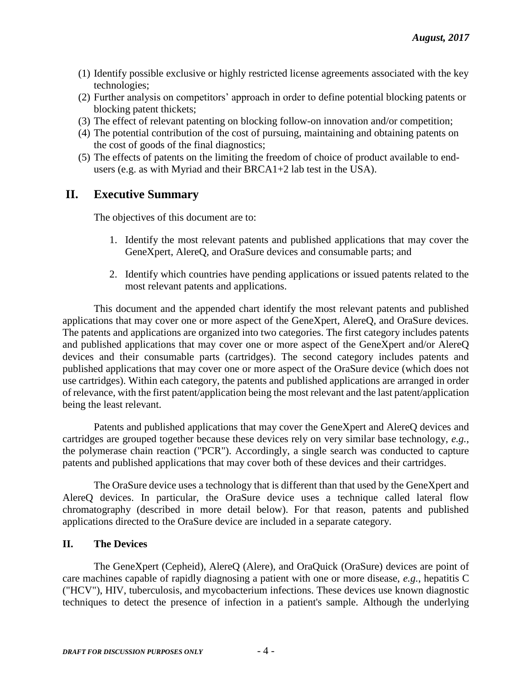- (1) Identify possible exclusive or highly restricted license agreements associated with the key technologies;
- (2) Further analysis on competitors' approach in order to define potential blocking patents or blocking patent thickets;
- (3) The effect of relevant patenting on blocking follow-on innovation and/or competition;
- (4) The potential contribution of the cost of pursuing, maintaining and obtaining patents on the cost of goods of the final diagnostics;
- (5) The effects of patents on the limiting the freedom of choice of product available to endusers (e.g. as with Myriad and their BRCA1+2 lab test in the USA).

## **II. Executive Summary**

The objectives of this document are to:

- 1. Identify the most relevant patents and published applications that may cover the GeneXpert, AlereQ, and OraSure devices and consumable parts; and
- 2. Identify which countries have pending applications or issued patents related to the most relevant patents and applications.

This document and the appended chart identify the most relevant patents and published applications that may cover one or more aspect of the GeneXpert, AlereQ, and OraSure devices. The patents and applications are organized into two categories. The first category includes patents and published applications that may cover one or more aspect of the GeneXpert and/or AlereQ devices and their consumable parts (cartridges). The second category includes patents and published applications that may cover one or more aspect of the OraSure device (which does not use cartridges). Within each category, the patents and published applications are arranged in order of relevance, with the first patent/application being the most relevant and the last patent/application being the least relevant.

Patents and published applications that may cover the GeneXpert and AlereQ devices and cartridges are grouped together because these devices rely on very similar base technology, *e.g.,* the polymerase chain reaction ("PCR"). Accordingly, a single search was conducted to capture patents and published applications that may cover both of these devices and their cartridges.

The OraSure device uses a technology that is different than that used by the GeneXpert and AlereQ devices. In particular, the OraSure device uses a technique called lateral flow chromatography (described in more detail below). For that reason, patents and published applications directed to the OraSure device are included in a separate category.

## **II. The Devices**

The GeneXpert (Cepheid), AlereQ (Alere), and OraQuick (OraSure) devices are point of care machines capable of rapidly diagnosing a patient with one or more disease, *e.g.*, hepatitis C ("HCV"), HIV, tuberculosis, and mycobacterium infections. These devices use known diagnostic techniques to detect the presence of infection in a patient's sample. Although the underlying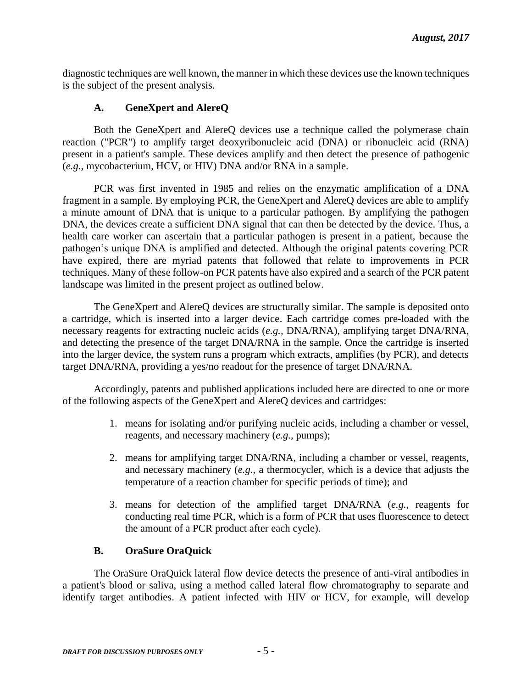diagnostic techniques are well known, the manner in which these devices use the known techniques is the subject of the present analysis.

## **A. GeneXpert and AlereQ**

Both the GeneXpert and AlereQ devices use a technique called the polymerase chain reaction ("PCR") to amplify target deoxyribonucleic acid (DNA) or ribonucleic acid (RNA) present in a patient's sample. These devices amplify and then detect the presence of pathogenic (*e.g.,* mycobacterium, HCV, or HIV) DNA and/or RNA in a sample.

PCR was first invented in 1985 and relies on the enzymatic amplification of a DNA fragment in a sample. By employing PCR, the GeneXpert and AlereQ devices are able to amplify a minute amount of DNA that is unique to a particular pathogen. By amplifying the pathogen DNA, the devices create a sufficient DNA signal that can then be detected by the device. Thus, a health care worker can ascertain that a particular pathogen is present in a patient, because the pathogen's unique DNA is amplified and detected. Although the original patents covering PCR have expired, there are myriad patents that followed that relate to improvements in PCR techniques. Many of these follow-on PCR patents have also expired and a search of the PCR patent landscape was limited in the present project as outlined below.

The GeneXpert and AlereQ devices are structurally similar. The sample is deposited onto a cartridge, which is inserted into a larger device. Each cartridge comes pre-loaded with the necessary reagents for extracting nucleic acids (*e.g.,* DNA/RNA), amplifying target DNA/RNA, and detecting the presence of the target DNA/RNA in the sample. Once the cartridge is inserted into the larger device, the system runs a program which extracts, amplifies (by PCR), and detects target DNA/RNA, providing a yes/no readout for the presence of target DNA/RNA.

Accordingly, patents and published applications included here are directed to one or more of the following aspects of the GeneXpert and AlereQ devices and cartridges:

- 1. means for isolating and/or purifying nucleic acids, including a chamber or vessel, reagents, and necessary machinery (*e.g.,* pumps);
- 2. means for amplifying target DNA/RNA, including a chamber or vessel, reagents, and necessary machinery (*e.g.,* a thermocycler, which is a device that adjusts the temperature of a reaction chamber for specific periods of time); and
- 3. means for detection of the amplified target DNA/RNA (*e.g.,* reagents for conducting real time PCR, which is a form of PCR that uses fluorescence to detect the amount of a PCR product after each cycle).

## **B. OraSure OraQuick**

The OraSure OraQuick lateral flow device detects the presence of anti-viral antibodies in a patient's blood or saliva, using a method called lateral flow chromatography to separate and identify target antibodies. A patient infected with HIV or HCV, for example, will develop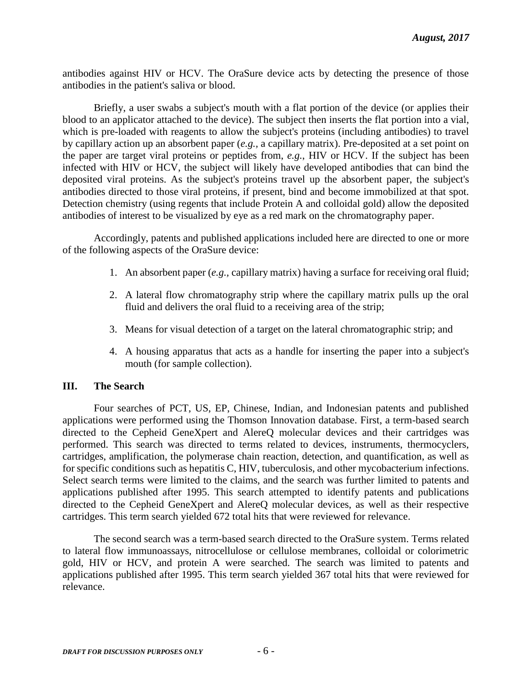antibodies against HIV or HCV. The OraSure device acts by detecting the presence of those antibodies in the patient's saliva or blood.

Briefly, a user swabs a subject's mouth with a flat portion of the device (or applies their blood to an applicator attached to the device). The subject then inserts the flat portion into a vial, which is pre-loaded with reagents to allow the subject's proteins (including antibodies) to travel by capillary action up an absorbent paper (*e.g.,* a capillary matrix). Pre-deposited at a set point on the paper are target viral proteins or peptides from, *e.g.*, HIV or HCV. If the subject has been infected with HIV or HCV, the subject will likely have developed antibodies that can bind the deposited viral proteins. As the subject's proteins travel up the absorbent paper, the subject's antibodies directed to those viral proteins, if present, bind and become immobilized at that spot. Detection chemistry (using regents that include Protein A and colloidal gold) allow the deposited antibodies of interest to be visualized by eye as a red mark on the chromatography paper.

Accordingly, patents and published applications included here are directed to one or more of the following aspects of the OraSure device:

- 1. An absorbent paper (*e.g.,* capillary matrix) having a surface for receiving oral fluid;
- 2. A lateral flow chromatography strip where the capillary matrix pulls up the oral fluid and delivers the oral fluid to a receiving area of the strip;
- 3. Means for visual detection of a target on the lateral chromatographic strip; and
- 4. A housing apparatus that acts as a handle for inserting the paper into a subject's mouth (for sample collection).

## **III. The Search**

Four searches of PCT, US, EP, Chinese, Indian, and Indonesian patents and published applications were performed using the Thomson Innovation database. First, a term-based search directed to the Cepheid GeneXpert and AlereQ molecular devices and their cartridges was performed. This search was directed to terms related to devices, instruments, thermocyclers, cartridges, amplification, the polymerase chain reaction, detection, and quantification, as well as for specific conditions such as hepatitis C, HIV, tuberculosis, and other mycobacterium infections. Select search terms were limited to the claims, and the search was further limited to patents and applications published after 1995. This search attempted to identify patents and publications directed to the Cepheid GeneXpert and AlereQ molecular devices, as well as their respective cartridges. This term search yielded 672 total hits that were reviewed for relevance.

The second search was a term-based search directed to the OraSure system. Terms related to lateral flow immunoassays, nitrocellulose or cellulose membranes, colloidal or colorimetric gold, HIV or HCV, and protein A were searched. The search was limited to patents and applications published after 1995. This term search yielded 367 total hits that were reviewed for relevance.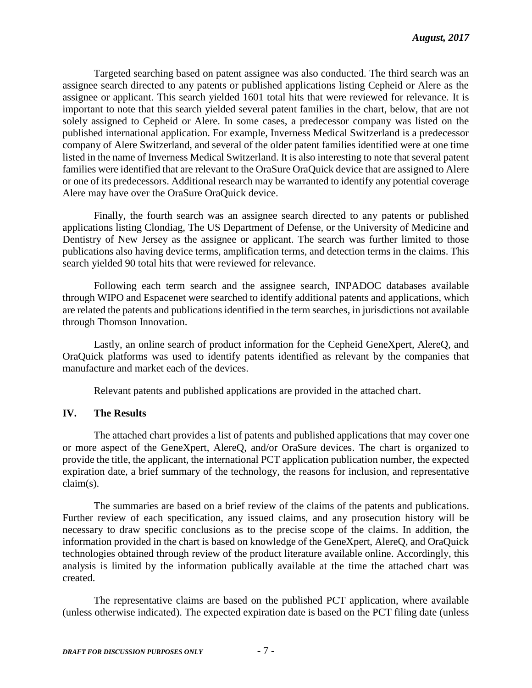Targeted searching based on patent assignee was also conducted. The third search was an assignee search directed to any patents or published applications listing Cepheid or Alere as the assignee or applicant. This search yielded 1601 total hits that were reviewed for relevance. It is important to note that this search yielded several patent families in the chart, below, that are not solely assigned to Cepheid or Alere. In some cases, a predecessor company was listed on the published international application. For example, Inverness Medical Switzerland is a predecessor company of Alere Switzerland, and several of the older patent families identified were at one time listed in the name of Inverness Medical Switzerland. It is also interesting to note that several patent families were identified that are relevant to the OraSure OraQuick device that are assigned to Alere or one of its predecessors. Additional research may be warranted to identify any potential coverage Alere may have over the OraSure OraQuick device.

Finally, the fourth search was an assignee search directed to any patents or published applications listing Clondiag, The US Department of Defense, or the University of Medicine and Dentistry of New Jersey as the assignee or applicant. The search was further limited to those publications also having device terms, amplification terms, and detection terms in the claims. This search yielded 90 total hits that were reviewed for relevance.

Following each term search and the assignee search, INPADOC databases available through WIPO and Espacenet were searched to identify additional patents and applications, which are related the patents and publications identified in the term searches, in jurisdictions not available through Thomson Innovation.

Lastly, an online search of product information for the Cepheid GeneXpert, AlereQ, and OraQuick platforms was used to identify patents identified as relevant by the companies that manufacture and market each of the devices.

Relevant patents and published applications are provided in the attached chart.

## **IV. The Results**

The attached chart provides a list of patents and published applications that may cover one or more aspect of the GeneXpert, AlereQ, and/or OraSure devices. The chart is organized to provide the title, the applicant, the international PCT application publication number, the expected expiration date, a brief summary of the technology, the reasons for inclusion, and representative claim(s).

The summaries are based on a brief review of the claims of the patents and publications. Further review of each specification, any issued claims, and any prosecution history will be necessary to draw specific conclusions as to the precise scope of the claims. In addition, the information provided in the chart is based on knowledge of the GeneXpert, AlereQ, and OraQuick technologies obtained through review of the product literature available online. Accordingly, this analysis is limited by the information publically available at the time the attached chart was created.

The representative claims are based on the published PCT application, where available (unless otherwise indicated). The expected expiration date is based on the PCT filing date (unless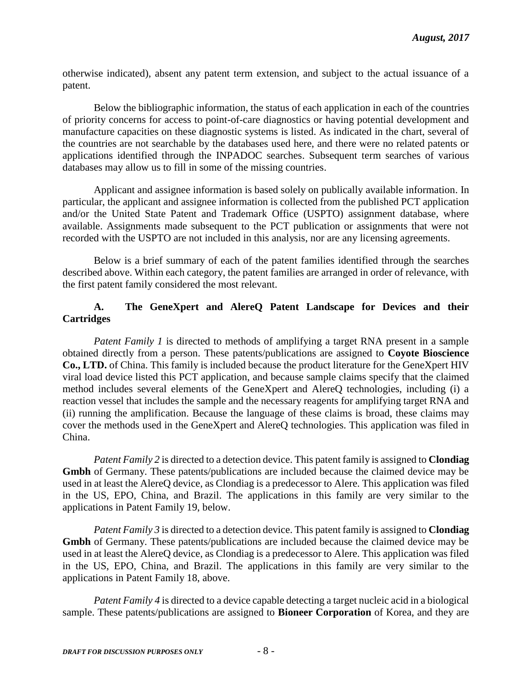otherwise indicated), absent any patent term extension, and subject to the actual issuance of a patent.

Below the bibliographic information, the status of each application in each of the countries of priority concerns for access to point-of-care diagnostics or having potential development and manufacture capacities on these diagnostic systems is listed. As indicated in the chart, several of the countries are not searchable by the databases used here, and there were no related patents or applications identified through the INPADOC searches. Subsequent term searches of various databases may allow us to fill in some of the missing countries.

Applicant and assignee information is based solely on publically available information. In particular, the applicant and assignee information is collected from the published PCT application and/or the United State Patent and Trademark Office (USPTO) assignment database, where available. Assignments made subsequent to the PCT publication or assignments that were not recorded with the USPTO are not included in this analysis, nor are any licensing agreements.

Below is a brief summary of each of the patent families identified through the searches described above. Within each category, the patent families are arranged in order of relevance, with the first patent family considered the most relevant.

## **A. The GeneXpert and AlereQ Patent Landscape for Devices and their Cartridges**

*Patent Family 1* is directed to methods of amplifying a target RNA present in a sample obtained directly from a person. These patents/publications are assigned to **Coyote Bioscience Co., LTD.** of China. This family is included because the product literature for the GeneXpert HIV viral load device listed this PCT application, and because sample claims specify that the claimed method includes several elements of the GeneXpert and AlereQ technologies, including (i) a reaction vessel that includes the sample and the necessary reagents for amplifying target RNA and (ii) running the amplification. Because the language of these claims is broad, these claims may cover the methods used in the GeneXpert and AlereQ technologies. This application was filed in China.

*Patent Family 2* is directed to a detection device. This patent family is assigned to **Clondiag Gmbh** of Germany. These patents/publications are included because the claimed device may be used in at least the AlereQ device, as Clondiag is a predecessor to Alere. This application was filed in the US, EPO, China, and Brazil. The applications in this family are very similar to the applications in Patent Family 19, below.

*Patent Family 3* is directed to a detection device. This patent family is assigned to **Clondiag Gmbh** of Germany. These patents/publications are included because the claimed device may be used in at least the AlereQ device, as Clondiag is a predecessor to Alere. This application was filed in the US, EPO, China, and Brazil. The applications in this family are very similar to the applications in Patent Family 18, above.

*Patent Family 4* is directed to a device capable detecting a target nucleic acid in a biological sample. These patents/publications are assigned to **Bioneer Corporation** of Korea, and they are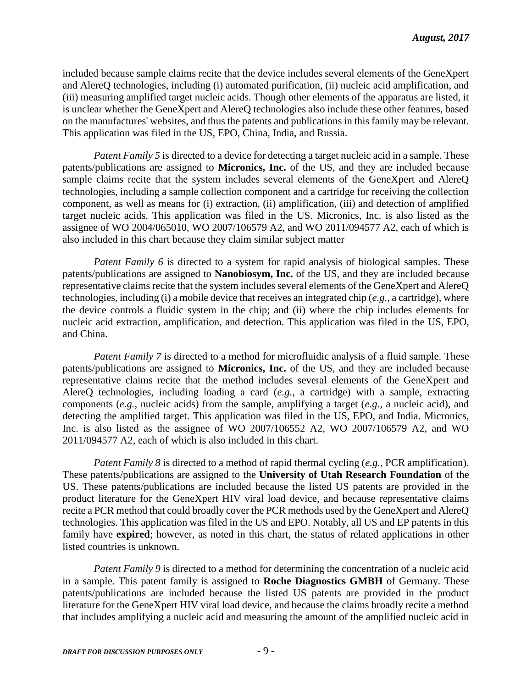included because sample claims recite that the device includes several elements of the GeneXpert and AlereQ technologies, including (i) automated purification, (ii) nucleic acid amplification, and (iii) measuring amplified target nucleic acids. Though other elements of the apparatus are listed, it is unclear whether the GeneXpert and AlereQ technologies also include these other features, based on the manufactures' websites, and thus the patents and publications in this family may be relevant. This application was filed in the US, EPO, China, India, and Russia.

*Patent Family 5* is directed to a device for detecting a target nucleic acid in a sample. These patents/publications are assigned to **Micronics, Inc.** of the US, and they are included because sample claims recite that the system includes several elements of the GeneXpert and AlereQ technologies, including a sample collection component and a cartridge for receiving the collection component, as well as means for (i) extraction, (ii) amplification, (iii) and detection of amplified target nucleic acids. This application was filed in the US. Micronics, Inc. is also listed as the assignee of WO 2004/065010, WO 2007/106579 A2, and WO 2011/094577 A2, each of which is also included in this chart because they claim similar subject matter

*Patent Family 6* is directed to a system for rapid analysis of biological samples. These patents/publications are assigned to **Nanobiosym, Inc.** of the US, and they are included because representative claims recite that the system includes several elements of the GeneXpert and AlereQ technologies, including (i) a mobile device that receives an integrated chip (*e.g.,* a cartridge), where the device controls a fluidic system in the chip; and (ii) where the chip includes elements for nucleic acid extraction, amplification, and detection. This application was filed in the US, EPO, and China.

*Patent Family 7* is directed to a method for microfluidic analysis of a fluid sample. These patents/publications are assigned to **Micronics, Inc.** of the US, and they are included because representative claims recite that the method includes several elements of the GeneXpert and AlereQ technologies, including loading a card (*e.g.*, a cartridge) with a sample, extracting components (*e.g.*, nucleic acids) from the sample, amplifying a target (*e.g.*, a nucleic acid), and detecting the amplified target. This application was filed in the US, EPO, and India. Micronics, Inc. is also listed as the assignee of WO 2007/106552 A2, WO 2007/106579 A2, and WO 2011/094577 A2, each of which is also included in this chart.

*Patent Family 8* is directed to a method of rapid thermal cycling (*e.g.*, PCR amplification). These patents/publications are assigned to the **University of Utah Research Foundation** of the US. These patents/publications are included because the listed US patents are provided in the product literature for the GeneXpert HIV viral load device, and because representative claims recite a PCR method that could broadly cover the PCR methods used by the GeneXpert and AlereQ technologies. This application was filed in the US and EPO. Notably, all US and EP patents in this family have **expired**; however, as noted in this chart, the status of related applications in other listed countries is unknown.

*Patent Family 9* is directed to a method for determining the concentration of a nucleic acid in a sample. This patent family is assigned to **Roche Diagnostics GMBH** of Germany. These patents/publications are included because the listed US patents are provided in the product literature for the GeneXpert HIV viral load device, and because the claims broadly recite a method that includes amplifying a nucleic acid and measuring the amount of the amplified nucleic acid in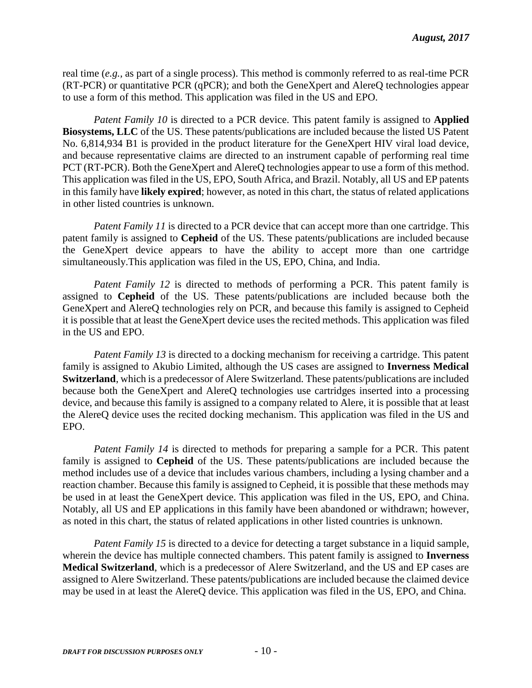real time (*e.g.,* as part of a single process). This method is commonly referred to as real-time PCR (RT-PCR) or quantitative PCR (qPCR); and both the GeneXpert and AlereQ technologies appear to use a form of this method. This application was filed in the US and EPO.

*Patent Family 10* is directed to a PCR device. This patent family is assigned to **Applied Biosystems, LLC** of the US. These patents/publications are included because the listed US Patent No. 6,814,934 B1 is provided in the product literature for the GeneXpert HIV viral load device, and because representative claims are directed to an instrument capable of performing real time PCT (RT-PCR). Both the GeneXpert and AlereQ technologies appear to use a form of this method. This application was filed in the US, EPO, South Africa, and Brazil. Notably, all US and EP patents in this family have **likely expired**; however, as noted in this chart, the status of related applications in other listed countries is unknown.

*Patent Family 11* is directed to a PCR device that can accept more than one cartridge. This patent family is assigned to **Cepheid** of the US. These patents/publications are included because the GeneXpert device appears to have the ability to accept more than one cartridge simultaneously.This application was filed in the US, EPO, China, and India.

*Patent Family 12* is directed to methods of performing a PCR. This patent family is assigned to **Cepheid** of the US. These patents/publications are included because both the GeneXpert and AlereQ technologies rely on PCR, and because this family is assigned to Cepheid it is possible that at least the GeneXpert device uses the recited methods. This application was filed in the US and EPO.

*Patent Family 13* is directed to a docking mechanism for receiving a cartridge. This patent family is assigned to Akubio Limited, although the US cases are assigned to **Inverness Medical Switzerland**, which is a predecessor of Alere Switzerland. These patents/publications are included because both the GeneXpert and AlereQ technologies use cartridges inserted into a processing device, and because this family is assigned to a company related to Alere, it is possible that at least the AlereQ device uses the recited docking mechanism. This application was filed in the US and EPO.

*Patent Family 14* is directed to methods for preparing a sample for a PCR. This patent family is assigned to **Cepheid** of the US. These patents/publications are included because the method includes use of a device that includes various chambers, including a lysing chamber and a reaction chamber. Because this family is assigned to Cepheid, it is possible that these methods may be used in at least the GeneXpert device. This application was filed in the US, EPO, and China. Notably, all US and EP applications in this family have been abandoned or withdrawn; however, as noted in this chart, the status of related applications in other listed countries is unknown.

*Patent Family 15* is directed to a device for detecting a target substance in a liquid sample, wherein the device has multiple connected chambers. This patent family is assigned to **Inverness Medical Switzerland**, which is a predecessor of Alere Switzerland, and the US and EP cases are assigned to Alere Switzerland. These patents/publications are included because the claimed device may be used in at least the AlereQ device. This application was filed in the US, EPO, and China.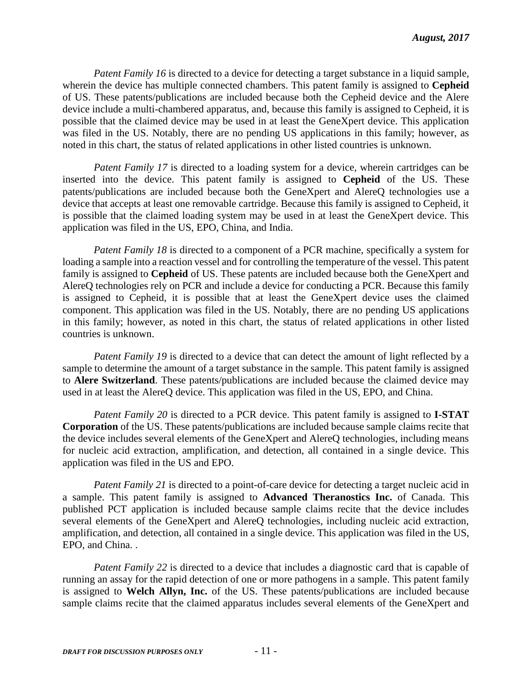*Patent Family 16* is directed to a device for detecting a target substance in a liquid sample, wherein the device has multiple connected chambers. This patent family is assigned to **Cepheid**  of US. These patents/publications are included because both the Cepheid device and the Alere device include a multi-chambered apparatus, and, because this family is assigned to Cepheid, it is possible that the claimed device may be used in at least the GeneXpert device. This application was filed in the US. Notably, there are no pending US applications in this family; however, as noted in this chart, the status of related applications in other listed countries is unknown.

*Patent Family 17* is directed to a loading system for a device, wherein cartridges can be inserted into the device. This patent family is assigned to **Cepheid** of the US. These patents/publications are included because both the GeneXpert and AlereQ technologies use a device that accepts at least one removable cartridge. Because this family is assigned to Cepheid, it is possible that the claimed loading system may be used in at least the GeneXpert device. This application was filed in the US, EPO, China, and India.

*Patent Family 18* is directed to a component of a PCR machine, specifically a system for loading a sample into a reaction vessel and for controlling the temperature of the vessel. This patent family is assigned to **Cepheid** of US. These patents are included because both the GeneXpert and AlereQ technologies rely on PCR and include a device for conducting a PCR. Because this family is assigned to Cepheid, it is possible that at least the GeneXpert device uses the claimed component. This application was filed in the US. Notably, there are no pending US applications in this family; however, as noted in this chart, the status of related applications in other listed countries is unknown.

*Patent Family 19* is directed to a device that can detect the amount of light reflected by a sample to determine the amount of a target substance in the sample. This patent family is assigned to **Alere Switzerland**. These patents/publications are included because the claimed device may used in at least the AlereQ device. This application was filed in the US, EPO, and China.

*Patent Family 20* is directed to a PCR device. This patent family is assigned to **I-STAT Corporation** of the US. These patents/publications are included because sample claims recite that the device includes several elements of the GeneXpert and AlereQ technologies, including means for nucleic acid extraction, amplification, and detection, all contained in a single device. This application was filed in the US and EPO.

*Patent Family 21* is directed to a point-of-care device for detecting a target nucleic acid in a sample. This patent family is assigned to **Advanced Theranostics Inc.** of Canada. This published PCT application is included because sample claims recite that the device includes several elements of the GeneXpert and AlereQ technologies, including nucleic acid extraction, amplification, and detection, all contained in a single device. This application was filed in the US, EPO, and China. .

*Patent Family 22* is directed to a device that includes a diagnostic card that is capable of running an assay for the rapid detection of one or more pathogens in a sample. This patent family is assigned to **Welch Allyn, Inc.** of the US. These patents/publications are included because sample claims recite that the claimed apparatus includes several elements of the GeneXpert and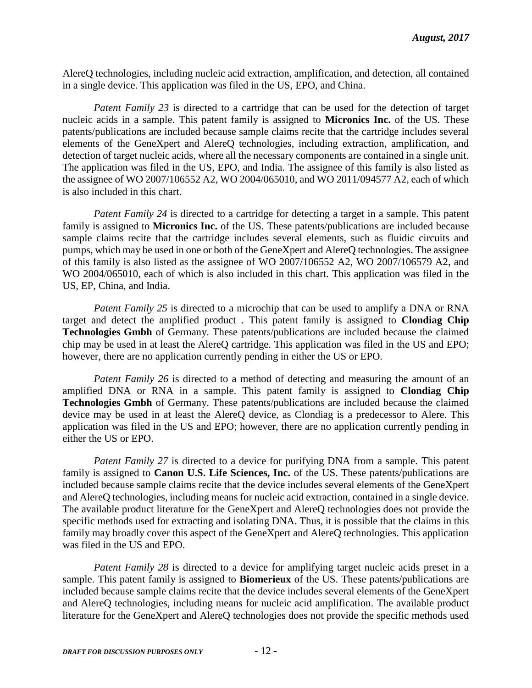AlereQ technologies, including nucleic acid extraction, amplification, and detection, all contained in a single device. This application was filed in the US, EPO, and China.

*Patent Family 23* is directed to a cartridge that can be used for the detection of target nucleic acids in a sample. This patent family is assigned to **Micronics Inc.** of the US. These patents/publications are included because sample claims recite that the cartridge includes several elements of the GeneXpert and AlereQ technologies, including extraction, amplification, and detection of target nucleic acids, where all the necessary components are contained in a single unit. The application was filed in the US, EPO, and India. The assignee of this family is also listed as the assignee of WO 2007/106552 A2, WO 2004/065010, and WO 2011/094577 A2, each of which is also included in this chart.

*Patent Family 24* is directed to a cartridge for detecting a target in a sample. This patent family is assigned to **Micronics Inc.** of the US. These patents/publications are included because sample claims recite that the cartridge includes several elements, such as fluidic circuits and pumps, which may be used in one or both of the GeneXpert and AlereQ technologies. The assignee of this family is also listed as the assignee of WO 2007/106552 A2, WO 2007/106579 A2, and WO 2004/065010, each of which is also included in this chart. This application was filed in the US, EP, China, and India.

*Patent Family 25* is directed to a microchip that can be used to amplify a DNA or RNA target and detect the amplified product . This patent family is assigned to **Clondiag Chip Technologies Gmbh** of Germany. These patents/publications are included because the claimed chip may be used in at least the AlereQ cartridge. This application was filed in the US and EPO; however, there are no application currently pending in either the US or EPO.

*Patent Family 26* is directed to a method of detecting and measuring the amount of an amplified DNA or RNA in a sample. This patent family is assigned to **Clondiag Chip Technologies Gmbh** of Germany. These patents/publications are included because the claimed device may be used in at least the AlereQ device, as Clondiag is a predecessor to Alere. This application was filed in the US and EPO; however, there are no application currently pending in either the US or EPO.

*Patent Family 27* is directed to a device for purifying DNA from a sample. This patent family is assigned to **Canon U.S. Life Sciences, Inc.** of the US. These patents/publications are included because sample claims recite that the device includes several elements of the GeneXpert and AlereQ technologies, including means for nucleic acid extraction, contained in a single device. The available product literature for the GeneXpert and AlereQ technologies does not provide the specific methods used for extracting and isolating DNA. Thus, it is possible that the claims in this family may broadly cover this aspect of the GeneXpert and AlereQ technologies. This application was filed in the US and EPO.

*Patent Family 28* is directed to a device for amplifying target nucleic acids preset in a sample. This patent family is assigned to **Biomerieux** of the US. These patents/publications are included because sample claims recite that the device includes several elements of the GeneXpert and AlereQ technologies, including means for nucleic acid amplification. The available product literature for the GeneXpert and AlereQ technologies does not provide the specific methods used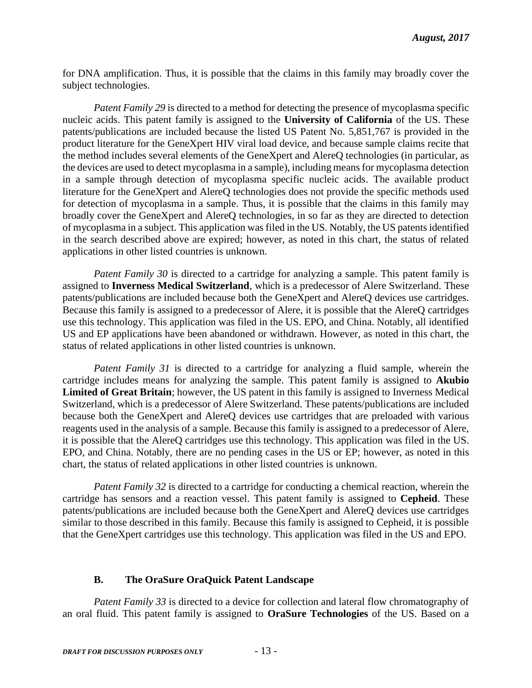for DNA amplification. Thus, it is possible that the claims in this family may broadly cover the subject technologies.

*Patent Family 29* is directed to a method for detecting the presence of mycoplasma specific nucleic acids. This patent family is assigned to the **University of California** of the US. These patents/publications are included because the listed US Patent No. 5,851,767 is provided in the product literature for the GeneXpert HIV viral load device, and because sample claims recite that the method includes several elements of the GeneXpert and AlereQ technologies (in particular, as the devices are used to detect mycoplasma in a sample), including means for mycoplasma detection in a sample through detection of mycoplasma specific nucleic acids. The available product literature for the GeneXpert and AlereQ technologies does not provide the specific methods used for detection of mycoplasma in a sample. Thus, it is possible that the claims in this family may broadly cover the GeneXpert and AlereQ technologies, in so far as they are directed to detection of mycoplasma in a subject. This application was filed in the US. Notably, the US patents identified in the search described above are expired; however, as noted in this chart, the status of related applications in other listed countries is unknown.

*Patent Family 30* is directed to a cartridge for analyzing a sample. This patent family is assigned to **Inverness Medical Switzerland**, which is a predecessor of Alere Switzerland. These patents/publications are included because both the GeneXpert and AlereQ devices use cartridges. Because this family is assigned to a predecessor of Alere, it is possible that the AlereQ cartridges use this technology. This application was filed in the US. EPO, and China. Notably, all identified US and EP applications have been abandoned or withdrawn. However, as noted in this chart, the status of related applications in other listed countries is unknown.

*Patent Family 31* is directed to a cartridge for analyzing a fluid sample, wherein the cartridge includes means for analyzing the sample. This patent family is assigned to **Akubio Limited of Great Britain**; however, the US patent in this family is assigned to Inverness Medical Switzerland, which is a predecessor of Alere Switzerland. These patents/publications are included because both the GeneXpert and AlereQ devices use cartridges that are preloaded with various reagents used in the analysis of a sample. Because this family is assigned to a predecessor of Alere, it is possible that the AlereQ cartridges use this technology. This application was filed in the US. EPO, and China. Notably, there are no pending cases in the US or EP; however, as noted in this chart, the status of related applications in other listed countries is unknown.

*Patent Family 32* is directed to a cartridge for conducting a chemical reaction, wherein the cartridge has sensors and a reaction vessel. This patent family is assigned to **Cepheid**. These patents/publications are included because both the GeneXpert and AlereQ devices use cartridges similar to those described in this family. Because this family is assigned to Cepheid, it is possible that the GeneXpert cartridges use this technology. This application was filed in the US and EPO.

## **B. The OraSure OraQuick Patent Landscape**

*Patent Family 33* is directed to a device for collection and lateral flow chromatography of an oral fluid. This patent family is assigned to **OraSure Technologies** of the US. Based on a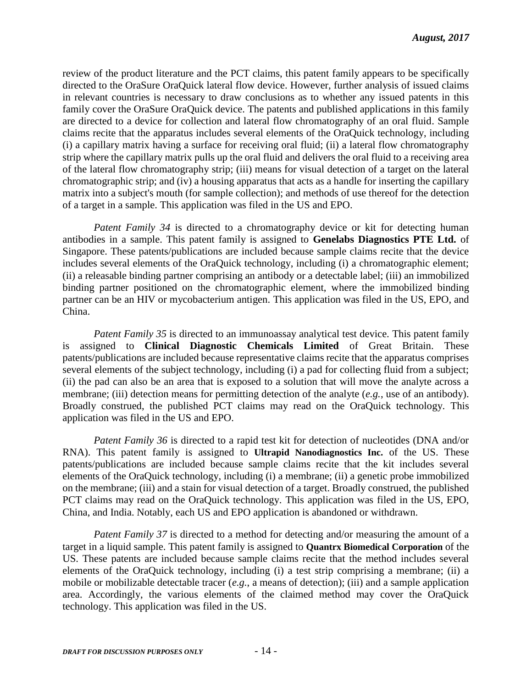review of the product literature and the PCT claims, this patent family appears to be specifically directed to the OraSure OraQuick lateral flow device. However, further analysis of issued claims in relevant countries is necessary to draw conclusions as to whether any issued patents in this family cover the OraSure OraQuick device. The patents and published applications in this family are directed to a device for collection and lateral flow chromatography of an oral fluid. Sample claims recite that the apparatus includes several elements of the OraQuick technology, including (i) a capillary matrix having a surface for receiving oral fluid; (ii) a lateral flow chromatography strip where the capillary matrix pulls up the oral fluid and delivers the oral fluid to a receiving area of the lateral flow chromatography strip; (iii) means for visual detection of a target on the lateral chromatographic strip; and (iv) a housing apparatus that acts as a handle for inserting the capillary matrix into a subject's mouth (for sample collection); and methods of use thereof for the detection of a target in a sample. This application was filed in the US and EPO.

*Patent Family 34* is directed to a chromatography device or kit for detecting human antibodies in a sample. This patent family is assigned to **Genelabs Diagnostics PTE Ltd.** of Singapore. These patents/publications are included because sample claims recite that the device includes several elements of the OraQuick technology, including (i) a chromatographic element; (ii) a releasable binding partner comprising an antibody or a detectable label; (iii) an immobilized binding partner positioned on the chromatographic element, where the immobilized binding partner can be an HIV or mycobacterium antigen. This application was filed in the US, EPO, and China.

*Patent Family 35* is directed to an immunoassay analytical test device. This patent family is assigned to **Clinical Diagnostic Chemicals Limited** of Great Britain. These patents/publications are included because representative claims recite that the apparatus comprises several elements of the subject technology, including (i) a pad for collecting fluid from a subject; (ii) the pad can also be an area that is exposed to a solution that will move the analyte across a membrane; (iii) detection means for permitting detection of the analyte (*e.g.*, use of an antibody). Broadly construed, the published PCT claims may read on the OraQuick technology. This application was filed in the US and EPO.

*Patent Family 36* is directed to a rapid test kit for detection of nucleotides (DNA and/or RNA). This patent family is assigned to **Ultrapid Nanodiagnostics Inc.** of the US. These patents/publications are included because sample claims recite that the kit includes several elements of the OraQuick technology, including (i) a membrane; (ii) a genetic probe immobilized on the membrane; (iii) and a stain for visual detection of a target. Broadly construed, the published PCT claims may read on the OraQuick technology. This application was filed in the US, EPO, China, and India. Notably, each US and EPO application is abandoned or withdrawn.

*Patent Family 37* is directed to a method for detecting and/or measuring the amount of a target in a liquid sample. This patent family is assigned to **Quantrx Biomedical Corporation** of the US. These patents are included because sample claims recite that the method includes several elements of the OraQuick technology, including (i) a test strip comprising a membrane; (ii) a mobile or mobilizable detectable tracer (*e.g.*, a means of detection); (iii) and a sample application area. Accordingly, the various elements of the claimed method may cover the OraQuick technology. This application was filed in the US.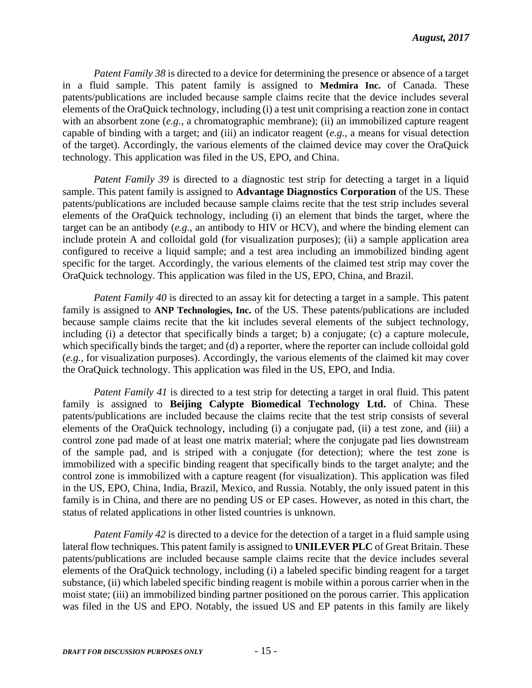*Patent Family 38* is directed to a device for determining the presence or absence of a target in a fluid sample. This patent family is assigned to **Medmira Inc.** of Canada. These patents/publications are included because sample claims recite that the device includes several elements of the OraQuick technology, including (i) a test unit comprising a reaction zone in contact with an absorbent zone (*e.g.*, a chromatographic membrane); (ii) an immobilized capture reagent capable of binding with a target; and (iii) an indicator reagent (*e.g.*, a means for visual detection of the target). Accordingly, the various elements of the claimed device may cover the OraQuick technology. This application was filed in the US, EPO, and China.

*Patent Family 39* is directed to a diagnostic test strip for detecting a target in a liquid sample. This patent family is assigned to **Advantage Diagnostics Corporation** of the US. These patents/publications are included because sample claims recite that the test strip includes several elements of the OraQuick technology, including (i) an element that binds the target, where the target can be an antibody (*e.g.*, an antibody to HIV or HCV), and where the binding element can include protein A and colloidal gold (for visualization purposes); (ii) a sample application area configured to receive a liquid sample; and a test area including an immobilized binding agent specific for the target. Accordingly, the various elements of the claimed test strip may cover the OraQuick technology. This application was filed in the US, EPO, China, and Brazil.

*Patent Family 40* is directed to an assay kit for detecting a target in a sample. This patent family is assigned to **ANP Technologies, Inc.** of the US. These patents/publications are included because sample claims recite that the kit includes several elements of the subject technology, including (i) a detector that specifically binds a target; b) a conjugate; (c) a capture molecule, which specifically binds the target; and (d) a reporter, where the reporter can include colloidal gold (*e.g.*, for visualization purposes). Accordingly, the various elements of the claimed kit may cover the OraQuick technology. This application was filed in the US, EPO, and India.

*Patent Family 41* is directed to a test strip for detecting a target in oral fluid. This patent family is assigned to **Beijing Calypte Biomedical Technology Ltd.** of China. These patents/publications are included because the claims recite that the test strip consists of several elements of the OraQuick technology, including (i) a conjugate pad, (ii) a test zone, and (iii) a control zone pad made of at least one matrix material; where the conjugate pad lies downstream of the sample pad, and is striped with a conjugate (for detection); where the test zone is immobilized with a specific binding reagent that specifically binds to the target analyte; and the control zone is immobilized with a capture reagent (for visualization). This application was filed in the US, EPO, China, India, Brazil, Mexico, and Russia. Notably, the only issued patent in this family is in China, and there are no pending US or EP cases. However, as noted in this chart, the status of related applications in other listed countries is unknown.

*Patent Family 42* is directed to a device for the detection of a target in a fluid sample using lateral flow techniques. This patent family is assigned to **UNILEVER PLC** of Great Britain. These patents/publications are included because sample claims recite that the device includes several elements of the OraQuick technology, including (i) a labeled specific binding reagent for a target substance, (ii) which labeled specific binding reagent is mobile within a porous carrier when in the moist state; (iii) an immobilized binding partner positioned on the porous carrier. This application was filed in the US and EPO. Notably, the issued US and EP patents in this family are likely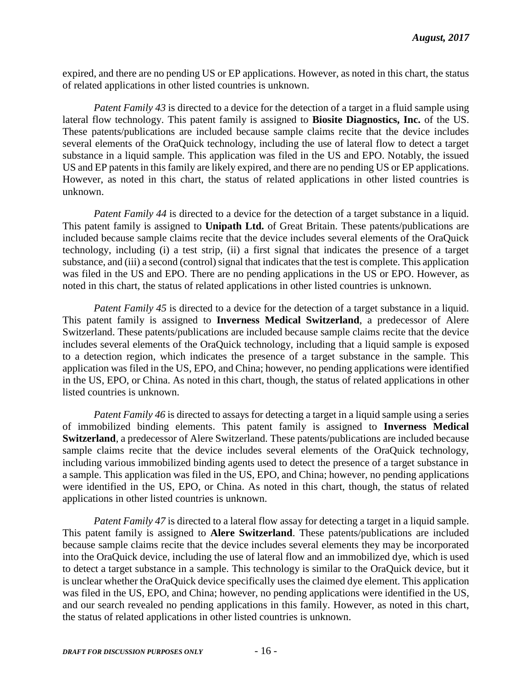expired, and there are no pending US or EP applications. However, as noted in this chart, the status of related applications in other listed countries is unknown.

*Patent Family 43* is directed to a device for the detection of a target in a fluid sample using lateral flow technology. This patent family is assigned to **Biosite Diagnostics, Inc.** of the US. These patents/publications are included because sample claims recite that the device includes several elements of the OraQuick technology, including the use of lateral flow to detect a target substance in a liquid sample. This application was filed in the US and EPO. Notably, the issued US and EP patents in this family are likely expired, and there are no pending US or EP applications. However, as noted in this chart, the status of related applications in other listed countries is unknown.

*Patent Family 44* is directed to a device for the detection of a target substance in a liquid. This patent family is assigned to **Unipath Ltd.** of Great Britain. These patents/publications are included because sample claims recite that the device includes several elements of the OraQuick technology, including (i) a test strip, (ii) a first signal that indicates the presence of a target substance, and (iii) a second (control) signal that indicates that the test is complete. This application was filed in the US and EPO. There are no pending applications in the US or EPO. However, as noted in this chart, the status of related applications in other listed countries is unknown.

*Patent Family 45* is directed to a device for the detection of a target substance in a liquid. This patent family is assigned to **Inverness Medical Switzerland**, a predecessor of Alere Switzerland. These patents/publications are included because sample claims recite that the device includes several elements of the OraQuick technology, including that a liquid sample is exposed to a detection region, which indicates the presence of a target substance in the sample. This application was filed in the US, EPO, and China; however, no pending applications were identified in the US, EPO, or China. As noted in this chart, though, the status of related applications in other listed countries is unknown.

*Patent Family 46* is directed to assays for detecting a target in a liquid sample using a series of immobilized binding elements. This patent family is assigned to **Inverness Medical Switzerland**, a predecessor of Alere Switzerland. These patents/publications are included because sample claims recite that the device includes several elements of the OraQuick technology, including various immobilized binding agents used to detect the presence of a target substance in a sample. This application was filed in the US, EPO, and China; however, no pending applications were identified in the US, EPO, or China. As noted in this chart, though, the status of related applications in other listed countries is unknown.

*Patent Family 47* is directed to a lateral flow assay for detecting a target in a liquid sample. This patent family is assigned to **Alere Switzerland**. These patents/publications are included because sample claims recite that the device includes several elements they may be incorporated into the OraQuick device, including the use of lateral flow and an immobilized dye, which is used to detect a target substance in a sample. This technology is similar to the OraQuick device, but it is unclear whether the OraQuick device specifically uses the claimed dye element. This application was filed in the US, EPO, and China; however, no pending applications were identified in the US, and our search revealed no pending applications in this family. However, as noted in this chart, the status of related applications in other listed countries is unknown.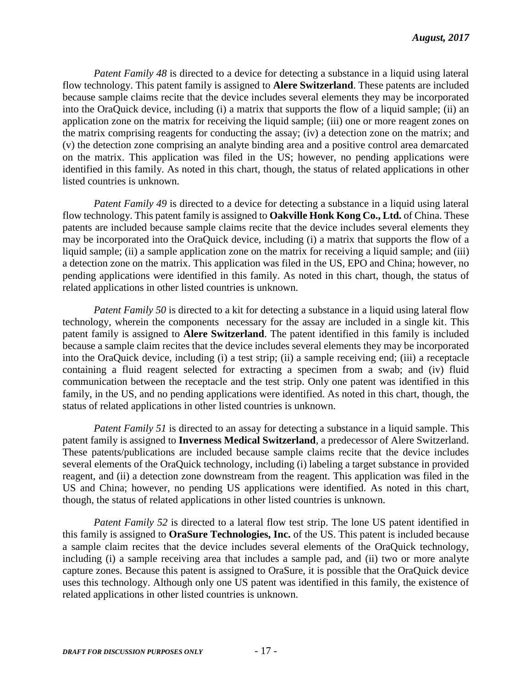*Patent Family 48* is directed to a device for detecting a substance in a liquid using lateral flow technology. This patent family is assigned to **Alere Switzerland**. These patents are included because sample claims recite that the device includes several elements they may be incorporated into the OraQuick device, including (i) a matrix that supports the flow of a liquid sample; (ii) an application zone on the matrix for receiving the liquid sample; (iii) one or more reagent zones on the matrix comprising reagents for conducting the assay; (iv) a detection zone on the matrix; and (v) the detection zone comprising an analyte binding area and a positive control area demarcated on the matrix. This application was filed in the US; however, no pending applications were identified in this family. As noted in this chart, though, the status of related applications in other listed countries is unknown.

*Patent Family 49* is directed to a device for detecting a substance in a liquid using lateral flow technology. This patent family is assigned to **Oakville Honk Kong Co., Ltd.** of China. These patents are included because sample claims recite that the device includes several elements they may be incorporated into the OraQuick device, including (i) a matrix that supports the flow of a liquid sample; (ii) a sample application zone on the matrix for receiving a liquid sample; and (iii) a detection zone on the matrix. This application was filed in the US, EPO and China; however, no pending applications were identified in this family. As noted in this chart, though, the status of related applications in other listed countries is unknown.

*Patent Family 50* is directed to a kit for detecting a substance in a liquid using lateral flow technology, wherein the components necessary for the assay are included in a single kit. This patent family is assigned to **Alere Switzerland**. The patent identified in this family is included because a sample claim recites that the device includes several elements they may be incorporated into the OraQuick device, including (i) a test strip; (ii) a sample receiving end; (iii) a receptacle containing a fluid reagent selected for extracting a specimen from a swab; and (iv) fluid communication between the receptacle and the test strip. Only one patent was identified in this family, in the US, and no pending applications were identified. As noted in this chart, though, the status of related applications in other listed countries is unknown.

*Patent Family 51* is directed to an assay for detecting a substance in a liquid sample. This patent family is assigned to **Inverness Medical Switzerland**, a predecessor of Alere Switzerland. These patents/publications are included because sample claims recite that the device includes several elements of the OraQuick technology, including (i) labeling a target substance in provided reagent, and (ii) a detection zone downstream from the reagent. This application was filed in the US and China; however, no pending US applications were identified. As noted in this chart, though, the status of related applications in other listed countries is unknown.

*Patent Family 52* is directed to a lateral flow test strip. The lone US patent identified in this family is assigned to **OraSure Technologies, Inc.** of the US. This patent is included because a sample claim recites that the device includes several elements of the OraQuick technology, including (i) a sample receiving area that includes a sample pad, and (ii) two or more analyte capture zones. Because this patent is assigned to OraSure, it is possible that the OraQuick device uses this technology. Although only one US patent was identified in this family, the existence of related applications in other listed countries is unknown.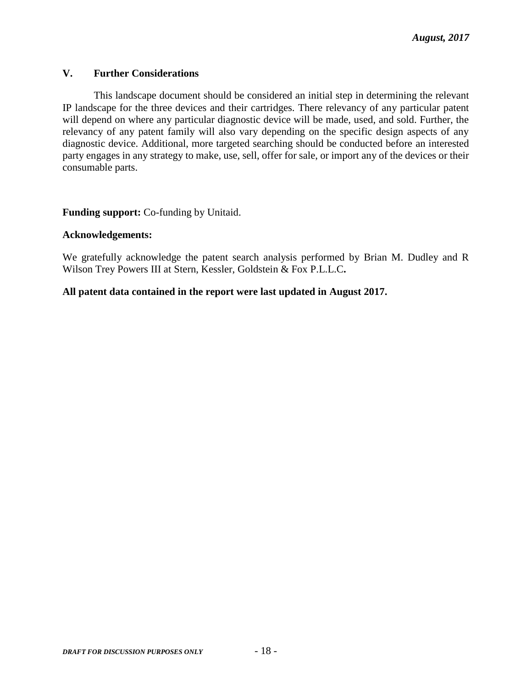## **V. Further Considerations**

This landscape document should be considered an initial step in determining the relevant IP landscape for the three devices and their cartridges. There relevancy of any particular patent will depend on where any particular diagnostic device will be made, used, and sold. Further, the relevancy of any patent family will also vary depending on the specific design aspects of any diagnostic device. Additional, more targeted searching should be conducted before an interested party engages in any strategy to make, use, sell, offer for sale, or import any of the devices or their consumable parts.

**Funding support:** Co-funding by Unitaid.

## **Acknowledgements:**

We gratefully acknowledge the patent search analysis performed by Brian M. Dudley and R Wilson Trey Powers III at Stern, Kessler, Goldstein & Fox P.L.L.C**.**

## **All patent data contained in the report were last updated in August 2017.**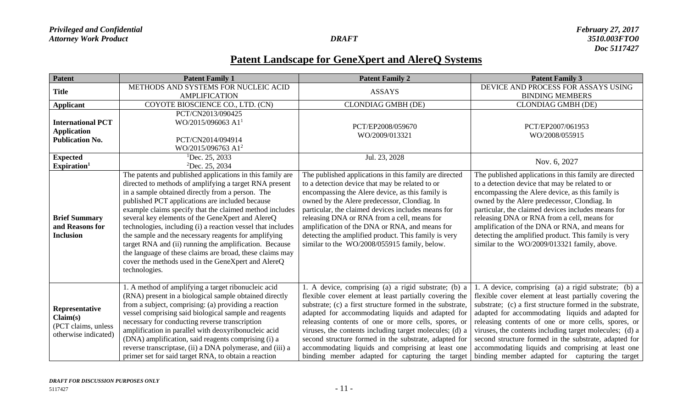## **Patent Landscape for GeneXpert and AlereQ Systems**

| <b>Patent</b>            | <b>Patent Family 1</b>                                      | <b>Patent Family 2</b>                                    | <b>Patent Family 3</b>                                                                                              |
|--------------------------|-------------------------------------------------------------|-----------------------------------------------------------|---------------------------------------------------------------------------------------------------------------------|
| <b>Title</b>             | METHODS AND SYSTEMS FOR NUCLEIC ACID                        | <b>ASSAYS</b>                                             | DEVICE AND PROCESS FOR ASSAYS USING                                                                                 |
|                          | <b>AMPLIFICATION</b>                                        |                                                           | <b>BINDING MEMBERS</b>                                                                                              |
| <b>Applicant</b>         | COYOTE BIOSCIENCE CO., LTD. (CN)                            | <b>CLONDIAG GMBH (DE)</b>                                 | <b>CLONDIAG GMBH (DE)</b>                                                                                           |
|                          | PCT/CN2013/090425                                           |                                                           |                                                                                                                     |
| <b>International PCT</b> | WO/2015/096063 A1 <sup>1</sup>                              | PCT/EP2008/059670                                         | PCT/EP2007/061953                                                                                                   |
| <b>Application</b>       |                                                             | WO/2009/013321                                            | WO/2008/055915                                                                                                      |
| <b>Publication No.</b>   | PCT/CN2014/094914                                           |                                                           |                                                                                                                     |
|                          | WO/2015/096763 A1 <sup>2</sup>                              |                                                           |                                                                                                                     |
| <b>Expected</b>          | <sup>1</sup> Dec. 25, 2033                                  | Jul. 23, 2028                                             | Nov. 6, 2027                                                                                                        |
| Expiration <sup>1</sup>  | ${}^{2}$ Dec. 25, 2034                                      |                                                           |                                                                                                                     |
|                          | The patents and published applications in this family are   | The published applications in this family are directed    | The published applications in this family are directed                                                              |
|                          | directed to methods of amplifying a target RNA present      | to a detection device that may be related to or           | to a detection device that may be related to or                                                                     |
|                          | in a sample obtained directly from a person. The            | encompassing the Alere device, as this family is          | encompassing the Alere device, as this family is                                                                    |
|                          | published PCT applications are included because             | owned by the Alere predecessor, Clondiag. In              | owned by the Alere predecessor, Clondiag. In                                                                        |
|                          | example claims specify that the claimed method includes     | particular, the claimed devices includes means for        | particular, the claimed devices includes means for                                                                  |
| <b>Brief Summary</b>     | several key elements of the GeneXpert and AlereQ            | releasing DNA or RNA from a cell, means for               | releasing DNA or RNA from a cell, means for                                                                         |
| and Reasons for          | technologies, including (i) a reaction vessel that includes | amplification of the DNA or RNA, and means for            | amplification of the DNA or RNA, and means for                                                                      |
| <b>Inclusion</b>         | the sample and the necessary reagents for amplifying        | detecting the amplified product. This family is very      | detecting the amplified product. This family is very                                                                |
|                          | target RNA and (ii) running the amplification. Because      | similar to the WO/2008/055915 family, below.              | similar to the WO/2009/013321 family, above.                                                                        |
|                          | the language of these claims are broad, these claims may    |                                                           |                                                                                                                     |
|                          | cover the methods used in the GeneXpert and AlereQ          |                                                           |                                                                                                                     |
|                          | technologies.                                               |                                                           |                                                                                                                     |
|                          | 1. A method of amplifying a target ribonucleic acid         | 1. A device, comprising (a) a rigid substrate; (b) a      | 1. A device, comprising (a) a rigid substrate; (b) a                                                                |
|                          | (RNA) present in a biological sample obtained directly      | flexible cover element at least partially covering the    |                                                                                                                     |
|                          | from a subject, comprising: (a) providing a reaction        | substrate; (c) a first structure formed in the substrate, | flexible cover element at least partially covering the<br>substrate; (c) a first structure formed in the substrate, |
| Representative           | vessel comprising said biological sample and reagents       | adapted for accommodating liquids and adapted for         | adapted for accommodating liquids and adapted for                                                                   |
| Claim(s)                 | necessary for conducting reverse transcription              | releasing contents of one or more cells, spores, or       | releasing contents of one or more cells, spores, or                                                                 |
| (PCT claims, unless      | amplification in parallel with deoxyribonucleic acid        | viruses, the contents including target molecules; (d) a   | viruses, the contents including target molecules; (d) a                                                             |
| otherwise indicated)     | (DNA) amplification, said reagents comprising (i) a         | second structure formed in the substrate, adapted for     | second structure formed in the substrate, adapted for                                                               |
|                          | reverse transcriptase, (ii) a DNA polymerase, and (iii) a   | accommodating liquids and comprising at least one         | accommodating liquids and comprising at least one                                                                   |
|                          |                                                             |                                                           |                                                                                                                     |
|                          | primer set for said target RNA, to obtain a reaction        | binding member adapted for capturing the target           | binding member adapted for capturing the target                                                                     |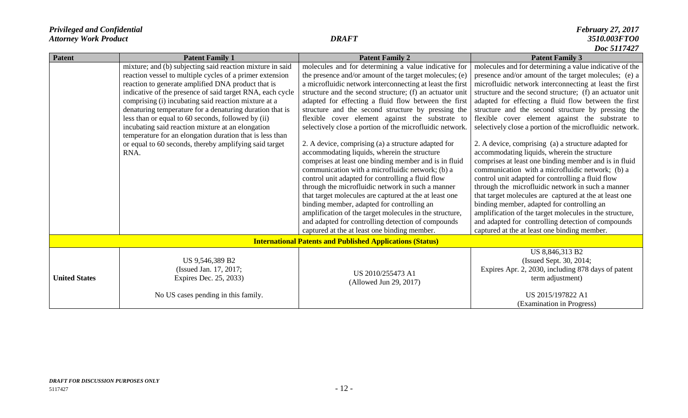| <b>Patent</b>        | <b>Patent Family 1</b>                                    | <b>Patent Family 2</b>                                           | <b>Patent Family 3</b>                                   |
|----------------------|-----------------------------------------------------------|------------------------------------------------------------------|----------------------------------------------------------|
|                      | mixture; and (b) subjecting said reaction mixture in said | molecules and for determining a value indicative for             | molecules and for determining a value indicative of the  |
|                      | reaction vessel to multiple cycles of a primer extension  | the presence and/or amount of the target molecules; (e)          | presence and/or amount of the target molecules; (e) a    |
|                      | reaction to generate amplified DNA product that is        | a microfluidic network interconnecting at least the first        | microfluidic network interconnecting at least the first  |
|                      | indicative of the presence of said target RNA, each cycle | structure and the second structure; (f) an actuator unit         | structure and the second structure; (f) an actuator unit |
|                      | comprising (i) incubating said reaction mixture at a      | adapted for effecting a fluid flow between the first             | adapted for effecting a fluid flow between the first     |
|                      | denaturing temperature for a denaturing duration that is  | structure and the second structure by pressing the               | structure and the second structure by pressing the       |
|                      | less than or equal to 60 seconds, followed by (ii)        | flexible cover element against the substrate to                  | flexible cover element against the substrate to          |
|                      | incubating said reaction mixture at an elongation         | selectively close a portion of the microfluidic network.         | selectively close a portion of the microfluidic network. |
|                      | temperature for an elongation duration that is less than  |                                                                  |                                                          |
|                      | or equal to 60 seconds, thereby amplifying said target    | 2. A device, comprising (a) a structure adapted for              | 2. A device, comprising (a) a structure adapted for      |
|                      | RNA.                                                      | accommodating liquids, wherein the structure                     | accommodating liquids, wherein the structure             |
|                      |                                                           | comprises at least one binding member and is in fluid            | comprises at least one binding member and is in fluid    |
|                      |                                                           | communication with a microfluidic network; (b) a                 | communication with a microfluidic network; (b) a         |
|                      |                                                           | control unit adapted for controlling a fluid flow                | control unit adapted for controlling a fluid flow        |
|                      |                                                           | through the microfluidic network in such a manner                | through the microfluidic network in such a manner        |
|                      |                                                           | that target molecules are captured at the at least one           | that target molecules are captured at the at least one   |
|                      |                                                           | binding member, adapted for controlling an                       | binding member, adapted for controlling an               |
|                      |                                                           | amplification of the target molecules in the structure,          | amplification of the target molecules in the structure,  |
|                      |                                                           | and adapted for controlling detection of compounds               | and adapted for controlling detection of compounds       |
|                      |                                                           | captured at the at least one binding member.                     | captured at the at least one binding member.             |
|                      |                                                           | <b>International Patents and Published Applications (Status)</b> |                                                          |
|                      |                                                           |                                                                  | US 8,846,313 B2                                          |
|                      | US 9,546,389 B2                                           |                                                                  | (Issued Sept. 30, 2014;                                  |
| <b>United States</b> | (Issued Jan. 17, 2017;                                    | US 2010/255473 A1                                                | Expires Apr. 2, 2030, including 878 days of patent       |
|                      | Expires Dec. 25, 2033)                                    | (Allowed Jun 29, 2017)                                           | term adjustment)                                         |
|                      |                                                           |                                                                  |                                                          |
|                      | No US cases pending in this family.                       |                                                                  | US 2015/197822 A1                                        |
|                      |                                                           |                                                                  | (Examination in Progress)                                |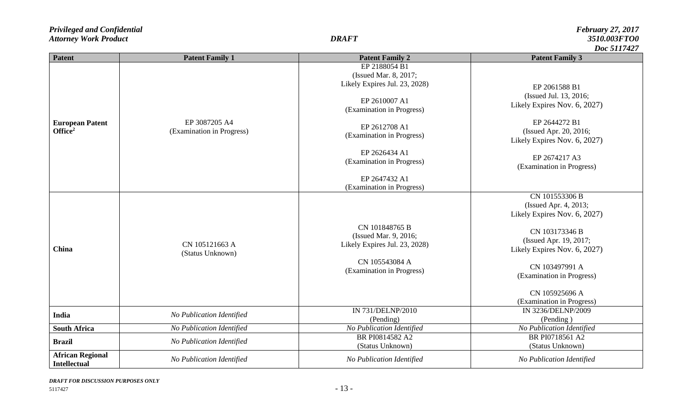| Patent                                         | <b>Patent Family 1</b>                     | <b>Patent Family 2</b>                                                                   | LUU JIII TE<br><b>Patent Family 3</b>                                                                   |
|------------------------------------------------|--------------------------------------------|------------------------------------------------------------------------------------------|---------------------------------------------------------------------------------------------------------|
|                                                |                                            | EP 2188054 B1<br>(Issued Mar. 8, 2017;<br>Likely Expires Jul. 23, 2028)<br>EP 2610007 A1 | EP 2061588 B1<br>(Issued Jul. 13, 2016;                                                                 |
| <b>European Patent</b><br>Office <sup>2</sup>  | EP 3087205 A4<br>(Examination in Progress) | (Examination in Progress)<br>EP 2612708 A1<br>(Examination in Progress)                  | Likely Expires Nov. 6, 2027)<br>EP 2644272 B1<br>(Issued Apr. 20, 2016;<br>Likely Expires Nov. 6, 2027) |
|                                                |                                            | EP 2626434 A1<br>(Examination in Progress)                                               | EP 2674217 A3<br>(Examination in Progress)                                                              |
|                                                |                                            | EP 2647432 A1<br>(Examination in Progress)                                               |                                                                                                         |
| China                                          | CN 105121663 A<br>(Status Unknown)         |                                                                                          | CN 101553306 B<br>(Issued Apr. 4, 2013;<br>Likely Expires Nov. 6, 2027)                                 |
|                                                |                                            | CN 101848765 B<br>(Issued Mar. 9, 2016;<br>Likely Expires Jul. 23, 2028)                 | CN 103173346 B<br>(Issued Apr. 19, 2017;<br>Likely Expires Nov. 6, 2027)                                |
|                                                |                                            | CN 105543084 A<br>(Examination in Progress)                                              | CN 103497991 A<br>(Examination in Progress)                                                             |
|                                                |                                            |                                                                                          | CN 105925696 A<br>(Examination in Progress)                                                             |
| <b>India</b>                                   | No Publication Identified                  | IN 731/DELNP/2010<br>(Pending)                                                           | IN 3236/DELNP/2009<br>(Pending)                                                                         |
| <b>South Africa</b>                            | No Publication Identified                  | No Publication Identified                                                                | No Publication Identified                                                                               |
| <b>Brazil</b>                                  | No Publication Identified                  | BR PI0814582 A2<br>(Status Unknown)                                                      | BR PI0718561 A2<br>(Status Unknown)                                                                     |
| <b>African Regional</b><br><b>Intellectual</b> | No Publication Identified                  | No Publication Identified                                                                | No Publication Identified                                                                               |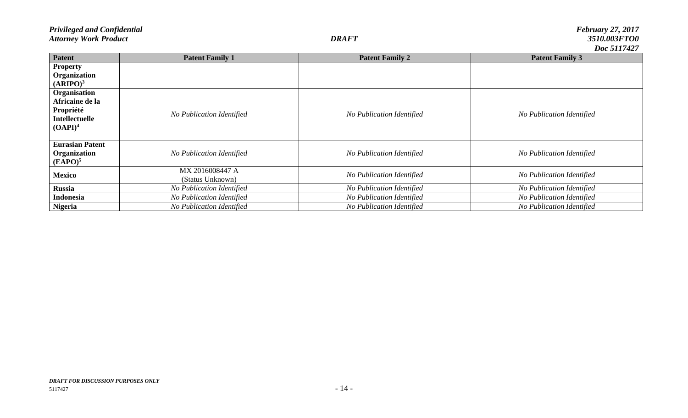|                        |                           |                           | D0U J117421               |
|------------------------|---------------------------|---------------------------|---------------------------|
| <b>Patent</b>          | <b>Patent Family 1</b>    | <b>Patent Family 2</b>    | <b>Patent Family 3</b>    |
| <b>Property</b>        |                           |                           |                           |
| Organization           |                           |                           |                           |
| (ARIPO) <sup>3</sup>   |                           |                           |                           |
| Organisation           |                           |                           |                           |
| Africaine de la        |                           |                           |                           |
| Propriété              | No Publication Identified | No Publication Identified | No Publication Identified |
| <b>Intellectuelle</b>  |                           |                           |                           |
| (OAPI) <sup>4</sup>    |                           |                           |                           |
| <b>Eurasian Patent</b> |                           |                           |                           |
| Organization           | No Publication Identified | No Publication Identified | No Publication Identified |
| (EAPO) <sup>5</sup>    |                           |                           |                           |
|                        | MX 2016008447 A           |                           | No Publication Identified |
| <b>Mexico</b>          | (Status Unknown)          | No Publication Identified |                           |
| <b>Russia</b>          | No Publication Identified | No Publication Identified | No Publication Identified |
| <b>Indonesia</b>       | No Publication Identified | No Publication Identified | No Publication Identified |
| <b>Nigeria</b>         | No Publication Identified | No Publication Identified | No Publication Identified |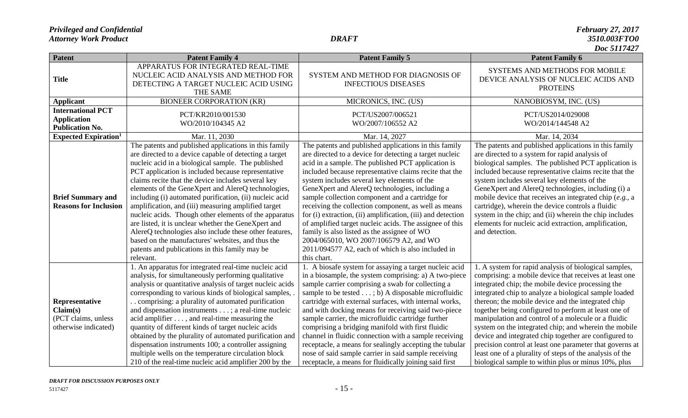| <b>Patent</b>                                                             | <b>Patent Family 4</b>                                                                                                                                                                                                                                                                                                                                                                                                                                                                                                                                                                                                                                                                                                                                  | <b>Patent Family 5</b>                                                                                                                                                                                                                                                                                                                                                                                                                                                                                                                                                                                                                                                                                                              | <b>Patent Family 6</b>                                                                                                                                                                                                                                                                                                                                                                                                                                                                                                                                                                                                                                                                              |
|---------------------------------------------------------------------------|---------------------------------------------------------------------------------------------------------------------------------------------------------------------------------------------------------------------------------------------------------------------------------------------------------------------------------------------------------------------------------------------------------------------------------------------------------------------------------------------------------------------------------------------------------------------------------------------------------------------------------------------------------------------------------------------------------------------------------------------------------|-------------------------------------------------------------------------------------------------------------------------------------------------------------------------------------------------------------------------------------------------------------------------------------------------------------------------------------------------------------------------------------------------------------------------------------------------------------------------------------------------------------------------------------------------------------------------------------------------------------------------------------------------------------------------------------------------------------------------------------|-----------------------------------------------------------------------------------------------------------------------------------------------------------------------------------------------------------------------------------------------------------------------------------------------------------------------------------------------------------------------------------------------------------------------------------------------------------------------------------------------------------------------------------------------------------------------------------------------------------------------------------------------------------------------------------------------------|
| <b>Title</b>                                                              | APPARATUS FOR INTEGRATED REAL-TIME<br>NUCLEIC ACID ANALYSIS AND METHOD FOR<br>DETECTING A TARGET NUCLEIC ACID USING<br>THE SAME                                                                                                                                                                                                                                                                                                                                                                                                                                                                                                                                                                                                                         | SYSTEM AND METHOD FOR DIAGNOSIS OF<br><b>INFECTIOUS DISEASES</b>                                                                                                                                                                                                                                                                                                                                                                                                                                                                                                                                                                                                                                                                    | SYSTEMS AND METHODS FOR MOBILE<br>DEVICE ANALYSIS OF NUCLEIC ACIDS AND<br><b>PROTEINS</b>                                                                                                                                                                                                                                                                                                                                                                                                                                                                                                                                                                                                           |
| <b>Applicant</b>                                                          | <b>BIONEER CORPORATION (KR)</b>                                                                                                                                                                                                                                                                                                                                                                                                                                                                                                                                                                                                                                                                                                                         | MICRONICS, INC. (US)                                                                                                                                                                                                                                                                                                                                                                                                                                                                                                                                                                                                                                                                                                                | NANOBIOSYM, INC. (US)                                                                                                                                                                                                                                                                                                                                                                                                                                                                                                                                                                                                                                                                               |
| <b>International PCT</b><br><b>Application</b><br><b>Publication No.</b>  | PCT/KR2010/001530<br>WO/2010/104345 A2                                                                                                                                                                                                                                                                                                                                                                                                                                                                                                                                                                                                                                                                                                                  | PCT/US2007/006521<br>WO/2007/106552 A2                                                                                                                                                                                                                                                                                                                                                                                                                                                                                                                                                                                                                                                                                              | PCT/US2014/029008<br>WO/2014/144548 A2                                                                                                                                                                                                                                                                                                                                                                                                                                                                                                                                                                                                                                                              |
| <b>Expected Expiration</b> <sup>1</sup>                                   | Mar. 11, 2030                                                                                                                                                                                                                                                                                                                                                                                                                                                                                                                                                                                                                                                                                                                                           | Mar. 14, 2027                                                                                                                                                                                                                                                                                                                                                                                                                                                                                                                                                                                                                                                                                                                       | Mar. 14, 2034                                                                                                                                                                                                                                                                                                                                                                                                                                                                                                                                                                                                                                                                                       |
| <b>Brief Summary and</b><br><b>Reasons for Inclusion</b>                  | The patents and published applications in this family<br>are directed to a device capable of detecting a target<br>nucleic acid in a biological sample. The published<br>PCT application is included because representative<br>claims recite that the device includes several key<br>elements of the GeneXpert and AlereQ technologies,<br>including (i) automated purification, (ii) nucleic acid<br>amplification, and (iii) measuring amplified target<br>nucleic acids. Though other elements of the apparatus<br>are listed, it is unclear whether the GeneXpert and<br>AlereQ technologies also include these other features,<br>based on the manufactures' websites, and thus the<br>patents and publications in this family may be<br>relevant. | The patents and published applications in this family<br>are directed to a device for detecting a target nucleic<br>acid in a sample. The published PCT application is<br>included because representative claims recite that the<br>system includes several key elements of the<br>GeneXpert and AlereQ technologies, including a<br>sample collection component and a cartridge for<br>receiving the collection component, as well as means<br>for (i) extraction, (ii) amplification, (iii) and detection<br>of amplified target nucleic acids. The assignee of this<br>family is also listed as the assignee of WO<br>2004/065010, WO 2007/106579 A2, and WO<br>2011/094577 A2, each of which is also included in<br>this chart. | The patents and published applications in this family<br>are directed to a system for rapid analysis of<br>biological samples. The published PCT application is<br>included because representative claims recite that the<br>system includes several key elements of the<br>GeneXpert and AlereQ technologies, including (i) a<br>mobile device that receives an integrated chip $(e.g., a$<br>cartridge), wherein the device controls a fluidic<br>system in the chip; and (ii) wherein the chip includes<br>elements for nucleic acid extraction, amplification,<br>and detection.                                                                                                                |
| Representative<br>Claim(s)<br>(PCT claims, unless<br>otherwise indicated) | 1. An apparatus for integrated real-time nucleic acid<br>analysis, for simultaneously performing qualitative<br>analysis or quantitative analysis of target nucleic acids<br>corresponding to various kinds of biological samples,<br>comprising: a plurality of automated purification<br>and dispensation instruments ; a real-time nucleic<br>acid amplifier , and real-time measuring the<br>quantity of different kinds of target nucleic acids<br>obtained by the plurality of automated purification and<br>dispensation instruments 100; a controller assigning<br>multiple wells on the temperature circulation block<br>210 of the real-time nucleic acid amplifier 200 by the                                                                | 1. A biosafe system for assaying a target nucleic acid<br>in a biosample, the system comprising: a) A two-piece<br>sample carrier comprising a swab for collecting a<br>sample to be tested $\dots$ ; b) A disposable microfluidic<br>cartridge with external surfaces, with internal works,<br>and with docking means for receiving said two-piece<br>sample carrier, the microfluidic cartridge further<br>comprising a bridging manifold with first fluidic<br>channel in fluidic connection with a sample receiving<br>receptacle, a means for sealingly accepting the tubular<br>nose of said sample carrier in said sample receiving<br>receptacle, a means for fluidically joining said first                                | 1. A system for rapid analysis of biological samples,<br>comprising: a mobile device that receives at least one<br>integrated chip; the mobile device processing the<br>integrated chip to analyze a biological sample loaded<br>thereon; the mobile device and the integrated chip<br>together being configured to perform at least one of<br>manipulation and control of a molecule or a fluidic<br>system on the integrated chip; and wherein the mobile<br>device and integrated chip together are configured to<br>precision control at least one parameter that governs at<br>least one of a plurality of steps of the analysis of the<br>biological sample to within plus or minus 10%, plus |

*DRAFT FOR DISCUSSION PURPOSES ONLY*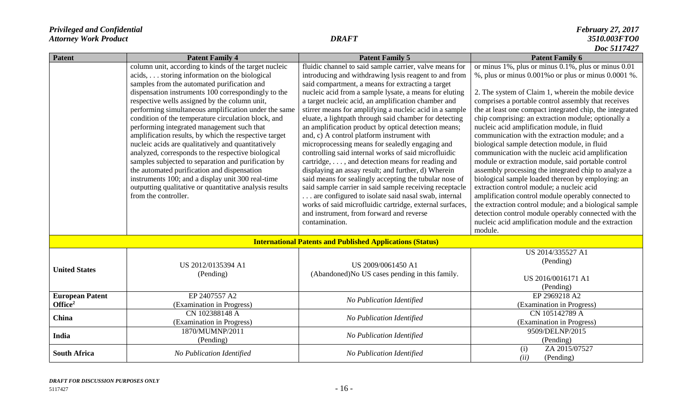| Patent                                        | <b>Patent Family 4</b><br>column unit, according to kinds of the target nucleic<br>acids, storing information on the biological<br>samples from the automated purification and<br>dispensation instruments 100 correspondingly to the<br>respective wells assigned by the column unit,<br>performing simultaneous amplification under the same<br>condition of the temperature circulation block, and<br>performing integrated management such that<br>amplification results, by which the respective target<br>nucleic acids are qualitatively and quantitatively<br>analyzed, corresponds to the respective biological<br>samples subjected to separation and purification by<br>the automated purification and dispensation<br>instruments 100; and a display unit 300 real-time<br>outputting qualitative or quantitative analysis results<br>from the controller. | <b>Patent Family 5</b><br>fluidic channel to said sample carrier, valve means for<br>introducing and withdrawing lysis reagent to and from<br>said compartment, a means for extracting a target<br>nucleic acid from a sample lysate, a means for eluting<br>a target nucleic acid, an amplification chamber and<br>stirrer means for amplifying a nucleic acid in a sample<br>eluate, a lightpath through said chamber for detecting<br>an amplification product by optical detection means;<br>and, c) A control platform instrument with<br>microprocessing means for sealedly engaging and<br>controlling said internal works of said microfluidic<br>cartridge, , and detection means for reading and<br>displaying an assay result; and further, d) Wherein<br>said means for sealingly accepting the tubular nose of<br>said sample carrier in said sample receiving receptacle<br>are configured to isolate said nasal swab, internal<br>works of said microfluidic cartridge, external surfaces, | <b>Patent Family 6</b><br>or minus 1%, plus or minus 0.1%, plus or minus 0.01<br>%, plus or minus 0.001% o or plus or minus 0.0001 %.<br>2. The system of Claim 1, wherein the mobile device<br>comprises a portable control assembly that receives<br>the at least one compact integrated chip, the integrated<br>chip comprising: an extraction module; optionally a<br>nucleic acid amplification module, in fluid<br>communication with the extraction module; and a<br>biological sample detection module, in fluid<br>communication with the nucleic acid amplification<br>module or extraction module, said portable control<br>assembly processing the integrated chip to analyze a<br>biological sample loaded thereon by employing: an<br>extraction control module; a nucleic acid<br>amplification control module operably connected to<br>the extraction control module; and a biological sample |
|-----------------------------------------------|------------------------------------------------------------------------------------------------------------------------------------------------------------------------------------------------------------------------------------------------------------------------------------------------------------------------------------------------------------------------------------------------------------------------------------------------------------------------------------------------------------------------------------------------------------------------------------------------------------------------------------------------------------------------------------------------------------------------------------------------------------------------------------------------------------------------------------------------------------------------|-----------------------------------------------------------------------------------------------------------------------------------------------------------------------------------------------------------------------------------------------------------------------------------------------------------------------------------------------------------------------------------------------------------------------------------------------------------------------------------------------------------------------------------------------------------------------------------------------------------------------------------------------------------------------------------------------------------------------------------------------------------------------------------------------------------------------------------------------------------------------------------------------------------------------------------------------------------------------------------------------------------|---------------------------------------------------------------------------------------------------------------------------------------------------------------------------------------------------------------------------------------------------------------------------------------------------------------------------------------------------------------------------------------------------------------------------------------------------------------------------------------------------------------------------------------------------------------------------------------------------------------------------------------------------------------------------------------------------------------------------------------------------------------------------------------------------------------------------------------------------------------------------------------------------------------|
|                                               |                                                                                                                                                                                                                                                                                                                                                                                                                                                                                                                                                                                                                                                                                                                                                                                                                                                                        | and instrument, from forward and reverse<br>contamination.                                                                                                                                                                                                                                                                                                                                                                                                                                                                                                                                                                                                                                                                                                                                                                                                                                                                                                                                                | detection control module operably connected with the<br>nucleic acid amplification module and the extraction<br>module.                                                                                                                                                                                                                                                                                                                                                                                                                                                                                                                                                                                                                                                                                                                                                                                       |
|                                               |                                                                                                                                                                                                                                                                                                                                                                                                                                                                                                                                                                                                                                                                                                                                                                                                                                                                        | <b>International Patents and Published Applications (Status)</b>                                                                                                                                                                                                                                                                                                                                                                                                                                                                                                                                                                                                                                                                                                                                                                                                                                                                                                                                          |                                                                                                                                                                                                                                                                                                                                                                                                                                                                                                                                                                                                                                                                                                                                                                                                                                                                                                               |
| <b>United States</b>                          | US 2012/0135394 A1<br>(Pending)                                                                                                                                                                                                                                                                                                                                                                                                                                                                                                                                                                                                                                                                                                                                                                                                                                        | US 2009/0061450 A1<br>(Abandoned)No US cases pending in this family.                                                                                                                                                                                                                                                                                                                                                                                                                                                                                                                                                                                                                                                                                                                                                                                                                                                                                                                                      | US 2014/335527 A1<br>(Pending)<br>US 2016/0016171 A1<br>(Pending)                                                                                                                                                                                                                                                                                                                                                                                                                                                                                                                                                                                                                                                                                                                                                                                                                                             |
| <b>European Patent</b><br>Office <sup>2</sup> | EP 2407557 A2<br>(Examination in Progress)                                                                                                                                                                                                                                                                                                                                                                                                                                                                                                                                                                                                                                                                                                                                                                                                                             | No Publication Identified                                                                                                                                                                                                                                                                                                                                                                                                                                                                                                                                                                                                                                                                                                                                                                                                                                                                                                                                                                                 | EP 2969218 A2<br>(Examination in Progress)                                                                                                                                                                                                                                                                                                                                                                                                                                                                                                                                                                                                                                                                                                                                                                                                                                                                    |
| China                                         | CN 102388148 A<br>(Examination in Progress)                                                                                                                                                                                                                                                                                                                                                                                                                                                                                                                                                                                                                                                                                                                                                                                                                            | No Publication Identified                                                                                                                                                                                                                                                                                                                                                                                                                                                                                                                                                                                                                                                                                                                                                                                                                                                                                                                                                                                 | CN 105142789 A<br>(Examination in Progress)                                                                                                                                                                                                                                                                                                                                                                                                                                                                                                                                                                                                                                                                                                                                                                                                                                                                   |
| India                                         | 1870/MUMNP/2011<br>(Pending)                                                                                                                                                                                                                                                                                                                                                                                                                                                                                                                                                                                                                                                                                                                                                                                                                                           | No Publication Identified                                                                                                                                                                                                                                                                                                                                                                                                                                                                                                                                                                                                                                                                                                                                                                                                                                                                                                                                                                                 | 9509/DELNP/2015<br>(Pending)                                                                                                                                                                                                                                                                                                                                                                                                                                                                                                                                                                                                                                                                                                                                                                                                                                                                                  |
| <b>South Africa</b>                           | No Publication Identified                                                                                                                                                                                                                                                                                                                                                                                                                                                                                                                                                                                                                                                                                                                                                                                                                                              | No Publication Identified                                                                                                                                                                                                                                                                                                                                                                                                                                                                                                                                                                                                                                                                                                                                                                                                                                                                                                                                                                                 | (i)<br>ZA 2015/07527<br>(Pending)<br>(ii)                                                                                                                                                                                                                                                                                                                                                                                                                                                                                                                                                                                                                                                                                                                                                                                                                                                                     |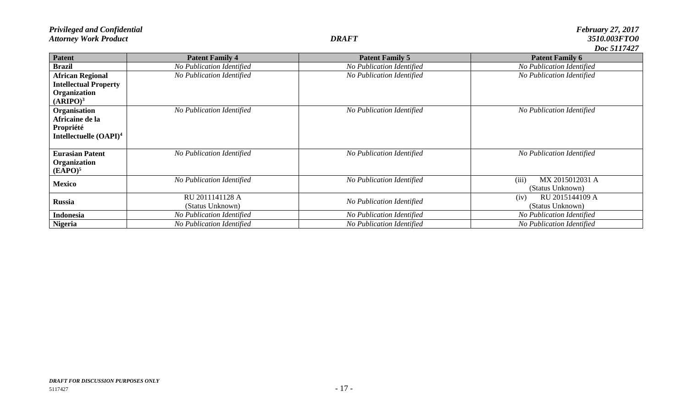|                                    |                           |                           | $\bm{\nu}$ ul jiinta      |
|------------------------------------|---------------------------|---------------------------|---------------------------|
| <b>Patent</b>                      | <b>Patent Family 4</b>    | <b>Patent Family 5</b>    | <b>Patent Family 6</b>    |
| <b>Brazil</b>                      | No Publication Identified | No Publication Identified | No Publication Identified |
| <b>African Regional</b>            | No Publication Identified | No Publication Identified | No Publication Identified |
| <b>Intellectual Property</b>       |                           |                           |                           |
| Organization                       |                           |                           |                           |
| (ARIPO) <sup>3</sup>               |                           |                           |                           |
| Organisation                       | No Publication Identified | No Publication Identified | No Publication Identified |
| Africaine de la                    |                           |                           |                           |
| Propriété                          |                           |                           |                           |
| Intellectuelle (OAPI) <sup>4</sup> |                           |                           |                           |
|                                    |                           |                           |                           |
| <b>Eurasian Patent</b>             | No Publication Identified | No Publication Identified | No Publication Identified |
| Organization                       |                           |                           |                           |
| (EAPO) <sup>5</sup>                |                           |                           |                           |
| <b>Mexico</b>                      | No Publication Identified | No Publication Identified | (iii)<br>MX 2015012031 A  |
|                                    |                           |                           | (Status Unknown)          |
| <b>Russia</b>                      | RU 2011141128 A           |                           | RU 2015144109 A<br>(iv)   |
|                                    | (Status Unknown)          | No Publication Identified | (Status Unknown)          |
| <b>Indonesia</b>                   | No Publication Identified | No Publication Identified | No Publication Identified |
| <b>Nigeria</b>                     | No Publication Identified | No Publication Identified | No Publication Identified |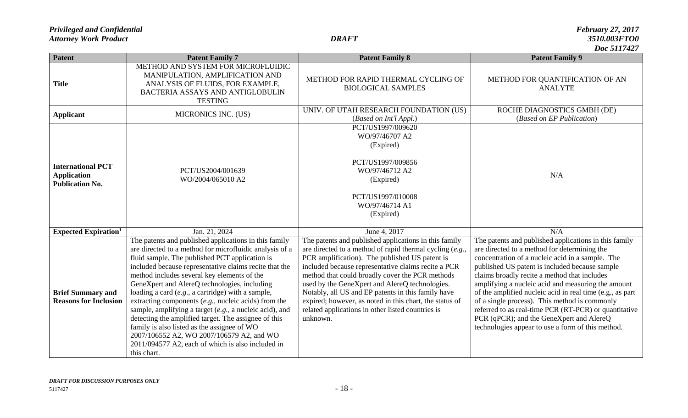| Patent                                                                   | <b>Patent Family 7</b>                                                                                                                                                                                                                                                                                                                                                                                                                                                                                                                                                                                                                                                                                                          | <b>Patent Family 8</b>                                                                                                                                                                                                                                                                                                                                                                                                                                                                                              | <b>Patent Family 9</b>                                                                                                                                                                                                                                                                                                                                                                                                                                                                                                                                                                    |
|--------------------------------------------------------------------------|---------------------------------------------------------------------------------------------------------------------------------------------------------------------------------------------------------------------------------------------------------------------------------------------------------------------------------------------------------------------------------------------------------------------------------------------------------------------------------------------------------------------------------------------------------------------------------------------------------------------------------------------------------------------------------------------------------------------------------|---------------------------------------------------------------------------------------------------------------------------------------------------------------------------------------------------------------------------------------------------------------------------------------------------------------------------------------------------------------------------------------------------------------------------------------------------------------------------------------------------------------------|-------------------------------------------------------------------------------------------------------------------------------------------------------------------------------------------------------------------------------------------------------------------------------------------------------------------------------------------------------------------------------------------------------------------------------------------------------------------------------------------------------------------------------------------------------------------------------------------|
| <b>Title</b>                                                             | METHOD AND SYSTEM FOR MICROFLUIDIC<br>MANIPULATION, AMPLIFICATION AND<br>ANALYSIS OF FLUIDS, FOR EXAMPLE,<br>BACTERIA ASSAYS AND ANTIGLOBULIN<br><b>TESTING</b>                                                                                                                                                                                                                                                                                                                                                                                                                                                                                                                                                                 | METHOD FOR RAPID THERMAL CYCLING OF<br><b>BIOLOGICAL SAMPLES</b>                                                                                                                                                                                                                                                                                                                                                                                                                                                    | METHOD FOR QUANTIFICATION OF AN<br><b>ANALYTE</b>                                                                                                                                                                                                                                                                                                                                                                                                                                                                                                                                         |
| <b>Applicant</b>                                                         | <b>MICRONICS INC. (US)</b>                                                                                                                                                                                                                                                                                                                                                                                                                                                                                                                                                                                                                                                                                                      | UNIV. OF UTAH RESEARCH FOUNDATION (US)<br>(Based on Int'l Appl.)                                                                                                                                                                                                                                                                                                                                                                                                                                                    | ROCHE DIAGNOSTICS GMBH (DE)<br>(Based on EP Publication)                                                                                                                                                                                                                                                                                                                                                                                                                                                                                                                                  |
| <b>International PCT</b><br><b>Application</b><br><b>Publication No.</b> | PCT/US2004/001639<br>WO/2004/065010 A2                                                                                                                                                                                                                                                                                                                                                                                                                                                                                                                                                                                                                                                                                          | PCT/US1997/009620<br>WO/97/46707 A2<br>(Expired)<br>PCT/US1997/009856<br>WO/97/46712 A2<br>(Expired)<br>PCT/US1997/010008<br>WO/97/46714 A1<br>(Expired)                                                                                                                                                                                                                                                                                                                                                            | N/A                                                                                                                                                                                                                                                                                                                                                                                                                                                                                                                                                                                       |
| <b>Expected Expiration</b> <sup>1</sup>                                  | Jan. 21, 2024                                                                                                                                                                                                                                                                                                                                                                                                                                                                                                                                                                                                                                                                                                                   | June 4, 2017                                                                                                                                                                                                                                                                                                                                                                                                                                                                                                        | N/A                                                                                                                                                                                                                                                                                                                                                                                                                                                                                                                                                                                       |
| <b>Brief Summary and</b><br><b>Reasons for Inclusion</b>                 | The patents and published applications in this family<br>are directed to a method for microfluidic analysis of a<br>fluid sample. The published PCT application is<br>included because representative claims recite that the<br>method includes several key elements of the<br>GeneXpert and AlereQ technologies, including<br>loading a card $(e.g., a$ cartridge) with a sample,<br>extracting components $(e.g.,$ nucleic acids) from the<br>sample, amplifying a target (e.g., a nucleic acid), and<br>detecting the amplified target. The assignee of this<br>family is also listed as the assignee of WO<br>2007/106552 A2, WO 2007/106579 A2, and WO<br>2011/094577 A2, each of which is also included in<br>this chart. | The patents and published applications in this family<br>are directed to a method of rapid thermal cycling $(e.g.,$<br>PCR amplification). The published US patent is<br>included because representative claims recite a PCR<br>method that could broadly cover the PCR methods<br>used by the GeneXpert and AlereQ technologies.<br>Notably, all US and EP patents in this family have<br>expired; however, as noted in this chart, the status of<br>related applications in other listed countries is<br>unknown. | The patents and published applications in this family<br>are directed to a method for determining the<br>concentration of a nucleic acid in a sample. The<br>published US patent is included because sample<br>claims broadly recite a method that includes<br>amplifying a nucleic acid and measuring the amount<br>of the amplified nucleic acid in real time (e.g., as part<br>of a single process). This method is commonly<br>referred to as real-time PCR (RT-PCR) or quantitative<br>PCR (qPCR); and the GeneXpert and AlereQ<br>technologies appear to use a form of this method. |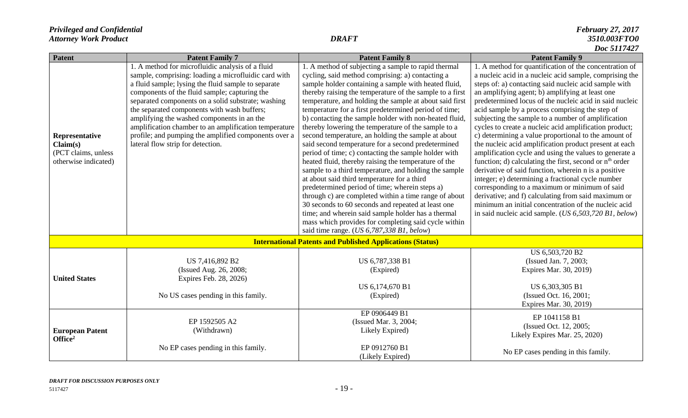| <b>Patent</b>                   | <b>Patent Family 7</b>                                | <b>Patent Family 8</b>                                                                                     | $D00 \, J11/74$<br><b>Patent Family 9</b>                                                                        |
|---------------------------------|-------------------------------------------------------|------------------------------------------------------------------------------------------------------------|------------------------------------------------------------------------------------------------------------------|
|                                 | 1. A method for microfluidic analysis of a fluid      | 1. A method of subjecting a sample to rapid thermal                                                        | 1. A method for quantification of the concentration of                                                           |
|                                 | sample, comprising: loading a microfluidic card with  | cycling, said method comprising: a) contacting a                                                           | a nucleic acid in a nucleic acid sample, comprising the                                                          |
|                                 | a fluid sample; lysing the fluid sample to separate   | sample holder containing a sample with heated fluid,                                                       | steps of: a) contacting said nucleic acid sample with                                                            |
|                                 | components of the fluid sample; capturing the         | thereby raising the temperature of the sample to a first                                                   | an amplifying agent; b) amplifying at least one                                                                  |
|                                 | separated components on a solid substrate; washing    | temperature, and holding the sample at about said first                                                    | predetermined locus of the nucleic acid in said nucleic                                                          |
|                                 | the separated components with wash buffers;           | temperature for a first predetermined period of time;                                                      | acid sample by a process comprising the step of                                                                  |
|                                 | amplifying the washed components in an the            | b) contacting the sample holder with non-heated fluid,                                                     | subjecting the sample to a number of amplification                                                               |
|                                 | amplification chamber to an amplification temperature | thereby lowering the temperature of the sample to a                                                        | cycles to create a nucleic acid amplification product;                                                           |
| Representative                  | profile; and pumping the amplified components over a  | second temperature, an holding the sample at about                                                         | c) determining a value proportional to the amount of                                                             |
| Claim(s)<br>(PCT claims, unless | lateral flow strip for detection.                     | said second temperature for a second predetermined<br>period of time; c) contacting the sample holder with | the nucleic acid amplification product present at each<br>amplification cycle and using the values to generate a |
| otherwise indicated)            |                                                       | heated fluid, thereby raising the temperature of the                                                       | function; d) calculating the first, second or $nth$ order                                                        |
|                                 |                                                       | sample to a third temperature, and holding the sample                                                      | derivative of said function, wherein n is a positive                                                             |
|                                 |                                                       | at about said third temperature for a third                                                                | integer; e) determining a fractional cycle number                                                                |
|                                 |                                                       | predetermined period of time; wherein steps a)                                                             | corresponding to a maximum or minimum of said                                                                    |
|                                 |                                                       | through c) are completed within a time range of about                                                      | derivative; and f) calculating from said maximum or                                                              |
|                                 |                                                       | 30 seconds to 60 seconds and repeated at least one                                                         | minimum an initial concentration of the nucleic acid                                                             |
|                                 |                                                       | time; and wherein said sample holder has a thermal                                                         | in said nucleic acid sample. ( $US\ 6,503,720\ B1,$ below)                                                       |
|                                 |                                                       | mass which provides for completing said cycle within                                                       |                                                                                                                  |
|                                 |                                                       | said time range. $(US\ 6,787,338\ B1, \ below)$                                                            |                                                                                                                  |
|                                 |                                                       | <b>International Patents and Published Applications (Status)</b>                                           |                                                                                                                  |
|                                 |                                                       |                                                                                                            | US 6,503,720 B2                                                                                                  |
|                                 | US 7,416,892 B2                                       | US 6,787,338 B1                                                                                            | (Issued Jan. 7, 2003;                                                                                            |
|                                 | (Issued Aug. 26, 2008;                                | (Expired)                                                                                                  | Expires Mar. 30, 2019)                                                                                           |
| <b>United States</b>            | Expires Feb. 28, 2026)                                |                                                                                                            |                                                                                                                  |
|                                 | No US cases pending in this family.                   | US 6,174,670 B1<br>(Expired)                                                                               | US 6,303,305 B1<br>(Issued Oct. 16, 2001;                                                                        |
|                                 |                                                       |                                                                                                            | Expires Mar. 30, 2019)                                                                                           |
|                                 |                                                       | EP 0906449 B1                                                                                              |                                                                                                                  |
|                                 | EP 1592505 A2                                         | (Issued Mar. 3, 2004;                                                                                      | EP 1041158 B1                                                                                                    |
| <b>European Patent</b>          | (Withdrawn)                                           | Likely Expired)                                                                                            | (Issued Oct. 12, 2005;                                                                                           |
| Office <sup>2</sup>             |                                                       |                                                                                                            | Likely Expires Mar. 25, 2020)                                                                                    |
|                                 | No EP cases pending in this family.                   | EP 0912760 B1                                                                                              | No EP cases pending in this family.                                                                              |
|                                 |                                                       | (Likely Expired)                                                                                           |                                                                                                                  |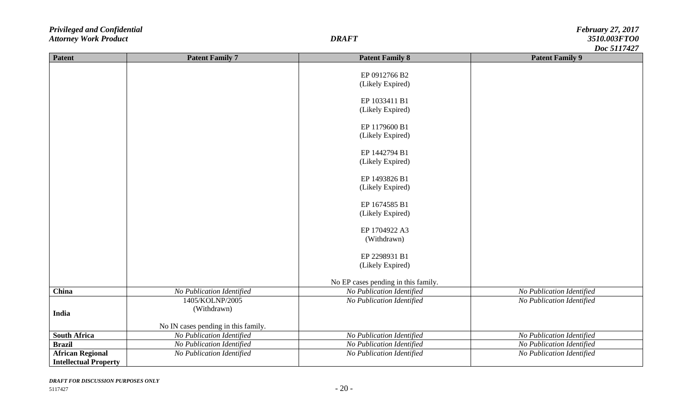| <b>Patent</b>                | <b>Patent Family 7</b>              | <b>Patent Family 8</b>                                           | <b>Patent Family 9</b>    |
|------------------------------|-------------------------------------|------------------------------------------------------------------|---------------------------|
|                              |                                     |                                                                  |                           |
|                              |                                     | EP 0912766 B2                                                    |                           |
|                              |                                     | (Likely Expired)                                                 |                           |
|                              |                                     | EP 1033411 B1                                                    |                           |
|                              |                                     | (Likely Expired)                                                 |                           |
|                              |                                     |                                                                  |                           |
|                              |                                     | EP 1179600 B1                                                    |                           |
|                              |                                     | (Likely Expired)                                                 |                           |
|                              |                                     |                                                                  |                           |
|                              |                                     | EP 1442794 B1<br>(Likely Expired)                                |                           |
|                              |                                     |                                                                  |                           |
|                              |                                     | EP 1493826 B1                                                    |                           |
|                              |                                     | (Likely Expired)                                                 |                           |
|                              |                                     |                                                                  |                           |
|                              |                                     | EP 1674585 B1                                                    |                           |
|                              |                                     | (Likely Expired)                                                 |                           |
|                              |                                     | EP 1704922 A3                                                    |                           |
|                              |                                     | (Withdrawn)                                                      |                           |
|                              |                                     |                                                                  |                           |
|                              |                                     | EP 2298931 B1                                                    |                           |
|                              |                                     | (Likely Expired)                                                 |                           |
|                              |                                     |                                                                  |                           |
| China                        | No Publication Identified           | No EP cases pending in this family.<br>No Publication Identified | No Publication Identified |
|                              | 1405/KOLNP/2005                     | No Publication Identified                                        | No Publication Identified |
|                              | (Withdrawn)                         |                                                                  |                           |
| India                        |                                     |                                                                  |                           |
|                              | No IN cases pending in this family. |                                                                  |                           |
| <b>South Africa</b>          | No Publication Identified           | No Publication Identified                                        | No Publication Identified |
| <b>Brazil</b>                | No Publication Identified           | No Publication Identified                                        | No Publication Identified |
| <b>African Regional</b>      | No Publication Identified           | No Publication Identified                                        | No Publication Identified |
| <b>Intellectual Property</b> |                                     |                                                                  |                           |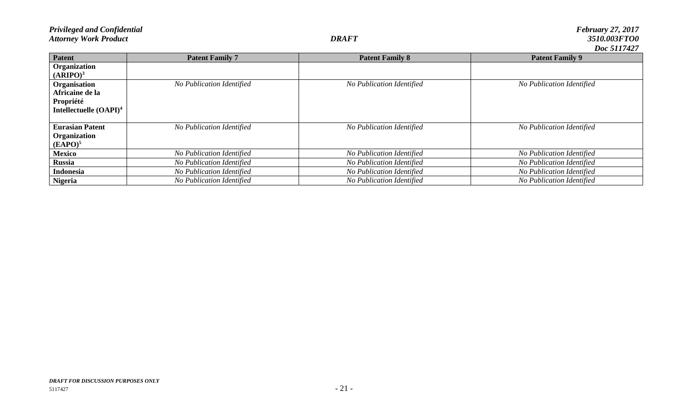| Patent                    | <b>Patent Family 7</b>    | <b>Patent Family 8</b>    | $1000 \, J11171$<br><b>Patent Family 9</b> |
|---------------------------|---------------------------|---------------------------|--------------------------------------------|
| Organization              |                           |                           |                                            |
|                           |                           |                           |                                            |
| (ARIPO) <sup>3</sup>      |                           |                           |                                            |
| Organisation              | No Publication Identified | No Publication Identified | No Publication Identified                  |
| Africaine de la           |                           |                           |                                            |
| Propriété                 |                           |                           |                                            |
| Intellectuelle $(OAPI)^4$ |                           |                           |                                            |
|                           |                           |                           |                                            |
| <b>Eurasian Patent</b>    | No Publication Identified | No Publication Identified | No Publication Identified                  |
| Organization              |                           |                           |                                            |
| $(EAPO)^5$                |                           |                           |                                            |
| <b>Mexico</b>             | No Publication Identified | No Publication Identified | No Publication Identified                  |
| <b>Russia</b>             | No Publication Identified | No Publication Identified | No Publication Identified                  |
| Indonesia                 | No Publication Identified | No Publication Identified | No Publication Identified                  |
| <b>Nigeria</b>            | No Publication Identified | No Publication Identified | No Publication Identified                  |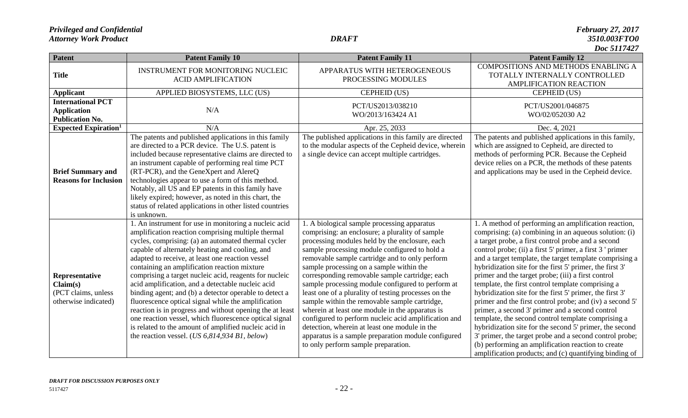| Patent                                                                    | <b>Patent Family 10</b>                                                                                                                                                                                                                                                                                                                                                                                                                                                                                                                                                                                                                                                                                                                                                                         | <b>Patent Family 11</b>                                                                                                                                                                                                                                                                                                                                                                                                                                                                                                                                                                                                                                                                                                                                                   | <b>Patent Family 12</b>                                                                                                                                                                                                                                                                                                                                                                                                                                                                                                                                                                                                                                                                                                                                                                                                                                                                                                                   |
|---------------------------------------------------------------------------|-------------------------------------------------------------------------------------------------------------------------------------------------------------------------------------------------------------------------------------------------------------------------------------------------------------------------------------------------------------------------------------------------------------------------------------------------------------------------------------------------------------------------------------------------------------------------------------------------------------------------------------------------------------------------------------------------------------------------------------------------------------------------------------------------|---------------------------------------------------------------------------------------------------------------------------------------------------------------------------------------------------------------------------------------------------------------------------------------------------------------------------------------------------------------------------------------------------------------------------------------------------------------------------------------------------------------------------------------------------------------------------------------------------------------------------------------------------------------------------------------------------------------------------------------------------------------------------|-------------------------------------------------------------------------------------------------------------------------------------------------------------------------------------------------------------------------------------------------------------------------------------------------------------------------------------------------------------------------------------------------------------------------------------------------------------------------------------------------------------------------------------------------------------------------------------------------------------------------------------------------------------------------------------------------------------------------------------------------------------------------------------------------------------------------------------------------------------------------------------------------------------------------------------------|
| <b>Title</b>                                                              | INSTRUMENT FOR MONITORING NUCLEIC<br><b>ACID AMPLIFICATION</b>                                                                                                                                                                                                                                                                                                                                                                                                                                                                                                                                                                                                                                                                                                                                  | APPARATUS WITH HETEROGENEOUS<br>PROCESSING MODULES                                                                                                                                                                                                                                                                                                                                                                                                                                                                                                                                                                                                                                                                                                                        | COMPOSITIONS AND METHODS ENABLING A<br>TOTALLY INTERNALLY CONTROLLED<br><b>AMPLIFICATION REACTION</b>                                                                                                                                                                                                                                                                                                                                                                                                                                                                                                                                                                                                                                                                                                                                                                                                                                     |
| <b>Applicant</b>                                                          | APPLIED BIOSYSTEMS, LLC (US)                                                                                                                                                                                                                                                                                                                                                                                                                                                                                                                                                                                                                                                                                                                                                                    | CEPHEID (US)                                                                                                                                                                                                                                                                                                                                                                                                                                                                                                                                                                                                                                                                                                                                                              | CEPHEID (US)                                                                                                                                                                                                                                                                                                                                                                                                                                                                                                                                                                                                                                                                                                                                                                                                                                                                                                                              |
| <b>International PCT</b><br><b>Application</b><br><b>Publication No.</b>  | N/A                                                                                                                                                                                                                                                                                                                                                                                                                                                                                                                                                                                                                                                                                                                                                                                             | PCT/US2013/038210<br>WO/2013/163424 A1                                                                                                                                                                                                                                                                                                                                                                                                                                                                                                                                                                                                                                                                                                                                    | PCT/US2001/046875<br>WO/02/052030 A2                                                                                                                                                                                                                                                                                                                                                                                                                                                                                                                                                                                                                                                                                                                                                                                                                                                                                                      |
| <b>Expected Expiration</b> <sup>1</sup>                                   | N/A                                                                                                                                                                                                                                                                                                                                                                                                                                                                                                                                                                                                                                                                                                                                                                                             | Apr. 25, 2033                                                                                                                                                                                                                                                                                                                                                                                                                                                                                                                                                                                                                                                                                                                                                             | Dec. 4, 2021                                                                                                                                                                                                                                                                                                                                                                                                                                                                                                                                                                                                                                                                                                                                                                                                                                                                                                                              |
| <b>Brief Summary and</b><br><b>Reasons for Inclusion</b>                  | The patents and published applications in this family<br>are directed to a PCR device. The U.S. patent is<br>included because representative claims are directed to<br>an instrument capable of performing real time PCT<br>(RT-PCR), and the GeneXpert and AlereQ<br>technologies appear to use a form of this method.<br>Notably, all US and EP patents in this family have<br>likely expired; however, as noted in this chart, the<br>status of related applications in other listed countries<br>is unknown.                                                                                                                                                                                                                                                                                | The published applications in this family are directed<br>to the modular aspects of the Cepheid device, wherein<br>a single device can accept multiple cartridges.                                                                                                                                                                                                                                                                                                                                                                                                                                                                                                                                                                                                        | The patents and published applications in this family,<br>which are assigned to Cepheid, are directed to<br>methods of performing PCR. Because the Cepheid<br>device relies on a PCR, the methods of these patents<br>and applications may be used in the Cepheid device.                                                                                                                                                                                                                                                                                                                                                                                                                                                                                                                                                                                                                                                                 |
| Representative<br>Claim(s)<br>(PCT claims, unless<br>otherwise indicated) | 1. An instrument for use in monitoring a nucleic acid<br>amplification reaction comprising multiple thermal<br>cycles, comprising: (a) an automated thermal cycler<br>capable of alternately heating and cooling, and<br>adapted to receive, at least one reaction vessel<br>containing an amplification reaction mixture<br>comprising a target nucleic acid, reagents for nucleic<br>acid amplification, and a detectable nucleic acid<br>binding agent; and (b) a detector operable to detect a<br>fluorescence optical signal while the amplification<br>reaction is in progress and without opening the at least<br>one reaction vessel, which fluorescence optical signal<br>is related to the amount of amplified nucleic acid in<br>the reaction vessel. ( $US\,6,814,934\,BI$ , below) | 1. A biological sample processing apparatus<br>comprising: an enclosure; a plurality of sample<br>processing modules held by the enclosure, each<br>sample processing module configured to hold a<br>removable sample cartridge and to only perform<br>sample processing on a sample within the<br>corresponding removable sample cartridge; each<br>sample processing module configured to perform at<br>least one of a plurality of testing processes on the<br>sample within the removable sample cartridge,<br>wherein at least one module in the apparatus is<br>configured to perform nucleic acid amplification and<br>detection, wherein at least one module in the<br>apparatus is a sample preparation module configured<br>to only perform sample preparation. | 1. A method of performing an amplification reaction,<br>comprising: (a) combining in an aqueous solution: (i)<br>a target probe, a first control probe and a second<br>control probe; (ii) a first 5' primer, a first 3 ' primer<br>and a target template, the target template comprising a<br>hybridization site for the first 5' primer, the first 3'<br>primer and the target probe; (iii) a first control<br>template, the first control template comprising a<br>hybridization site for the first 5' primer, the first 3'<br>primer and the first control probe; and (iv) a second 5'<br>primer, a second 3' primer and a second control<br>template, the second control template comprising a<br>hybridization site for the second 5' primer, the second<br>3' primer, the target probe and a second control probe;<br>(b) performing an amplification reaction to create<br>amplification products; and (c) quantifying binding of |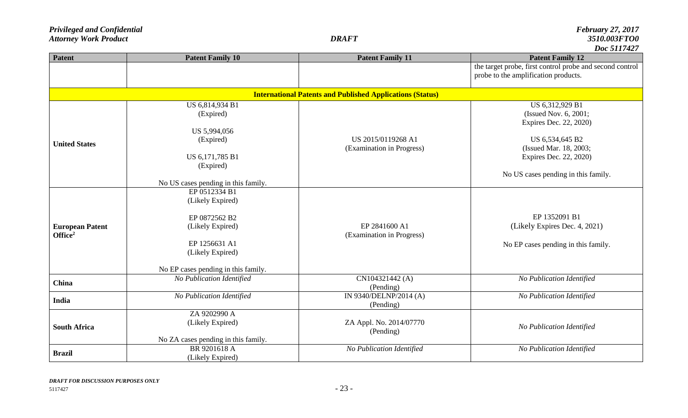| Patent                 | <b>Patent Family 10</b>                                          | <b>Patent Family 11</b>      | <b>Patent Family 12</b>                                  |  |  |
|------------------------|------------------------------------------------------------------|------------------------------|----------------------------------------------------------|--|--|
|                        |                                                                  |                              | the target probe, first control probe and second control |  |  |
|                        |                                                                  |                              | probe to the amplification products.                     |  |  |
|                        | <b>International Patents and Published Applications (Status)</b> |                              |                                                          |  |  |
|                        | US 6,814,934 B1                                                  |                              | US 6,312,929 B1                                          |  |  |
|                        | (Expired)                                                        |                              | (Issued Nov. 6, 2001;<br>Expires Dec. 22, 2020)          |  |  |
|                        | US 5,994,056                                                     |                              |                                                          |  |  |
| <b>United States</b>   | (Expired)                                                        | US 2015/0119268 A1           | US 6,534,645 B2                                          |  |  |
|                        |                                                                  | (Examination in Progress)    | (Issued Mar. 18, 2003;                                   |  |  |
|                        | US 6,171,785 B1<br>(Expired)                                     |                              | Expires Dec. 22, 2020)                                   |  |  |
|                        |                                                                  |                              | No US cases pending in this family.                      |  |  |
|                        | No US cases pending in this family.                              |                              |                                                          |  |  |
|                        | EP 0512334 B1                                                    |                              |                                                          |  |  |
|                        | (Likely Expired)                                                 |                              |                                                          |  |  |
|                        | EP 0872562 B2                                                    |                              | EP 1352091 B1                                            |  |  |
| <b>European Patent</b> | (Likely Expired)                                                 | EP 2841600 A1                | (Likely Expires Dec. 4, 2021)                            |  |  |
| Office <sup>2</sup>    | EP 1256631 A1                                                    | (Examination in Progress)    |                                                          |  |  |
|                        | (Likely Expired)                                                 |                              | No EP cases pending in this family.                      |  |  |
|                        |                                                                  |                              |                                                          |  |  |
|                        | No EP cases pending in this family.                              |                              |                                                          |  |  |
| China                  | No Publication Identified                                        | CN104321442 (A)<br>(Pending) | No Publication Identified                                |  |  |
|                        | No Publication Identified                                        | IN 9340/DELNP/2014 (A)       | No Publication Identified                                |  |  |
| India                  |                                                                  | (Pending)                    |                                                          |  |  |
|                        | ZA 9202990 A                                                     |                              |                                                          |  |  |
| <b>South Africa</b>    | (Likely Expired)                                                 | ZA Appl. No. 2014/07770      | No Publication Identified                                |  |  |
|                        | No ZA cases pending in this family.                              | (Pending)                    |                                                          |  |  |
|                        | BR 9201618 A                                                     | No Publication Identified    | No Publication Identified                                |  |  |
| <b>Brazil</b>          | (Likely Expired)                                                 |                              |                                                          |  |  |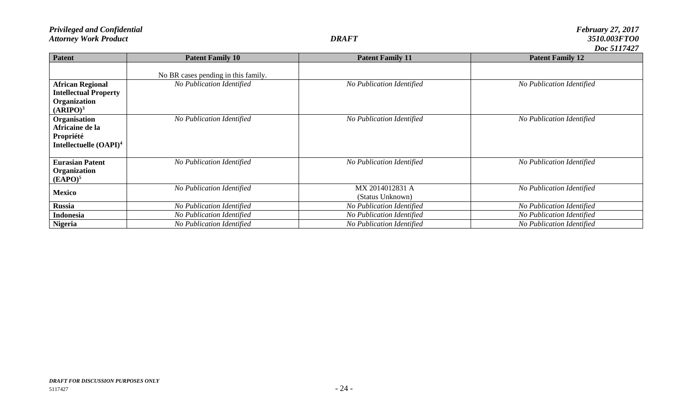|                                                                                                 |                                     |                                     | $\bm{\nu}$ vv jiintiin    |
|-------------------------------------------------------------------------------------------------|-------------------------------------|-------------------------------------|---------------------------|
| <b>Patent</b>                                                                                   | <b>Patent Family 10</b>             | <b>Patent Family 11</b>             | <b>Patent Family 12</b>   |
|                                                                                                 | No BR cases pending in this family. |                                     |                           |
| <b>African Regional</b><br><b>Intellectual Property</b><br>Organization<br>(ARIPO) <sup>3</sup> | No Publication Identified           | No Publication Identified           | No Publication Identified |
| Organisation<br>Africaine de la<br>Propriété<br>Intellectuelle (OAPI) <sup>4</sup>              | No Publication Identified           | No Publication Identified           | No Publication Identified |
| <b>Eurasian Patent</b><br>Organization<br>$(EAPO)^5$                                            | No Publication Identified           | No Publication Identified           | No Publication Identified |
| <b>Mexico</b>                                                                                   | No Publication Identified           | MX 2014012831 A<br>(Status Unknown) | No Publication Identified |
| <b>Russia</b>                                                                                   | No Publication Identified           | No Publication Identified           | No Publication Identified |
| <b>Indonesia</b>                                                                                | No Publication Identified           | No Publication Identified           | No Publication Identified |
| <b>Nigeria</b>                                                                                  | No Publication Identified           | No Publication Identified           | No Publication Identified |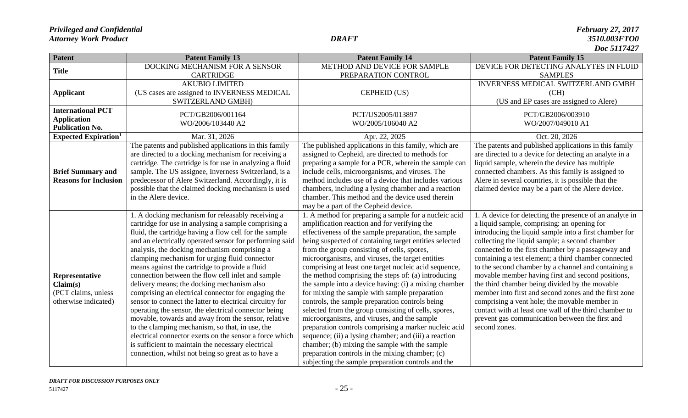| Patent                                                                    | <b>Patent Family 13</b>                                                                                                                                                                                                                                                                                                                                                                                                                                                                                                                                                                                                                                                                                                                                                                                                                                                                                                                          | <b>Patent Family 14</b>                                                                                                                                                                                                                                                                                                                                                                                                                                                                                                                                                                                                                                                                                                                                                                                                                                                                                                                                                                    | <b>Patent Family 15</b>                                                                                                                                                                                                                                                                                                                                                                                                                                                                                                                                                                                                                                                                                                                |
|---------------------------------------------------------------------------|--------------------------------------------------------------------------------------------------------------------------------------------------------------------------------------------------------------------------------------------------------------------------------------------------------------------------------------------------------------------------------------------------------------------------------------------------------------------------------------------------------------------------------------------------------------------------------------------------------------------------------------------------------------------------------------------------------------------------------------------------------------------------------------------------------------------------------------------------------------------------------------------------------------------------------------------------|--------------------------------------------------------------------------------------------------------------------------------------------------------------------------------------------------------------------------------------------------------------------------------------------------------------------------------------------------------------------------------------------------------------------------------------------------------------------------------------------------------------------------------------------------------------------------------------------------------------------------------------------------------------------------------------------------------------------------------------------------------------------------------------------------------------------------------------------------------------------------------------------------------------------------------------------------------------------------------------------|----------------------------------------------------------------------------------------------------------------------------------------------------------------------------------------------------------------------------------------------------------------------------------------------------------------------------------------------------------------------------------------------------------------------------------------------------------------------------------------------------------------------------------------------------------------------------------------------------------------------------------------------------------------------------------------------------------------------------------------|
| <b>Title</b>                                                              | DOCKING MECHANISM FOR A SENSOR<br><b>CARTRIDGE</b>                                                                                                                                                                                                                                                                                                                                                                                                                                                                                                                                                                                                                                                                                                                                                                                                                                                                                               | METHOD AND DEVICE FOR SAMPLE<br>PREPARATION CONTROL                                                                                                                                                                                                                                                                                                                                                                                                                                                                                                                                                                                                                                                                                                                                                                                                                                                                                                                                        | DEVICE FOR DETECTING ANALYTES IN FLUID<br><b>SAMPLES</b>                                                                                                                                                                                                                                                                                                                                                                                                                                                                                                                                                                                                                                                                               |
| <b>Applicant</b>                                                          | <b>AKUBIO LIMITED</b><br>(US cases are assigned to INVERNESS MEDICAL<br>SWITZERLAND GMBH)                                                                                                                                                                                                                                                                                                                                                                                                                                                                                                                                                                                                                                                                                                                                                                                                                                                        | CEPHEID (US)                                                                                                                                                                                                                                                                                                                                                                                                                                                                                                                                                                                                                                                                                                                                                                                                                                                                                                                                                                               | INVERNESS MEDICAL SWITZERLAND GMBH<br>(CH)<br>(US and EP cases are assigned to Alere)                                                                                                                                                                                                                                                                                                                                                                                                                                                                                                                                                                                                                                                  |
| <b>International PCT</b><br><b>Application</b><br><b>Publication No.</b>  | PCT/GB2006/001164<br>WO/2006/103440 A2                                                                                                                                                                                                                                                                                                                                                                                                                                                                                                                                                                                                                                                                                                                                                                                                                                                                                                           | PCT/US2005/013897<br>WO/2005/106040 A2                                                                                                                                                                                                                                                                                                                                                                                                                                                                                                                                                                                                                                                                                                                                                                                                                                                                                                                                                     | PCT/GB2006/003910<br>WO/2007/049010 A1                                                                                                                                                                                                                                                                                                                                                                                                                                                                                                                                                                                                                                                                                                 |
| <b>Expected Expiration</b> <sup>1</sup>                                   | Mar. 31, 2026                                                                                                                                                                                                                                                                                                                                                                                                                                                                                                                                                                                                                                                                                                                                                                                                                                                                                                                                    | Apr. 22, 2025                                                                                                                                                                                                                                                                                                                                                                                                                                                                                                                                                                                                                                                                                                                                                                                                                                                                                                                                                                              | Oct. 20, 2026                                                                                                                                                                                                                                                                                                                                                                                                                                                                                                                                                                                                                                                                                                                          |
| <b>Brief Summary and</b><br><b>Reasons for Inclusion</b>                  | The patents and published applications in this family<br>are directed to a docking mechanism for receiving a<br>cartridge. The cartridge is for use in analyzing a fluid<br>sample. The US assignee, Inverness Switzerland, is a<br>predecessor of Alere Switzerland. Accordingly, it is<br>possible that the claimed docking mechanism is used<br>in the Alere device.                                                                                                                                                                                                                                                                                                                                                                                                                                                                                                                                                                          | The published applications in this family, which are<br>assigned to Cepheid, are directed to methods for<br>preparing a sample for a PCR, wherein the sample can<br>include cells, microorganisms, and viruses. The<br>method includes use of a device that includes various<br>chambers, including a lysing chamber and a reaction<br>chamber. This method and the device used therein<br>may be a part of the Cepheid device.                                                                                                                                                                                                                                                                                                                                                                                                                                                                                                                                                            | The patents and published applications in this family<br>are directed to a device for detecting an analyte in a<br>liquid sample, wherein the device has multiple<br>connected chambers. As this family is assigned to<br>Alere in several countries, it is possible that the<br>claimed device may be a part of the Alere device.                                                                                                                                                                                                                                                                                                                                                                                                     |
| Representative<br>Claim(s)<br>(PCT claims, unless<br>otherwise indicated) | 1. A docking mechanism for releasably receiving a<br>cartridge for use in analysing a sample comprising a<br>fluid, the cartridge having a flow cell for the sample<br>and an electrically operated sensor for performing said<br>analysis, the docking mechanism comprising a<br>clamping mechanism for urging fluid connector<br>means against the cartridge to provide a fluid<br>connection between the flow cell inlet and sample<br>delivery means; the docking mechanism also<br>comprising an electrical connector for engaging the<br>sensor to connect the latter to electrical circuitry for<br>operating the sensor, the electrical connector being<br>movable, towards and away from the sensor, relative<br>to the clamping mechanism, so that, in use, the<br>electrical connector exerts on the sensor a force which<br>is sufficient to maintain the necessary electrical<br>connection, whilst not being so great as to have a | 1. A method for preparing a sample for a nucleic acid<br>amplification reaction and for verifying the<br>effectiveness of the sample preparation, the sample<br>being suspected of containing target entities selected<br>from the group consisting of cells, spores,<br>microorganisms, and viruses, the target entities<br>comprising at least one target nucleic acid sequence,<br>the method comprising the steps of: (a) introducing<br>the sample into a device having: (i) a mixing chamber<br>for mixing the sample with sample preparation<br>controls, the sample preparation controls being<br>selected from the group consisting of cells, spores,<br>microorganisms, and viruses, and the sample<br>preparation controls comprising a marker nucleic acid<br>sequence; (ii) a lysing chamber; and (iii) a reaction<br>chamber; (b) mixing the sample with the sample<br>preparation controls in the mixing chamber; (c)<br>subjecting the sample preparation controls and the | 1. A device for detecting the presence of an analyte in<br>a liquid sample, comprising: an opening for<br>introducing the liquid sample into a first chamber for<br>collecting the liquid sample; a second chamber<br>connected to the first chamber by a passageway and<br>containing a test element; a third chamber connected<br>to the second chamber by a channel and containing a<br>movable member having first and second positions,<br>the third chamber being divided by the movable<br>member into first and second zones and the first zone<br>comprising a vent hole; the movable member in<br>contact with at least one wall of the third chamber to<br>prevent gas communication between the first and<br>second zones. |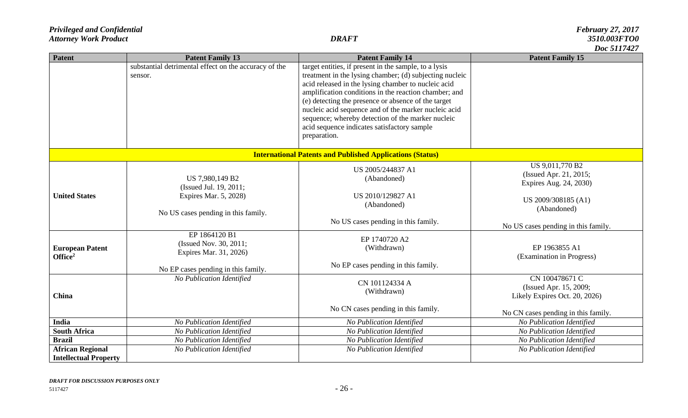|                              |                                                       |                                                                  | $D00 \, J11/721$                    |
|------------------------------|-------------------------------------------------------|------------------------------------------------------------------|-------------------------------------|
| Patent                       | <b>Patent Family 13</b>                               | <b>Patent Family 14</b>                                          | <b>Patent Family 15</b>             |
|                              | substantial detrimental effect on the accuracy of the | target entities, if present in the sample, to a lysis            |                                     |
|                              | sensor.                                               | treatment in the lysing chamber; (d) subjecting nucleic          |                                     |
|                              |                                                       | acid released in the lysing chamber to nucleic acid              |                                     |
|                              |                                                       | amplification conditions in the reaction chamber; and            |                                     |
|                              |                                                       | (e) detecting the presence or absence of the target              |                                     |
|                              |                                                       | nucleic acid sequence and of the marker nucleic acid             |                                     |
|                              |                                                       | sequence; whereby detection of the marker nucleic                |                                     |
|                              |                                                       | acid sequence indicates satisfactory sample                      |                                     |
|                              |                                                       | preparation.                                                     |                                     |
|                              |                                                       | <b>International Patents and Published Applications (Status)</b> |                                     |
|                              |                                                       |                                                                  | US 9,011,770 B2                     |
|                              |                                                       | US 2005/244837 A1                                                | (Issued Apr. 21, 2015;              |
|                              | US 7,980,149 B2                                       | (Abandoned)                                                      | Expires Aug. 24, 2030)              |
| <b>United States</b>         | (Issued Jul. 19, 2011;<br>Expires Mar. 5, 2028)       | US 2010/129827 A1                                                |                                     |
|                              |                                                       | (Abandoned)                                                      | US 2009/308185 (A1)                 |
|                              | No US cases pending in this family.                   |                                                                  | (Abandoned)                         |
|                              |                                                       | No US cases pending in this family.                              |                                     |
|                              |                                                       |                                                                  | No US cases pending in this family. |
|                              | EP 1864120 B1                                         | EP 1740720 A2                                                    |                                     |
| <b>European Patent</b>       | (Issued Nov. 30, 2011;                                | (Withdrawn)                                                      | EP 1963855 A1                       |
| Office <sup>2</sup>          | Expires Mar. 31, 2026)                                |                                                                  | (Examination in Progress)           |
|                              |                                                       | No EP cases pending in this family.                              |                                     |
|                              | No EP cases pending in this family.                   |                                                                  |                                     |
|                              | No Publication Identified                             | CN 101124334 A                                                   | CN 100478671 C                      |
|                              |                                                       | (Withdrawn)                                                      | (Issued Apr. 15, 2009;              |
| <b>China</b>                 |                                                       |                                                                  | Likely Expires Oct. 20, 2026)       |
|                              |                                                       | No CN cases pending in this family.                              | No CN cases pending in this family. |
| India                        | No Publication Identified                             | No Publication Identified                                        | No Publication Identified           |
| <b>South Africa</b>          | No Publication Identified                             | No Publication Identified                                        | No Publication Identified           |
| <b>Brazil</b>                | No Publication Identified                             | No Publication Identified                                        | No Publication Identified           |
| <b>African Regional</b>      | No Publication Identified                             | No Publication Identified                                        | No Publication Identified           |
| <b>Intellectual Property</b> |                                                       |                                                                  |                                     |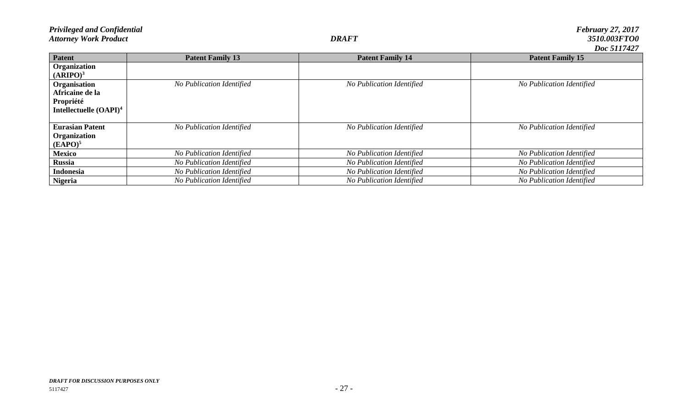| Patent                    | <b>Patent Family 13</b>   | <b>Patent Family 14</b>   | $\bm{\nu}$ vv Jiii Tei<br><b>Patent Family 15</b> |
|---------------------------|---------------------------|---------------------------|---------------------------------------------------|
| Organization              |                           |                           |                                                   |
| (ARIPO) <sup>3</sup>      |                           |                           |                                                   |
|                           |                           |                           |                                                   |
| Organisation              | No Publication Identified | No Publication Identified | No Publication Identified                         |
| Africaine de la           |                           |                           |                                                   |
| Propriété                 |                           |                           |                                                   |
| Intellectuelle $(OAPI)^4$ |                           |                           |                                                   |
|                           |                           |                           |                                                   |
| <b>Eurasian Patent</b>    | No Publication Identified | No Publication Identified | No Publication Identified                         |
| Organization              |                           |                           |                                                   |
| $(EAPO)^5$                |                           |                           |                                                   |
| <b>Mexico</b>             | No Publication Identified | No Publication Identified | No Publication Identified                         |
| Russia                    | No Publication Identified | No Publication Identified | No Publication Identified                         |
| Indonesia                 | No Publication Identified | No Publication Identified | No Publication Identified                         |
| <b>Nigeria</b>            | No Publication Identified | No Publication Identified | No Publication Identified                         |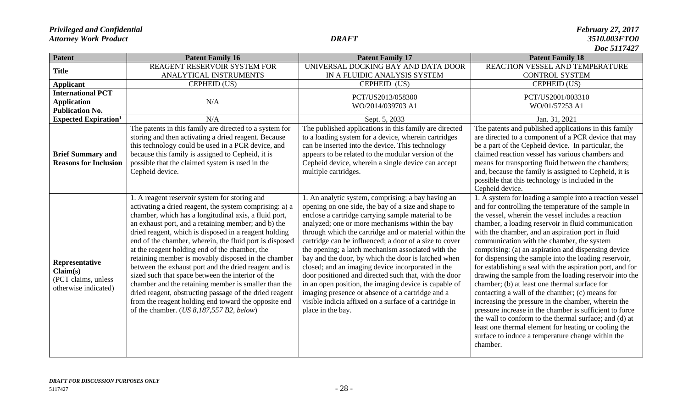| Patent                                                                    | <b>Patent Family 16</b>                                                                                                                                                                                                                                                                                                                                                                                                                                                                                                                                                                                                                                                                                                                                                                        | <b>Patent Family 17</b>                                                                                                                                                                                                                                                                                                                                                                                                                                                                                                                                                                                                                                                                                                                                       | <b>Patent Family 18</b>                                                                                                                                                                                                                                                                                                                                                                                                                                                                                                                                                                                                                                                                                                                                                                                                                                                                                                                                                         |
|---------------------------------------------------------------------------|------------------------------------------------------------------------------------------------------------------------------------------------------------------------------------------------------------------------------------------------------------------------------------------------------------------------------------------------------------------------------------------------------------------------------------------------------------------------------------------------------------------------------------------------------------------------------------------------------------------------------------------------------------------------------------------------------------------------------------------------------------------------------------------------|---------------------------------------------------------------------------------------------------------------------------------------------------------------------------------------------------------------------------------------------------------------------------------------------------------------------------------------------------------------------------------------------------------------------------------------------------------------------------------------------------------------------------------------------------------------------------------------------------------------------------------------------------------------------------------------------------------------------------------------------------------------|---------------------------------------------------------------------------------------------------------------------------------------------------------------------------------------------------------------------------------------------------------------------------------------------------------------------------------------------------------------------------------------------------------------------------------------------------------------------------------------------------------------------------------------------------------------------------------------------------------------------------------------------------------------------------------------------------------------------------------------------------------------------------------------------------------------------------------------------------------------------------------------------------------------------------------------------------------------------------------|
| <b>Title</b>                                                              | REAGENT RESERVOIR SYSTEM FOR                                                                                                                                                                                                                                                                                                                                                                                                                                                                                                                                                                                                                                                                                                                                                                   | UNIVERSAL DOCKING BAY AND DATA DOOR                                                                                                                                                                                                                                                                                                                                                                                                                                                                                                                                                                                                                                                                                                                           | REACTION VESSEL AND TEMPERATURE                                                                                                                                                                                                                                                                                                                                                                                                                                                                                                                                                                                                                                                                                                                                                                                                                                                                                                                                                 |
|                                                                           | ANALYTICAL INSTRUMENTS                                                                                                                                                                                                                                                                                                                                                                                                                                                                                                                                                                                                                                                                                                                                                                         | IN A FLUIDIC ANALYSIS SYSTEM                                                                                                                                                                                                                                                                                                                                                                                                                                                                                                                                                                                                                                                                                                                                  | <b>CONTROL SYSTEM</b>                                                                                                                                                                                                                                                                                                                                                                                                                                                                                                                                                                                                                                                                                                                                                                                                                                                                                                                                                           |
| <b>Applicant</b>                                                          | CEPHEID (US)                                                                                                                                                                                                                                                                                                                                                                                                                                                                                                                                                                                                                                                                                                                                                                                   | CEPHEID (US)                                                                                                                                                                                                                                                                                                                                                                                                                                                                                                                                                                                                                                                                                                                                                  | CEPHEID (US)                                                                                                                                                                                                                                                                                                                                                                                                                                                                                                                                                                                                                                                                                                                                                                                                                                                                                                                                                                    |
| <b>International PCT</b>                                                  |                                                                                                                                                                                                                                                                                                                                                                                                                                                                                                                                                                                                                                                                                                                                                                                                | PCT/US2013/058300                                                                                                                                                                                                                                                                                                                                                                                                                                                                                                                                                                                                                                                                                                                                             | PCT/US2001/003310                                                                                                                                                                                                                                                                                                                                                                                                                                                                                                                                                                                                                                                                                                                                                                                                                                                                                                                                                               |
| <b>Application</b>                                                        | N/A                                                                                                                                                                                                                                                                                                                                                                                                                                                                                                                                                                                                                                                                                                                                                                                            | WO/2014/039703 A1                                                                                                                                                                                                                                                                                                                                                                                                                                                                                                                                                                                                                                                                                                                                             | WO/01/57253 A1                                                                                                                                                                                                                                                                                                                                                                                                                                                                                                                                                                                                                                                                                                                                                                                                                                                                                                                                                                  |
| <b>Publication No.</b><br><b>Expected Expiration</b> <sup>1</sup>         | N/A                                                                                                                                                                                                                                                                                                                                                                                                                                                                                                                                                                                                                                                                                                                                                                                            | Sept. 5, 2033                                                                                                                                                                                                                                                                                                                                                                                                                                                                                                                                                                                                                                                                                                                                                 | Jan. 31, 2021                                                                                                                                                                                                                                                                                                                                                                                                                                                                                                                                                                                                                                                                                                                                                                                                                                                                                                                                                                   |
|                                                                           | The patents in this family are directed to a system for                                                                                                                                                                                                                                                                                                                                                                                                                                                                                                                                                                                                                                                                                                                                        | The published applications in this family are directed                                                                                                                                                                                                                                                                                                                                                                                                                                                                                                                                                                                                                                                                                                        | The patents and published applications in this family                                                                                                                                                                                                                                                                                                                                                                                                                                                                                                                                                                                                                                                                                                                                                                                                                                                                                                                           |
| <b>Brief Summary and</b><br><b>Reasons for Inclusion</b>                  | storing and then activating a dried reagent. Because<br>this technology could be used in a PCR device, and<br>because this family is assigned to Cepheid, it is<br>possible that the claimed system is used in the<br>Cepheid device.                                                                                                                                                                                                                                                                                                                                                                                                                                                                                                                                                          | to a loading system for a device, wherein cartridges<br>can be inserted into the device. This technology<br>appears to be related to the modular version of the<br>Cepheid device, wherein a single device can accept<br>multiple cartridges.                                                                                                                                                                                                                                                                                                                                                                                                                                                                                                                 | are directed to a component of a PCR device that may<br>be a part of the Cepheid device. In particular, the<br>claimed reaction vessel has various chambers and<br>means for transporting fluid between the chambers;<br>and, because the family is assigned to Cepheid, it is<br>possible that this technology is included in the<br>Cepheid device.                                                                                                                                                                                                                                                                                                                                                                                                                                                                                                                                                                                                                           |
| Representative<br>Claim(s)<br>(PCT claims, unless<br>otherwise indicated) | 1. A reagent reservoir system for storing and<br>activating a dried reagent, the system comprising: a) a<br>chamber, which has a longitudinal axis, a fluid port,<br>an exhaust port, and a retaining member; and b) the<br>dried reagent, which is disposed in a reagent holding<br>end of the chamber, wherein, the fluid port is disposed<br>at the reagent holding end of the chamber, the<br>retaining member is movably disposed in the chamber<br>between the exhaust port and the dried reagent and is<br>sized such that space between the interior of the<br>chamber and the retaining member is smaller than the<br>dried reagent, obstructing passage of the dried reagent<br>from the reagent holding end toward the opposite end<br>of the chamber. ( $US 8,187,557 B2$ , below) | 1. An analytic system, comprising: a bay having an<br>opening on one side, the bay of a size and shape to<br>enclose a cartridge carrying sample material to be<br>analyzed; one or more mechanisms within the bay<br>through which the cartridge and or material within the<br>cartridge can be influenced; a door of a size to cover<br>the opening; a latch mechanism associated with the<br>bay and the door, by which the door is latched when<br>closed; and an imaging device incorporated in the<br>door positioned and directed such that, with the door<br>in an open position, the imaging device is capable of<br>imaging presence or absence of a cartridge and a<br>visible indicia affixed on a surface of a cartridge in<br>place in the bay. | 1. A system for loading a sample into a reaction vessel<br>and for controlling the temperature of the sample in<br>the vessel, wherein the vessel includes a reaction<br>chamber, a loading reservoir in fluid communication<br>with the chamber, and an aspiration port in fluid<br>communication with the chamber, the system<br>comprising: (a) an aspiration and dispensing device<br>for dispensing the sample into the loading reservoir,<br>for establishing a seal with the aspiration port, and for<br>drawing the sample from the loading reservoir into the<br>chamber; (b) at least one thermal surface for<br>contacting a wall of the chamber; (c) means for<br>increasing the pressure in the chamber, wherein the<br>pressure increase in the chamber is sufficient to force<br>the wall to conform to the thermal surface; and (d) at<br>least one thermal element for heating or cooling the<br>surface to induce a temperature change within the<br>chamber. |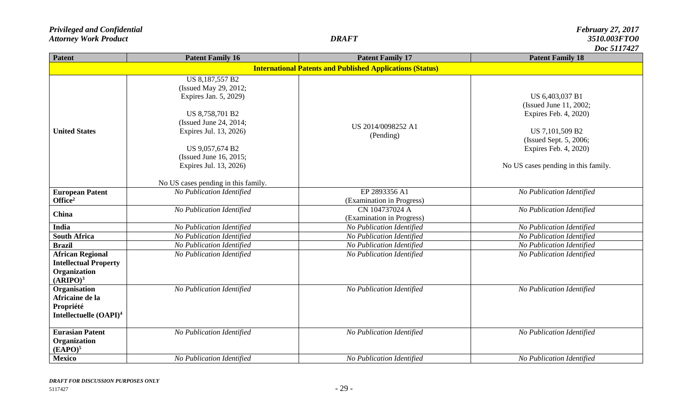| Patent                                                                                          | <b>Patent Family 16</b>                                                                                                                                                                                                                                | <b>Patent Family 17</b>                                          | <b>Patent Family 18</b>                                                                                                                                                         |
|-------------------------------------------------------------------------------------------------|--------------------------------------------------------------------------------------------------------------------------------------------------------------------------------------------------------------------------------------------------------|------------------------------------------------------------------|---------------------------------------------------------------------------------------------------------------------------------------------------------------------------------|
|                                                                                                 |                                                                                                                                                                                                                                                        | <b>International Patents and Published Applications (Status)</b> |                                                                                                                                                                                 |
| <b>United States</b>                                                                            | US 8,187,557 B2<br>(Issued May 29, 2012;<br>Expires Jan. 5, 2029)<br>US 8,758,701 B2<br>(Issued June 24, 2014;<br>Expires Jul. 13, 2026)<br>US 9,057,674 B2<br>(Issued June 16, 2015;<br>Expires Jul. 13, 2026)<br>No US cases pending in this family. | US 2014/0098252 A1<br>(Pending)                                  | US 6,403,037 B1<br>(Issued June 11, 2002;<br>Expires Feb. 4, 2020)<br>US 7,101,509 B2<br>(Issued Sept. 5, 2006;<br>Expires Feb. 4, 2020)<br>No US cases pending in this family. |
| <b>European Patent</b>                                                                          | No Publication Identified                                                                                                                                                                                                                              | EP 2893356 A1                                                    | No Publication Identified                                                                                                                                                       |
| Office <sup>2</sup>                                                                             |                                                                                                                                                                                                                                                        | (Examination in Progress)                                        |                                                                                                                                                                                 |
| China                                                                                           | No Publication Identified                                                                                                                                                                                                                              | CN 104737024 A<br>(Examination in Progress)                      | No Publication Identified                                                                                                                                                       |
| <b>India</b>                                                                                    | No Publication Identified                                                                                                                                                                                                                              | No Publication Identified                                        | No Publication Identified                                                                                                                                                       |
| <b>South Africa</b>                                                                             | No Publication Identified                                                                                                                                                                                                                              | No Publication Identified                                        | No Publication Identified                                                                                                                                                       |
| <b>Brazil</b>                                                                                   | No Publication Identified                                                                                                                                                                                                                              | No Publication Identified                                        | No Publication Identified                                                                                                                                                       |
| <b>African Regional</b><br><b>Intellectual Property</b><br>Organization<br>(ARIPO) <sup>3</sup> | No Publication Identified                                                                                                                                                                                                                              | No Publication Identified                                        | No Publication Identified                                                                                                                                                       |
| Organisation<br>Africaine de la<br>Propriété<br>Intellectuelle (OAPI) <sup>4</sup>              | No Publication Identified                                                                                                                                                                                                                              | No Publication Identified                                        | No Publication Identified                                                                                                                                                       |
| <b>Eurasian Patent</b><br>Organization<br>(EAPO) <sup>5</sup>                                   | No Publication Identified                                                                                                                                                                                                                              | No Publication Identified                                        | No Publication Identified                                                                                                                                                       |
| <b>Mexico</b>                                                                                   | No Publication Identified                                                                                                                                                                                                                              | No Publication Identified                                        | No Publication Identified                                                                                                                                                       |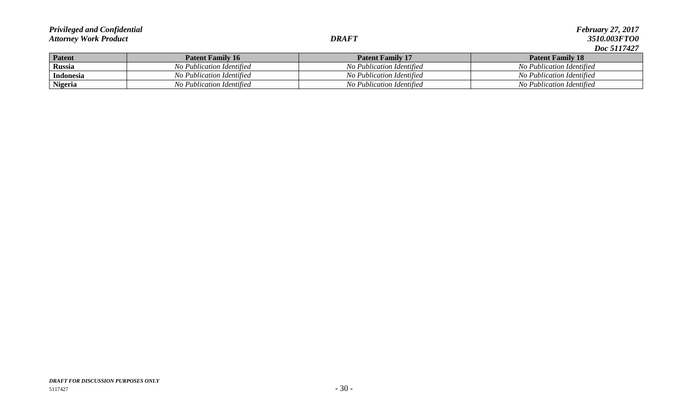|                |                                             |                                                  | ---------                 |
|----------------|---------------------------------------------|--------------------------------------------------|---------------------------|
| <b>Patent</b>  | <b>Patent Family 16</b>                     | <b>Patent Family 17</b>                          | <b>Patent Family 18</b>   |
| <b>Russia</b>  | No Publication Identified                   | Publication Identified<br>NΟ                     | No Publication Identified |
| Indonesia      | No Publication Identified                   | Publication Identified                           | No Publication Identified |
| <b>Nigeria</b> | $\cdot$ $\sim$<br>No Publication Identified | $\cdot$ $\sim$<br>r Publication Identitied<br>vо | No Publication Identified |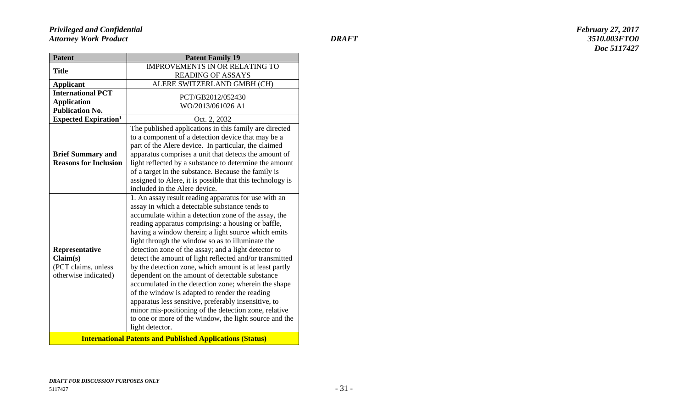| <b>Patent</b>                           | <b>Patent Family 19</b>                                          |
|-----------------------------------------|------------------------------------------------------------------|
| <b>Title</b>                            | <b>IMPROVEMENTS IN OR RELATING TO</b>                            |
|                                         | <b>READING OF ASSAYS</b>                                         |
| <b>Applicant</b>                        | ALERE SWITZERLAND GMBH (CH)                                      |
| <b>International PCT</b>                | PCT/GB2012/052430                                                |
| <b>Application</b>                      | WO/2013/061026 A1                                                |
| <b>Publication No.</b>                  |                                                                  |
| <b>Expected Expiration</b> <sup>1</sup> | Oct. 2, 2032                                                     |
|                                         | The published applications in this family are directed           |
|                                         | to a component of a detection device that may be a               |
|                                         | part of the Alere device. In particular, the claimed             |
| <b>Brief Summary and</b>                | apparatus comprises a unit that detects the amount of            |
| <b>Reasons for Inclusion</b>            | light reflected by a substance to determine the amount           |
|                                         | of a target in the substance. Because the family is              |
|                                         | assigned to Alere, it is possible that this technology is        |
|                                         | included in the Alere device.                                    |
|                                         | 1. An assay result reading apparatus for use with an             |
|                                         | assay in which a detectable substance tends to                   |
|                                         | accumulate within a detection zone of the assay, the             |
|                                         | reading apparatus comprising: a housing or baffle,               |
|                                         | having a window therein; a light source which emits              |
|                                         | light through the window so as to illuminate the                 |
| Representative                          | detection zone of the assay; and a light detector to             |
| Claim(s)                                | detect the amount of light reflected and/or transmitted          |
| (PCT claims, unless                     | by the detection zone, which amount is at least partly           |
| otherwise indicated)                    | dependent on the amount of detectable substance                  |
|                                         | accumulated in the detection zone; wherein the shape             |
|                                         | of the window is adapted to render the reading                   |
|                                         | apparatus less sensitive, preferably insensitive, to             |
|                                         | minor mis-positioning of the detection zone, relative            |
|                                         | to one or more of the window, the light source and the           |
|                                         | light detector.                                                  |
|                                         | <b>International Patents and Published Applications (Status)</b> |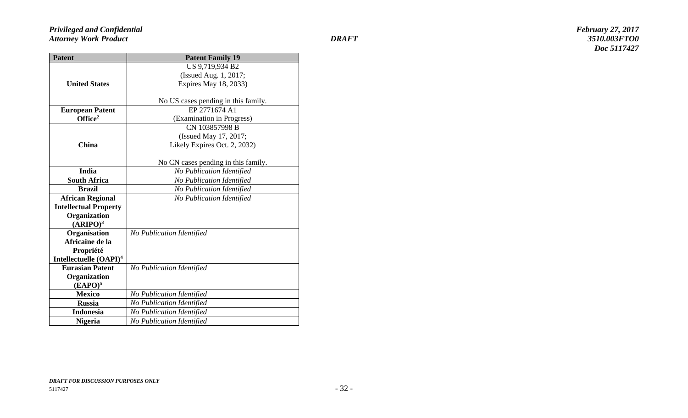| <b>Patent</b>                      | <b>Patent Family 19</b>             |  |
|------------------------------------|-------------------------------------|--|
|                                    | US 9,719,934 B2                     |  |
|                                    | (Issued Aug. 1, 2017;               |  |
| <b>United States</b>               | Expires May 18, 2033)               |  |
|                                    |                                     |  |
|                                    | No US cases pending in this family. |  |
| <b>European Patent</b>             | EP 2771674 A1                       |  |
| Office <sup>2</sup>                | (Examination in Progress)           |  |
|                                    | CN 103857998 B                      |  |
|                                    | (Issued May 17, 2017;               |  |
| China                              | Likely Expires Oct. 2, 2032)        |  |
|                                    |                                     |  |
|                                    | No CN cases pending in this family. |  |
| <b>India</b>                       | No Publication Identified           |  |
| <b>South Africa</b>                | No Publication Identified           |  |
| <b>Brazil</b>                      | No Publication Identified           |  |
| <b>African Regional</b>            | No Publication Identified           |  |
| <b>Intellectual Property</b>       |                                     |  |
| Organization                       |                                     |  |
| (ARIPO) <sup>3</sup>               |                                     |  |
| Organisation                       | No Publication Identified           |  |
| Africaine de la                    |                                     |  |
| Propriété                          |                                     |  |
| Intellectuelle (OAPI) <sup>4</sup> |                                     |  |
| <b>Eurasian Patent</b>             | No Publication Identified           |  |
| Organization                       |                                     |  |
| (EAPO) <sup>5</sup>                |                                     |  |
| <b>Mexico</b>                      | No Publication Identified           |  |
| <b>Russia</b>                      | No Publication Identified           |  |
| <b>Indonesia</b>                   | No Publication Identified           |  |
| <b>Nigeria</b>                     | No Publication Identified           |  |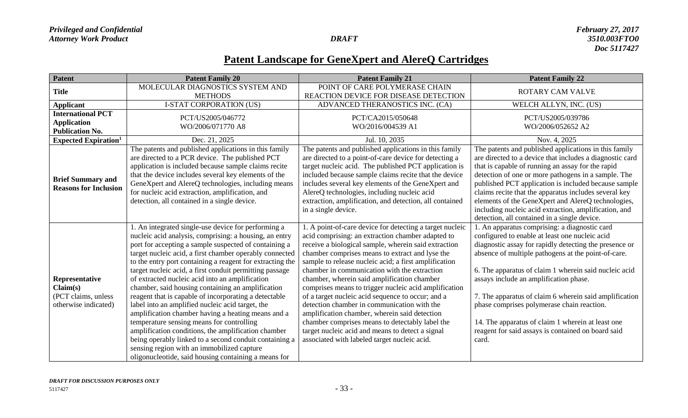## **Patent Landscape for GeneXpert and AlereQ Cartridges**

| Patent                                                                    | <b>Patent Family 20</b>                                                                                                                                                                                                                                                                                                                                                                                                                                                                                                                                                                                                                                                                                                                                                                                                                                                                                  | <b>Patent Family 21</b>                                                                                                                                                                                                                                                                                                                                                                                                                                                                                                                                                                                                                                                                                                                               | <b>Patent Family 22</b>                                                                                                                                                                                                                                                                                                                                                                                                                                                                                                                         |
|---------------------------------------------------------------------------|----------------------------------------------------------------------------------------------------------------------------------------------------------------------------------------------------------------------------------------------------------------------------------------------------------------------------------------------------------------------------------------------------------------------------------------------------------------------------------------------------------------------------------------------------------------------------------------------------------------------------------------------------------------------------------------------------------------------------------------------------------------------------------------------------------------------------------------------------------------------------------------------------------|-------------------------------------------------------------------------------------------------------------------------------------------------------------------------------------------------------------------------------------------------------------------------------------------------------------------------------------------------------------------------------------------------------------------------------------------------------------------------------------------------------------------------------------------------------------------------------------------------------------------------------------------------------------------------------------------------------------------------------------------------------|-------------------------------------------------------------------------------------------------------------------------------------------------------------------------------------------------------------------------------------------------------------------------------------------------------------------------------------------------------------------------------------------------------------------------------------------------------------------------------------------------------------------------------------------------|
| <b>Title</b>                                                              | MOLECULAR DIAGNOSTICS SYSTEM AND<br><b>METHODS</b>                                                                                                                                                                                                                                                                                                                                                                                                                                                                                                                                                                                                                                                                                                                                                                                                                                                       | POINT OF CARE POLYMERASE CHAIN<br>REACTION DEVICE FOR DISEASE DETECTION                                                                                                                                                                                                                                                                                                                                                                                                                                                                                                                                                                                                                                                                               | <b>ROTARY CAM VALVE</b>                                                                                                                                                                                                                                                                                                                                                                                                                                                                                                                         |
| <b>Applicant</b>                                                          | <b>I-STAT CORPORATION (US)</b>                                                                                                                                                                                                                                                                                                                                                                                                                                                                                                                                                                                                                                                                                                                                                                                                                                                                           | ADVANCED THERANOSTICS INC. (CA)                                                                                                                                                                                                                                                                                                                                                                                                                                                                                                                                                                                                                                                                                                                       | WELCH ALLYN, INC. (US)                                                                                                                                                                                                                                                                                                                                                                                                                                                                                                                          |
| <b>International PCT</b><br><b>Application</b><br><b>Publication No.</b>  | PCT/US2005/046772<br>WO/2006/071770 A8                                                                                                                                                                                                                                                                                                                                                                                                                                                                                                                                                                                                                                                                                                                                                                                                                                                                   | PCT/CA2015/050648<br>WO/2016/004539 A1                                                                                                                                                                                                                                                                                                                                                                                                                                                                                                                                                                                                                                                                                                                | PCT/US2005/039786<br>WO/2006/052652 A2                                                                                                                                                                                                                                                                                                                                                                                                                                                                                                          |
| <b>Expected Expiration</b> <sup>1</sup>                                   | Dec. 21, 2025                                                                                                                                                                                                                                                                                                                                                                                                                                                                                                                                                                                                                                                                                                                                                                                                                                                                                            | Jul. 10, 2035                                                                                                                                                                                                                                                                                                                                                                                                                                                                                                                                                                                                                                                                                                                                         | Nov. 4, 2025                                                                                                                                                                                                                                                                                                                                                                                                                                                                                                                                    |
| <b>Brief Summary and</b><br><b>Reasons for Inclusion</b>                  | The patents and published applications in this family<br>are directed to a PCR device. The published PCT<br>application is included because sample claims recite<br>that the device includes several key elements of the<br>GeneXpert and AlereQ technologies, including means<br>for nucleic acid extraction, amplification, and<br>detection, all contained in a single device.                                                                                                                                                                                                                                                                                                                                                                                                                                                                                                                        | The patents and published applications in this family<br>are directed to a point-of-care device for detecting a<br>target nucleic acid. The published PCT application is<br>included because sample claims recite that the device<br>includes several key elements of the GeneXpert and<br>AlereQ technologies, including nucleic acid<br>extraction, amplification, and detection, all contained<br>in a single device.                                                                                                                                                                                                                                                                                                                              | The patents and published applications in this family<br>are directed to a device that includes a diagnostic card<br>that is capable of running an assay for the rapid<br>detection of one or more pathogens in a sample. The<br>published PCT application is included because sample<br>claims recite that the apparatus includes several key<br>elements of the GeneXpert and AlereQ technologies,<br>including nucleic acid extraction, amplification, and<br>detection, all contained in a single device.                                   |
| Representative<br>Claim(s)<br>(PCT claims, unless<br>otherwise indicated) | 1. An integrated single-use device for performing a<br>nucleic acid analysis, comprising: a housing, an entry<br>port for accepting a sample suspected of containing a<br>target nucleic acid, a first chamber operably connected<br>to the entry port containing a reagent for extracting the<br>target nucleic acid, a first conduit permitting passage<br>of extracted nucleic acid into an amplification<br>chamber, said housing containing an amplification<br>reagent that is capable of incorporating a detectable<br>label into an amplified nucleic acid target, the<br>amplification chamber having a heating means and a<br>temperature sensing means for controlling<br>amplification conditions, the amplification chamber<br>being operably linked to a second conduit containing a<br>sensing region with an immobilized capture<br>oligonucleotide, said housing containing a means for | 1. A point-of-care device for detecting a target nucleic<br>acid comprising: an extraction chamber adapted to<br>receive a biological sample, wherein said extraction<br>chamber comprises means to extract and lyse the<br>sample to release nucleic acid; a first amplification<br>chamber in communication with the extraction<br>chamber, wherein said amplification chamber<br>comprises means to trigger nucleic acid amplification<br>of a target nucleic acid sequence to occur; and a<br>detection chamber in communication with the<br>amplification chamber, wherein said detection<br>chamber comprises means to detectably label the<br>target nucleic acid and means to detect a signal<br>associated with labeled target nucleic acid. | 1. An apparatus comprising: a diagnostic card<br>configured to enable at least one nucleic acid<br>diagnostic assay for rapidly detecting the presence or<br>absence of multiple pathogens at the point-of-care.<br>6. The apparatus of claim 1 wherein said nucleic acid<br>assays include an amplification phase.<br>7. The apparatus of claim 6 wherein said amplification<br>phase comprises polymerase chain reaction.<br>14. The apparatus of claim 1 wherein at least one<br>reagent for said assays is contained on board said<br>card. |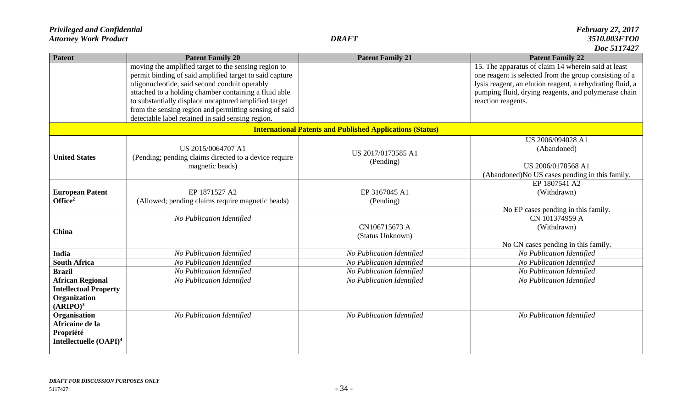| <b>Patent</b>                                                                                   | <b>Patent Family 20</b>                                                                                                                                                                                                                                                                                                                                                                           | <b>Patent Family 21</b>                                          | $\bm{\nu}$ vu jiintan<br><b>Patent Family 22</b>                                                                                                                                                                                                         |
|-------------------------------------------------------------------------------------------------|---------------------------------------------------------------------------------------------------------------------------------------------------------------------------------------------------------------------------------------------------------------------------------------------------------------------------------------------------------------------------------------------------|------------------------------------------------------------------|----------------------------------------------------------------------------------------------------------------------------------------------------------------------------------------------------------------------------------------------------------|
|                                                                                                 | moving the amplified target to the sensing region to<br>permit binding of said amplified target to said capture<br>oligonucleotide, said second conduit operably<br>attached to a holding chamber containing a fluid able<br>to substantially displace uncaptured amplified target<br>from the sensing region and permitting sensing of said<br>detectable label retained in said sensing region. |                                                                  | 15. The apparatus of claim 14 wherein said at least<br>one reagent is selected from the group consisting of a<br>lysis reagent, an elution reagent, a rehydrating fluid, a<br>pumping fluid, drying reagents, and polymerase chain<br>reaction reagents. |
|                                                                                                 |                                                                                                                                                                                                                                                                                                                                                                                                   | <b>International Patents and Published Applications (Status)</b> |                                                                                                                                                                                                                                                          |
| <b>United States</b>                                                                            | US 2015/0064707 A1<br>(Pending; pending claims directed to a device require<br>magnetic beads)                                                                                                                                                                                                                                                                                                    | US 2017/0173585 A1<br>(Pending)                                  | US 2006/094028 A1<br>(Abandoned)<br>US 2006/0178568 A1<br>(Abandoned)No US cases pending in this family.                                                                                                                                                 |
| <b>European Patent</b><br>Office <sup>2</sup>                                                   | EP 1871527 A2<br>(Allowed; pending claims require magnetic beads)                                                                                                                                                                                                                                                                                                                                 | EP 3167045 A1<br>(Pending)                                       | EP 1807541 A2<br>(Withdrawn)<br>No EP cases pending in this family.                                                                                                                                                                                      |
| China                                                                                           | No Publication Identified                                                                                                                                                                                                                                                                                                                                                                         | CN106715673 A<br>(Status Unknown)                                | CN 101374959 A<br>(Withdrawn)<br>No CN cases pending in this family.                                                                                                                                                                                     |
| India                                                                                           | No Publication Identified                                                                                                                                                                                                                                                                                                                                                                         | No Publication Identified                                        | No Publication Identified                                                                                                                                                                                                                                |
| <b>South Africa</b>                                                                             | No Publication Identified                                                                                                                                                                                                                                                                                                                                                                         | No Publication Identified                                        | No Publication Identified                                                                                                                                                                                                                                |
| <b>Brazil</b>                                                                                   | No Publication Identified                                                                                                                                                                                                                                                                                                                                                                         | No Publication Identified                                        | No Publication Identified                                                                                                                                                                                                                                |
| <b>African Regional</b><br><b>Intellectual Property</b><br>Organization<br>(ARIPO) <sup>3</sup> | No Publication Identified                                                                                                                                                                                                                                                                                                                                                                         | No Publication Identified                                        | No Publication Identified                                                                                                                                                                                                                                |
| Organisation<br>Africaine de la<br>Propriété<br>Intellectuelle (OAPI) <sup>4</sup>              | No Publication Identified                                                                                                                                                                                                                                                                                                                                                                         | No Publication Identified                                        | No Publication Identified                                                                                                                                                                                                                                |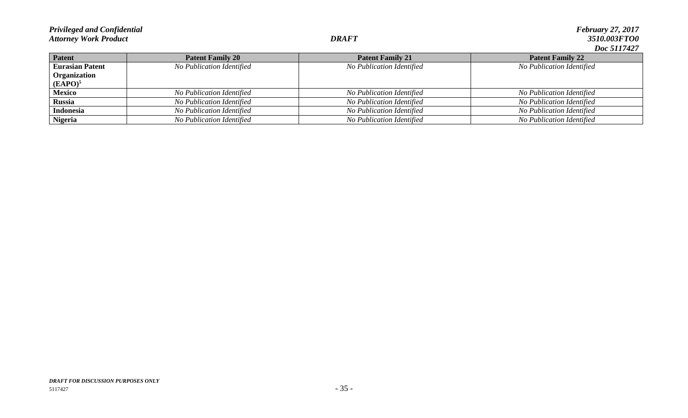| <b>Patent</b>          | <b>Patent Family 20</b>   | <b>Patent Family 21</b>   | <b>Patent Family 22</b>   |
|------------------------|---------------------------|---------------------------|---------------------------|
| <b>Eurasian Patent</b> | No Publication Identified | No Publication Identified | No Publication Identified |
| Organization           |                           |                           |                           |
| $(EAPO)^5$             |                           |                           |                           |
| <b>Mexico</b>          | No Publication Identified | No Publication Identified | No Publication Identified |
| <b>Russia</b>          | No Publication Identified | No Publication Identified | No Publication Identified |
| <b>Indonesia</b>       | No Publication Identified | No Publication Identified | No Publication Identified |
| <b>Nigeria</b>         | No Publication Identified | No Publication Identified | No Publication Identified |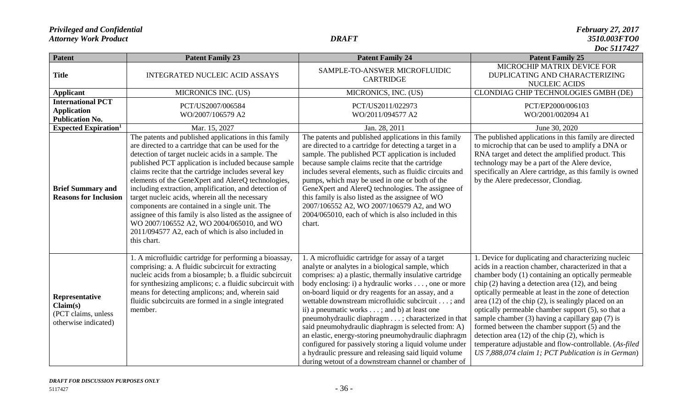| <b>Patent</b>                                                             | <b>Patent Family 23</b>                                                                                                                                                                                                                                                                                                                                                                                                                                                                                                                                                                                                                                                                | <b>Patent Family 24</b>                                                                                                                                                                                                                                                                                                                                                                                                                                                                                                                                                                                                                                                                                                          | $\bm{\nu}$ vu jili ter<br><b>Patent Family 25</b>                                                                                                                                                                                                                                                                                                                                                                                                                                                                                                                                                                                                                                         |
|---------------------------------------------------------------------------|----------------------------------------------------------------------------------------------------------------------------------------------------------------------------------------------------------------------------------------------------------------------------------------------------------------------------------------------------------------------------------------------------------------------------------------------------------------------------------------------------------------------------------------------------------------------------------------------------------------------------------------------------------------------------------------|----------------------------------------------------------------------------------------------------------------------------------------------------------------------------------------------------------------------------------------------------------------------------------------------------------------------------------------------------------------------------------------------------------------------------------------------------------------------------------------------------------------------------------------------------------------------------------------------------------------------------------------------------------------------------------------------------------------------------------|-------------------------------------------------------------------------------------------------------------------------------------------------------------------------------------------------------------------------------------------------------------------------------------------------------------------------------------------------------------------------------------------------------------------------------------------------------------------------------------------------------------------------------------------------------------------------------------------------------------------------------------------------------------------------------------------|
| <b>Title</b>                                                              | <b>INTEGRATED NUCLEIC ACID ASSAYS</b>                                                                                                                                                                                                                                                                                                                                                                                                                                                                                                                                                                                                                                                  | SAMPLE-TO-ANSWER MICROFLUIDIC<br><b>CARTRIDGE</b>                                                                                                                                                                                                                                                                                                                                                                                                                                                                                                                                                                                                                                                                                | MICROCHIP MATRIX DEVICE FOR<br>DUPLICATING AND CHARACTERIZING<br><b>NUCLEIC ACIDS</b>                                                                                                                                                                                                                                                                                                                                                                                                                                                                                                                                                                                                     |
| <b>Applicant</b>                                                          | <b>MICRONICS INC. (US)</b>                                                                                                                                                                                                                                                                                                                                                                                                                                                                                                                                                                                                                                                             | MICRONICS, INC. (US)                                                                                                                                                                                                                                                                                                                                                                                                                                                                                                                                                                                                                                                                                                             | CLONDIAG CHIP TECHNOLOGIES GMBH (DE)                                                                                                                                                                                                                                                                                                                                                                                                                                                                                                                                                                                                                                                      |
| <b>International PCT</b><br><b>Application</b><br><b>Publication No.</b>  | PCT/US2007/006584<br>WO/2007/106579 A2                                                                                                                                                                                                                                                                                                                                                                                                                                                                                                                                                                                                                                                 | PCT/US2011/022973<br>WO/2011/094577 A2                                                                                                                                                                                                                                                                                                                                                                                                                                                                                                                                                                                                                                                                                           | PCT/EP2000/006103<br>WO/2001/002094 A1                                                                                                                                                                                                                                                                                                                                                                                                                                                                                                                                                                                                                                                    |
| <b>Expected Expiration</b> <sup>1</sup>                                   | Mar. 15, 2027                                                                                                                                                                                                                                                                                                                                                                                                                                                                                                                                                                                                                                                                          | Jan. 28, 2011                                                                                                                                                                                                                                                                                                                                                                                                                                                                                                                                                                                                                                                                                                                    | June 30, 2020                                                                                                                                                                                                                                                                                                                                                                                                                                                                                                                                                                                                                                                                             |
| <b>Brief Summary and</b><br><b>Reasons for Inclusion</b>                  | The patents and published applications in this family<br>are directed to a cartridge that can be used for the<br>detection of target nucleic acids in a sample. The<br>published PCT application is included because sample<br>claims recite that the cartridge includes several key<br>elements of the GeneXpert and AlereQ technologies,<br>including extraction, amplification, and detection of<br>target nucleic acids, wherein all the necessary<br>components are contained in a single unit. The<br>assignee of this family is also listed as the assignee of<br>WO 2007/106552 A2, WO 2004/065010, and WO<br>2011/094577 A2, each of which is also included in<br>this chart. | The patents and published applications in this family<br>are directed to a cartridge for detecting a target in a<br>sample. The published PCT application is included<br>because sample claims recite that the cartridge<br>includes several elements, such as fluidic circuits and<br>pumps, which may be used in one or both of the<br>GeneXpert and AlereQ technologies. The assignee of<br>this family is also listed as the assignee of WO<br>2007/106552 A2, WO 2007/106579 A2, and WO<br>2004/065010, each of which is also included in this<br>chart.                                                                                                                                                                    | The published applications in this family are directed<br>to microchip that can be used to amplify a DNA or<br>RNA target and detect the amplified product. This<br>technology may be a part of the Alere device,<br>specifically an Alere cartridge, as this family is owned<br>by the Alere predecessor, Clondiag.                                                                                                                                                                                                                                                                                                                                                                      |
| Representative<br>Claim(s)<br>(PCT claims, unless<br>otherwise indicated) | 1. A microfluidic cartridge for performing a bioassay,<br>comprising: a. A fluidic subcircuit for extracting<br>nucleic acids from a biosample; b. a fluidic subcircuit<br>for synthesizing amplicons; c. a fluidic subcircuit with<br>means for detecting amplicons; and, wherein said<br>fluidic subcircuits are formed in a single integrated<br>member.                                                                                                                                                                                                                                                                                                                            | 1. A microfluidic cartridge for assay of a target<br>analyte or analytes in a biological sample, which<br>comprises: a) a plastic, thermally insulative cartridge<br>body enclosing: i) a hydraulic works , one or more<br>on-board liquid or dry reagents for an assay, and a<br>wettable downstream microfluidic subcircuit ; and<br>ii) a pneumatic works ; and b) at least one<br>pneumohydraulic diaphragm ; characterized in that<br>said pneumohydraulic diaphragm is selected from: A)<br>an elastic, energy-storing pneumohydraulic diaphragm<br>configured for passively storing a liquid volume under<br>a hydraulic pressure and releasing said liquid volume<br>during wetout of a downstream channel or chamber of | 1. Device for duplicating and characterizing nucleic<br>acids in a reaction chamber, characterized in that a<br>chamber body (1) containing an optically permeable<br>chip $(2)$ having a detection area $(12)$ , and being<br>optically permeable at least in the zone of detection<br>area $(12)$ of the chip $(2)$ , is sealingly placed on an<br>optically permeable chamber support (5), so that a<br>sample chamber $(3)$ having a capillary gap $(7)$ is<br>formed between the chamber support (5) and the<br>detection area $(12)$ of the chip $(2)$ , which is<br>temperature adjustable and flow-controllable. (As-filed<br>US 7,888,074 claim 1; PCT Publication is in German) |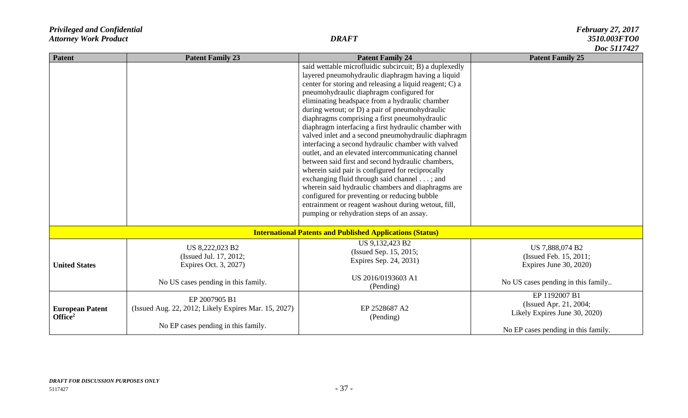| Patent                               | <b>Patent Family 23</b>                                               | <b>Patent Family 24</b>                                                                                                                                                                                                                                                                                                                                                                                                                                                                                                                                                                                                                                                                                                                                                                                                                                                                                                                                              | <i>D</i> ov 9111721<br><b>Patent Family 25</b>                           |
|--------------------------------------|-----------------------------------------------------------------------|----------------------------------------------------------------------------------------------------------------------------------------------------------------------------------------------------------------------------------------------------------------------------------------------------------------------------------------------------------------------------------------------------------------------------------------------------------------------------------------------------------------------------------------------------------------------------------------------------------------------------------------------------------------------------------------------------------------------------------------------------------------------------------------------------------------------------------------------------------------------------------------------------------------------------------------------------------------------|--------------------------------------------------------------------------|
|                                      |                                                                       | said wettable microfluidic subcircuit; B) a duplexedly<br>layered pneumohydraulic diaphragm having a liquid<br>center for storing and releasing a liquid reagent; C) a<br>pneumohydraulic diaphragm configured for<br>eliminating headspace from a hydraulic chamber<br>during wetout; or D) a pair of pneumohydraulic<br>diaphragms comprising a first pneumohydraulic<br>diaphragm interfacing a first hydraulic chamber with<br>valved inlet and a second pneumohydraulic diaphragm<br>interfacing a second hydraulic chamber with valved<br>outlet, and an elevated intercommunicating channel<br>between said first and second hydraulic chambers,<br>wherein said pair is configured for reciprocally<br>exchanging fluid through said channel ; and<br>wherein said hydraulic chambers and diaphragms are<br>configured for preventing or reducing bubble<br>entrainment or reagent washout during wetout, fill,<br>pumping or rehydration steps of an assay. |                                                                          |
|                                      |                                                                       | <b>International Patents and Published Applications (Status)</b>                                                                                                                                                                                                                                                                                                                                                                                                                                                                                                                                                                                                                                                                                                                                                                                                                                                                                                     |                                                                          |
| <b>United States</b>                 | US 8,222,023 B2<br>(Issued Jul. 17, 2012;<br>Expires Oct. 3, 2027)    | US 9,132,423 B2<br>(Issued Sep. 15, 2015;<br>Expires Sep. 24, 2031)<br>US 2016/0193603 A1                                                                                                                                                                                                                                                                                                                                                                                                                                                                                                                                                                                                                                                                                                                                                                                                                                                                            | US 7,888,074 B2<br>(Issued Feb. 15, 2011;<br>Expires June 30, 2020)      |
|                                      | No US cases pending in this family.                                   | (Pending)                                                                                                                                                                                                                                                                                                                                                                                                                                                                                                                                                                                                                                                                                                                                                                                                                                                                                                                                                            | No US cases pending in this family                                       |
| <b>European Patent</b><br>Office $2$ | EP 2007905 B1<br>(Issued Aug. 22, 2012; Likely Expires Mar. 15, 2027) | EP 2528687 A2<br>(Pending)                                                                                                                                                                                                                                                                                                                                                                                                                                                                                                                                                                                                                                                                                                                                                                                                                                                                                                                                           | EP 1192007 B1<br>(Issued Apr. 21, 2004;<br>Likely Expires June 30, 2020) |
|                                      | No EP cases pending in this family.                                   |                                                                                                                                                                                                                                                                                                                                                                                                                                                                                                                                                                                                                                                                                                                                                                                                                                                                                                                                                                      | No EP cases pending in this family.                                      |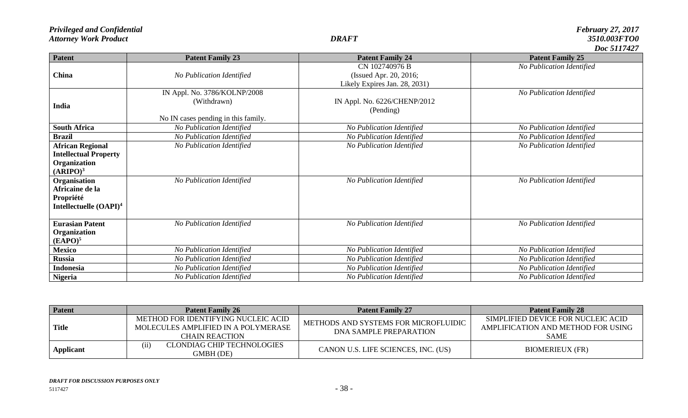|                                    |                                     |                               | <b>DUC 311/42/</b>        |
|------------------------------------|-------------------------------------|-------------------------------|---------------------------|
| <b>Patent</b>                      | <b>Patent Family 23</b>             | <b>Patent Family 24</b>       | <b>Patent Family 25</b>   |
|                                    |                                     | CN 102740976 B                | No Publication Identified |
| <b>China</b>                       | No Publication Identified           | (Issued Apr. 20, 2016;        |                           |
|                                    |                                     | Likely Expires Jan. 28, 2031) |                           |
|                                    | IN Appl. No. 3786/KOLNP/2008        |                               | No Publication Identified |
| India                              | (Withdrawn)                         | IN Appl. No. 6226/CHENP/2012  |                           |
|                                    |                                     | (Pending)                     |                           |
|                                    | No IN cases pending in this family. |                               |                           |
| <b>South Africa</b>                | No Publication Identified           | No Publication Identified     | No Publication Identified |
| <b>Brazil</b>                      | No Publication Identified           | No Publication Identified     | No Publication Identified |
| <b>African Regional</b>            | No Publication Identified           | No Publication Identified     | No Publication Identified |
| <b>Intellectual Property</b>       |                                     |                               |                           |
| Organization                       |                                     |                               |                           |
| (ARIPO) <sup>3</sup>               |                                     |                               |                           |
| Organisation                       | No Publication Identified           | No Publication Identified     | No Publication Identified |
| Africaine de la                    |                                     |                               |                           |
| Propriété                          |                                     |                               |                           |
| Intellectuelle (OAPI) <sup>4</sup> |                                     |                               |                           |
|                                    |                                     |                               |                           |
| <b>Eurasian Patent</b>             | No Publication Identified           | No Publication Identified     | No Publication Identified |
| Organization                       |                                     |                               |                           |
| $(EAPO)^5$                         |                                     |                               |                           |
| <b>Mexico</b>                      | No Publication Identified           | No Publication Identified     | No Publication Identified |
| <b>Russia</b>                      | No Publication Identified           | No Publication Identified     | No Publication Identified |
| <b>Indonesia</b>                   | No Publication Identified           | No Publication Identified     | No Publication Identified |
| <b>Nigeria</b>                     | No Publication Identified           | No Publication Identified     | No Publication Identified |

| <b>Patent</b> | <b>Patent Family 26</b>                                                                      | <b>Patent Family 27</b>                                        | <b>Patent Family 28</b>                                                                 |
|---------------|----------------------------------------------------------------------------------------------|----------------------------------------------------------------|-----------------------------------------------------------------------------------------|
| <b>Title</b>  | METHOD FOR IDENTIFYING NUCLEIC ACID<br>MOLECULES AMPLIFIED IN A POLYMERASE<br>CHAIN REACTION | METHODS AND SYSTEMS FOR MICROFLUIDIC<br>DNA SAMPLE PREPARATION | SIMPLIFIED DEVICE FOR NUCLEIC ACID<br>AMPLIFICATION AND METHOD FOR USING<br><b>SAME</b> |
| Applicant     | (ii)<br>CLONDIAG CHIP TECHNOLOGIES<br>GMBH (DE)                                              | CANON U.S. LIFE SCIENCES, INC. (US)                            | <b>BIOMERIEUX (FR)</b>                                                                  |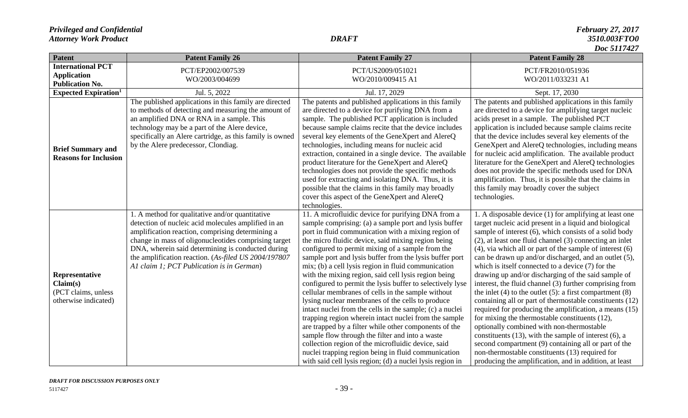| Patent                                                                    | <b>Patent Family 26</b>                                                                                                                                                                                                                                                                                                                                                      | <b>Patent Family 27</b>                                                                                                                                                                                                                                                                                                                                                                                                                                                                                                                                                                                                                                                                                                                                                                                                                                                                                                                                                                                                                 | <b>Patent Family 28</b>                                                                                                                                                                                                                                                                                                                                                                                                                                                                                                                                                                                                                                                                                                                                                                                                                                                                                                                                                                                                                                                 |
|---------------------------------------------------------------------------|------------------------------------------------------------------------------------------------------------------------------------------------------------------------------------------------------------------------------------------------------------------------------------------------------------------------------------------------------------------------------|-----------------------------------------------------------------------------------------------------------------------------------------------------------------------------------------------------------------------------------------------------------------------------------------------------------------------------------------------------------------------------------------------------------------------------------------------------------------------------------------------------------------------------------------------------------------------------------------------------------------------------------------------------------------------------------------------------------------------------------------------------------------------------------------------------------------------------------------------------------------------------------------------------------------------------------------------------------------------------------------------------------------------------------------|-------------------------------------------------------------------------------------------------------------------------------------------------------------------------------------------------------------------------------------------------------------------------------------------------------------------------------------------------------------------------------------------------------------------------------------------------------------------------------------------------------------------------------------------------------------------------------------------------------------------------------------------------------------------------------------------------------------------------------------------------------------------------------------------------------------------------------------------------------------------------------------------------------------------------------------------------------------------------------------------------------------------------------------------------------------------------|
| <b>International PCT</b>                                                  | PCT/EP2002/007539                                                                                                                                                                                                                                                                                                                                                            | PCT/US2009/051021                                                                                                                                                                                                                                                                                                                                                                                                                                                                                                                                                                                                                                                                                                                                                                                                                                                                                                                                                                                                                       | PCT/FR2010/051936                                                                                                                                                                                                                                                                                                                                                                                                                                                                                                                                                                                                                                                                                                                                                                                                                                                                                                                                                                                                                                                       |
| <b>Application</b>                                                        | WO/2003/004699                                                                                                                                                                                                                                                                                                                                                               | WO/2010/009415 A1                                                                                                                                                                                                                                                                                                                                                                                                                                                                                                                                                                                                                                                                                                                                                                                                                                                                                                                                                                                                                       | WO/2011/033231 A1                                                                                                                                                                                                                                                                                                                                                                                                                                                                                                                                                                                                                                                                                                                                                                                                                                                                                                                                                                                                                                                       |
| <b>Publication No.</b>                                                    |                                                                                                                                                                                                                                                                                                                                                                              |                                                                                                                                                                                                                                                                                                                                                                                                                                                                                                                                                                                                                                                                                                                                                                                                                                                                                                                                                                                                                                         |                                                                                                                                                                                                                                                                                                                                                                                                                                                                                                                                                                                                                                                                                                                                                                                                                                                                                                                                                                                                                                                                         |
| <b>Expected Expiration</b> <sup>1</sup>                                   | Jul. 5, 2022                                                                                                                                                                                                                                                                                                                                                                 | Jul. 17, 2029                                                                                                                                                                                                                                                                                                                                                                                                                                                                                                                                                                                                                                                                                                                                                                                                                                                                                                                                                                                                                           | Sept. 17, 2030                                                                                                                                                                                                                                                                                                                                                                                                                                                                                                                                                                                                                                                                                                                                                                                                                                                                                                                                                                                                                                                          |
| <b>Brief Summary and</b><br><b>Reasons for Inclusion</b>                  | The published applications in this family are directed<br>to methods of detecting and measuring the amount of<br>an amplified DNA or RNA in a sample. This<br>technology may be a part of the Alere device,<br>specifically an Alere cartridge, as this family is owned<br>by the Alere predecessor, Clondiag.                                                               | The patents and published applications in this family<br>are directed to a device for purifying DNA from a<br>sample. The published PCT application is included<br>because sample claims recite that the device includes<br>several key elements of the GeneXpert and AlereQ<br>technologies, including means for nucleic acid<br>extraction, contained in a single device. The available<br>product literature for the GeneXpert and AlereQ<br>technologies does not provide the specific methods<br>used for extracting and isolating DNA. Thus, it is<br>possible that the claims in this family may broadly<br>cover this aspect of the GeneXpert and AlereQ<br>technologies.                                                                                                                                                                                                                                                                                                                                                       | The patents and published applications in this family<br>are directed to a device for amplifying target nucleic<br>acids preset in a sample. The published PCT<br>application is included because sample claims recite<br>that the device includes several key elements of the<br>GeneXpert and AlereQ technologies, including means<br>for nucleic acid amplification. The available product<br>literature for the GeneXpert and AlereQ technologies<br>does not provide the specific methods used for DNA<br>amplification. Thus, it is possible that the claims in<br>this family may broadly cover the subject<br>technologies.                                                                                                                                                                                                                                                                                                                                                                                                                                     |
| Representative<br>Claim(s)<br>(PCT claims, unless<br>otherwise indicated) | 1. A method for qualitative and/or quantitative<br>detection of nucleic acid molecules amplified in an<br>amplification reaction, comprising determining a<br>change in mass of oligonucleotides comprising target<br>DNA, wherein said determining is conducted during<br>the amplification reaction. (As-filed US 2004/197807<br>A1 claim 1; PCT Publication is in German) | 11. A microfluidic device for purifying DNA from a<br>sample comprising: (a) a sample port and lysis buffer<br>port in fluid communication with a mixing region of<br>the micro fluidic device, said mixing region being<br>configured to permit mixing of a sample from the<br>sample port and lysis buffer from the lysis buffer port<br>mix; (b) a cell lysis region in fluid communication<br>with the mixing region, said cell lysis region being<br>configured to permit the lysis buffer to selectively lyse<br>cellular membranes of cells in the sample without<br>lysing nuclear membranes of the cells to produce<br>intact nuclei from the cells in the sample; (c) a nuclei<br>trapping region wherein intact nuclei from the sample<br>are trapped by a filter while other components of the<br>sample flow through the filter and into a waste<br>collection region of the microfluidic device, said<br>nuclei trapping region being in fluid communication<br>with said cell lysis region; (d) a nuclei lysis region in | 1. A disposable device (1) for amplifying at least one<br>target nucleic acid present in a liquid and biological<br>sample of interest (6), which consists of a solid body<br>$(2)$ , at least one fluid channel $(3)$ connecting an inlet<br>$(4)$ , via which all or part of the sample of interest $(6)$<br>can be drawn up and/or discharged, and an outlet (5),<br>which is itself connected to a device (7) for the<br>drawing up and/or discharging of the said sample of<br>interest, the fluid channel (3) further comprising from<br>the inlet $(4)$ to the outlet $(5)$ : a first compartment $(8)$<br>containing all or part of thermostable constituents (12)<br>required for producing the amplification, a means (15)<br>for mixing the thermostable constituents (12),<br>optionally combined with non-thermostable<br>constituents $(13)$ , with the sample of interest $(6)$ , a<br>second compartment (9) containing all or part of the<br>non-thermostable constituents (13) required for<br>producing the amplification, and in addition, at least |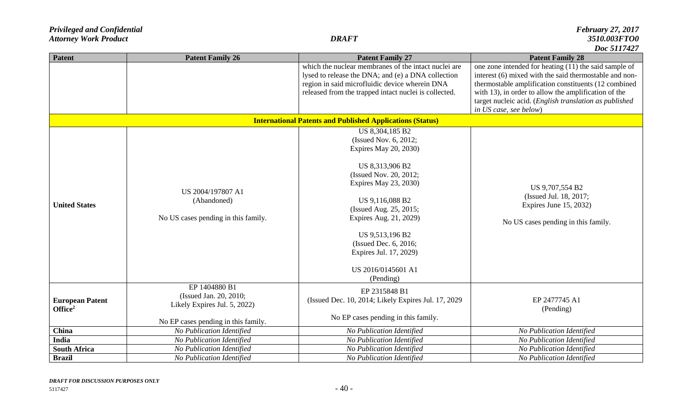|                        |                                     |                                                                  | DUC 3117447                                            |
|------------------------|-------------------------------------|------------------------------------------------------------------|--------------------------------------------------------|
| Patent                 | <b>Patent Family 26</b>             | <b>Patent Family 27</b>                                          | <b>Patent Family 28</b>                                |
|                        |                                     | which the nuclear membranes of the intact nuclei are             | one zone intended for heating (11) the said sample of  |
|                        |                                     | lysed to release the DNA; and (e) a DNA collection               | interest (6) mixed with the said thermostable and non- |
|                        |                                     | region in said microfluidic device wherein DNA                   | thermostable amplification constituents (12 combined   |
|                        |                                     | released from the trapped intact nuclei is collected.            | with 13), in order to allow the amplification of the   |
|                        |                                     |                                                                  | target nucleic acid. (English translation as published |
|                        |                                     |                                                                  | in US case, see below)                                 |
|                        |                                     | <b>International Patents and Published Applications (Status)</b> |                                                        |
|                        |                                     | US 8,304,185 B2                                                  |                                                        |
|                        |                                     | (Issued Nov. 6, 2012;                                            |                                                        |
|                        |                                     | Expires May 20, 2030)                                            |                                                        |
|                        |                                     |                                                                  |                                                        |
|                        |                                     | US 8,313,906 B2                                                  |                                                        |
|                        |                                     | (Issued Nov. 20, 2012;                                           |                                                        |
|                        |                                     | Expires May 23, 2030)                                            |                                                        |
|                        | US 2004/197807 A1                   |                                                                  | US 9,707,554 B2                                        |
|                        | (Abandoned)                         | US 9,116,088 B2                                                  | (Issued Jul. 18, 2017;                                 |
| <b>United States</b>   |                                     | (Issued Aug. 25, 2015;                                           | Expires June 15, 2032)                                 |
|                        | No US cases pending in this family. | Expires Aug. 21, 2029)                                           | No US cases pending in this family.                    |
|                        |                                     |                                                                  |                                                        |
|                        |                                     | US 9,513,196 B2                                                  |                                                        |
|                        |                                     | (Issued Dec. 6, 2016;                                            |                                                        |
|                        |                                     | Expires Jul. 17, 2029)                                           |                                                        |
|                        |                                     |                                                                  |                                                        |
|                        |                                     | US 2016/0145601 A1                                               |                                                        |
|                        |                                     | (Pending)                                                        |                                                        |
|                        | EP 1404880 B1                       | EP 2315848 B1                                                    |                                                        |
| <b>European Patent</b> | (Issued Jan. 20, 2010;              | (Issued Dec. 10, 2014; Likely Expires Jul. 17, 2029)             | EP 2477745 A1                                          |
| Office <sup>2</sup>    | Likely Expires Jul. 5, 2022)        |                                                                  | (Pending)                                              |
|                        |                                     | No EP cases pending in this family.                              |                                                        |
|                        | No EP cases pending in this family. |                                                                  |                                                        |
| China                  | No Publication Identified           | No Publication Identified                                        | No Publication Identified                              |
| India                  | No Publication Identified           | No Publication Identified                                        | No Publication Identified                              |
| <b>South Africa</b>    | No Publication Identified           | No Publication Identified                                        | No Publication Identified                              |
| <b>Brazil</b>          | No Publication Identified           | No Publication Identified                                        | No Publication Identified                              |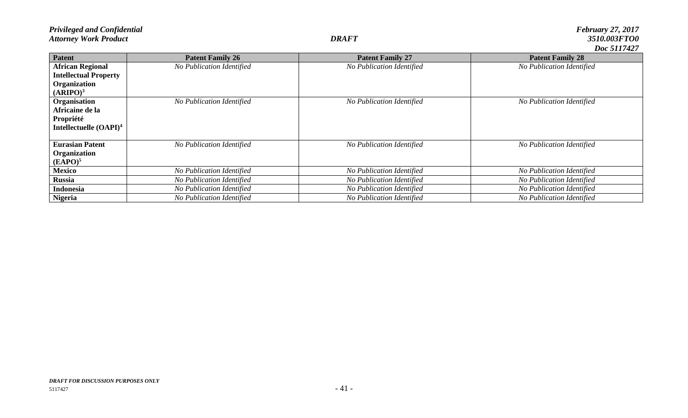|                              |                           |                           | DUC 3117427               |
|------------------------------|---------------------------|---------------------------|---------------------------|
| <b>Patent</b>                | <b>Patent Family 26</b>   | <b>Patent Family 27</b>   | <b>Patent Family 28</b>   |
| <b>African Regional</b>      | No Publication Identified | No Publication Identified | No Publication Identified |
| <b>Intellectual Property</b> |                           |                           |                           |
| Organization                 |                           |                           |                           |
| (ARIPO) <sup>3</sup>         |                           |                           |                           |
| Organisation                 | No Publication Identified | No Publication Identified | No Publication Identified |
| Africaine de la              |                           |                           |                           |
| Propriété                    |                           |                           |                           |
| Intellectuelle $(OAPI)^4$    |                           |                           |                           |
|                              |                           |                           |                           |
| <b>Eurasian Patent</b>       | No Publication Identified | No Publication Identified | No Publication Identified |
| Organization                 |                           |                           |                           |
| (EAPO) <sup>5</sup>          |                           |                           |                           |
| <b>Mexico</b>                | No Publication Identified | No Publication Identified | No Publication Identified |
| <b>Russia</b>                | No Publication Identified | No Publication Identified | No Publication Identified |
| <b>Indonesia</b>             | No Publication Identified | No Publication Identified | No Publication Identified |
| <b>Nigeria</b>               | No Publication Identified | No Publication Identified | No Publication Identified |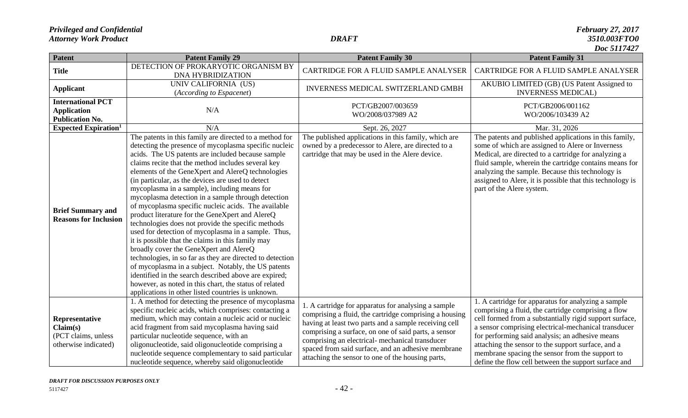| <b>Patent</b>                                                             | <b>Patent Family 29</b>                                                                                                                                                                                                                                                                                                                                                                                                                                                                                                                                                                                                                                                                                                                                                                                                                                                                                                                                                                                                                                        | <b>Patent Family 30</b>                                                                                                                                                                                                                                                                                                                                                                     | <b>Patent Family 31</b>                                                                                                                                                                                                                                                                                                                                                                                                                           |
|---------------------------------------------------------------------------|----------------------------------------------------------------------------------------------------------------------------------------------------------------------------------------------------------------------------------------------------------------------------------------------------------------------------------------------------------------------------------------------------------------------------------------------------------------------------------------------------------------------------------------------------------------------------------------------------------------------------------------------------------------------------------------------------------------------------------------------------------------------------------------------------------------------------------------------------------------------------------------------------------------------------------------------------------------------------------------------------------------------------------------------------------------|---------------------------------------------------------------------------------------------------------------------------------------------------------------------------------------------------------------------------------------------------------------------------------------------------------------------------------------------------------------------------------------------|---------------------------------------------------------------------------------------------------------------------------------------------------------------------------------------------------------------------------------------------------------------------------------------------------------------------------------------------------------------------------------------------------------------------------------------------------|
| <b>Title</b>                                                              | DETECTION OF PROKARYOTIC ORGANISM BY<br><b>DNA HYBRIDIZATION</b>                                                                                                                                                                                                                                                                                                                                                                                                                                                                                                                                                                                                                                                                                                                                                                                                                                                                                                                                                                                               | CARTRIDGE FOR A FLUID SAMPLE ANALYSER                                                                                                                                                                                                                                                                                                                                                       |                                                                                                                                                                                                                                                                                                                                                                                                                                                   |
| <b>Applicant</b>                                                          | UNIV CALIFORNIA (US)<br>(According to Espacenet)                                                                                                                                                                                                                                                                                                                                                                                                                                                                                                                                                                                                                                                                                                                                                                                                                                                                                                                                                                                                               | INVERNESS MEDICAL SWITZERLAND GMBH                                                                                                                                                                                                                                                                                                                                                          | AKUBIO LIMITED (GB) (US Patent Assigned to<br><b>INVERNESS MEDICAL)</b>                                                                                                                                                                                                                                                                                                                                                                           |
| <b>International PCT</b><br><b>Application</b><br><b>Publication No.</b>  | N/A                                                                                                                                                                                                                                                                                                                                                                                                                                                                                                                                                                                                                                                                                                                                                                                                                                                                                                                                                                                                                                                            | PCT/GB2007/003659<br>WO/2008/037989 A2                                                                                                                                                                                                                                                                                                                                                      | PCT/GB2006/001162<br>WO/2006/103439 A2                                                                                                                                                                                                                                                                                                                                                                                                            |
| <b>Expected Expiration</b> <sup>1</sup>                                   | N/A                                                                                                                                                                                                                                                                                                                                                                                                                                                                                                                                                                                                                                                                                                                                                                                                                                                                                                                                                                                                                                                            | Sept. 26, 2027                                                                                                                                                                                                                                                                                                                                                                              | Mar. 31, 2026                                                                                                                                                                                                                                                                                                                                                                                                                                     |
| <b>Brief Summary and</b><br><b>Reasons for Inclusion</b>                  | The patents in this family are directed to a method for<br>detecting the presence of mycoplasma specific nucleic<br>acids. The US patents are included because sample<br>claims recite that the method includes several key<br>elements of the GeneXpert and AlereQ technologies<br>(in particular, as the devices are used to detect<br>mycoplasma in a sample), including means for<br>mycoplasma detection in a sample through detection<br>of mycoplasma specific nucleic acids. The available<br>product literature for the GeneXpert and AlereQ<br>technologies does not provide the specific methods<br>used for detection of mycoplasma in a sample. Thus,<br>it is possible that the claims in this family may<br>broadly cover the GeneXpert and AlereQ<br>technologies, in so far as they are directed to detection<br>of mycoplasma in a subject. Notably, the US patents<br>identified in the search described above are expired;<br>however, as noted in this chart, the status of related<br>applications in other listed countries is unknown. | The published applications in this family, which are<br>owned by a predecessor to Alere, are directed to a<br>cartridge that may be used in the Alere device.                                                                                                                                                                                                                               | The patents and published applications in this family,<br>some of which are assigned to Alere or Inverness<br>Medical, are directed to a cartridge for analyzing a<br>fluid sample, wherein the cartridge contains means for<br>analyzing the sample. Because this technology is<br>assigned to Alere, it is possible that this technology is<br>part of the Alere system.                                                                        |
| Representative<br>Claim(s)<br>(PCT claims, unless<br>otherwise indicated) | 1. A method for detecting the presence of mycoplasma<br>specific nucleic acids, which comprises: contacting a<br>medium, which may contain a nucleic acid or nucleic<br>acid fragment from said mycoplasma having said<br>particular nucleotide sequence, with an<br>oligonucleotide, said oligonucleotide comprising a<br>nucleotide sequence complementary to said particular<br>nucleotide sequence, whereby said oligonucleotide                                                                                                                                                                                                                                                                                                                                                                                                                                                                                                                                                                                                                           | 1. A cartridge for apparatus for analysing a sample<br>comprising a fluid, the cartridge comprising a housing<br>having at least two parts and a sample receiving cell<br>comprising a surface, on one of said parts, a sensor<br>comprising an electrical-mechanical transducer<br>spaced from said surface, and an adhesive membrane<br>attaching the sensor to one of the housing parts, | 1. A cartridge for apparatus for analyzing a sample<br>comprising a fluid, the cartridge comprising a flow<br>cell formed from a substantially rigid support surface,<br>a sensor comprising electrical-mechanical transducer<br>for performing said analysis; an adhesive means<br>attaching the sensor to the support surface, and a<br>membrane spacing the sensor from the support to<br>define the flow cell between the support surface and |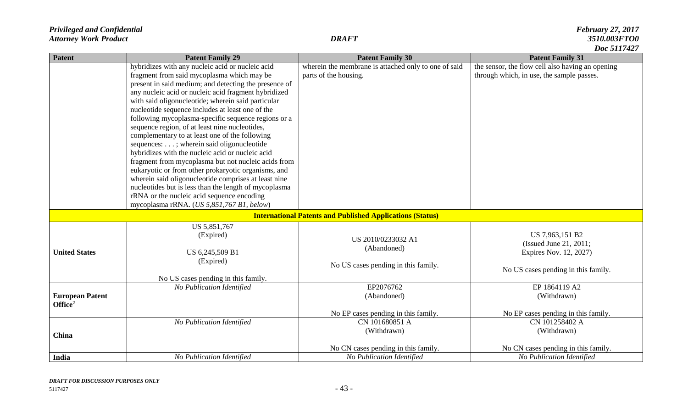| <b>Patent</b>          | <b>Patent Family 29</b>                               | <b>Patent Family 30</b>                                          | $D_{\rm U}$ ulit $\tau$ zi<br><b>Patent Family 31</b> |
|------------------------|-------------------------------------------------------|------------------------------------------------------------------|-------------------------------------------------------|
|                        | hybridizes with any nucleic acid or nucleic acid      | wherein the membrane is attached only to one of said             | the sensor, the flow cell also having an opening      |
|                        | fragment from said mycoplasma which may be            | parts of the housing.                                            | through which, in use, the sample passes.             |
|                        | present in said medium; and detecting the presence of |                                                                  |                                                       |
|                        | any nucleic acid or nucleic acid fragment hybridized  |                                                                  |                                                       |
|                        | with said oligonucleotide; wherein said particular    |                                                                  |                                                       |
|                        | nucleotide sequence includes at least one of the      |                                                                  |                                                       |
|                        | following mycoplasma-specific sequence regions or a   |                                                                  |                                                       |
|                        | sequence region, of at least nine nucleotides,        |                                                                  |                                                       |
|                        | complementary to at least one of the following        |                                                                  |                                                       |
|                        | sequences: ; wherein said oligonucleotide             |                                                                  |                                                       |
|                        | hybridizes with the nucleic acid or nucleic acid      |                                                                  |                                                       |
|                        | fragment from mycoplasma but not nucleic acids from   |                                                                  |                                                       |
|                        | eukaryotic or from other prokaryotic organisms, and   |                                                                  |                                                       |
|                        | wherein said oligonucleotide comprises at least nine  |                                                                  |                                                       |
|                        | nucleotides but is less than the length of mycoplasma |                                                                  |                                                       |
|                        | rRNA or the nucleic acid sequence encoding            |                                                                  |                                                       |
|                        | mycoplasma rRNA. (US 5,851,767 B1, below)             |                                                                  |                                                       |
|                        |                                                       | <b>International Patents and Published Applications (Status)</b> |                                                       |
|                        | US 5,851,767                                          |                                                                  |                                                       |
|                        | (Expired)<br>US 6,245,509 B1                          | US 2010/0233032 A1                                               | US 7,963,151 B2                                       |
|                        |                                                       | (Abandoned)                                                      | (Issued June 21, 2011;                                |
| <b>United States</b>   |                                                       |                                                                  | Expires Nov. 12, 2027)                                |
|                        | (Expired)                                             | No US cases pending in this family.                              |                                                       |
|                        | No US cases pending in this family.                   |                                                                  | No US cases pending in this family.                   |
|                        | No Publication Identified                             | EP2076762                                                        | EP 1864119 A2                                         |
| <b>European Patent</b> |                                                       | (Abandoned)                                                      | (Withdrawn)                                           |
| Office <sup>2</sup>    |                                                       |                                                                  |                                                       |
|                        |                                                       | No EP cases pending in this family.                              | No EP cases pending in this family.                   |
|                        | No Publication Identified                             | CN 101680851 A                                                   | CN 101258402 A                                        |
|                        |                                                       | (Withdrawn)                                                      | (Withdrawn)                                           |
| China                  |                                                       |                                                                  |                                                       |
|                        |                                                       | No CN cases pending in this family.                              | No CN cases pending in this family.                   |
| India                  | No Publication Identified                             | No Publication Identified                                        | No Publication Identified                             |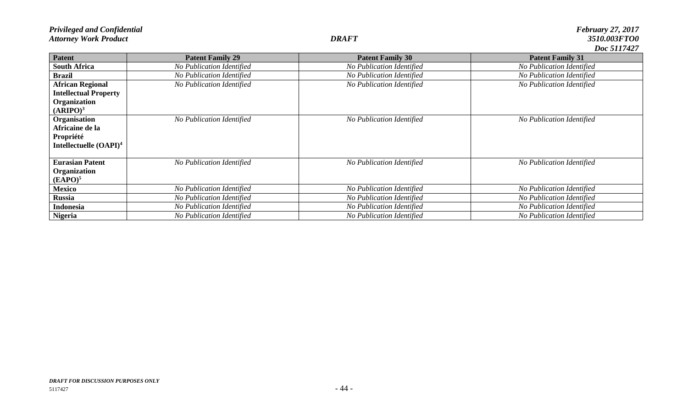|                           |                           | $1000 \,$ J I I I T $21$  |
|---------------------------|---------------------------|---------------------------|
| <b>Patent Family 29</b>   | <b>Patent Family 30</b>   | <b>Patent Family 31</b>   |
| No Publication Identified | No Publication Identified | No Publication Identified |
| No Publication Identified | No Publication Identified | No Publication Identified |
| No Publication Identified | No Publication Identified | No Publication Identified |
|                           |                           |                           |
|                           |                           |                           |
|                           |                           |                           |
| No Publication Identified | No Publication Identified | No Publication Identified |
|                           |                           |                           |
|                           |                           |                           |
|                           |                           |                           |
|                           |                           |                           |
|                           |                           | No Publication Identified |
|                           |                           |                           |
|                           |                           |                           |
| No Publication Identified | No Publication Identified | No Publication Identified |
| No Publication Identified | No Publication Identified | No Publication Identified |
| No Publication Identified | No Publication Identified | No Publication Identified |
| No Publication Identified | No Publication Identified | No Publication Identified |
|                           | No Publication Identified | No Publication Identified |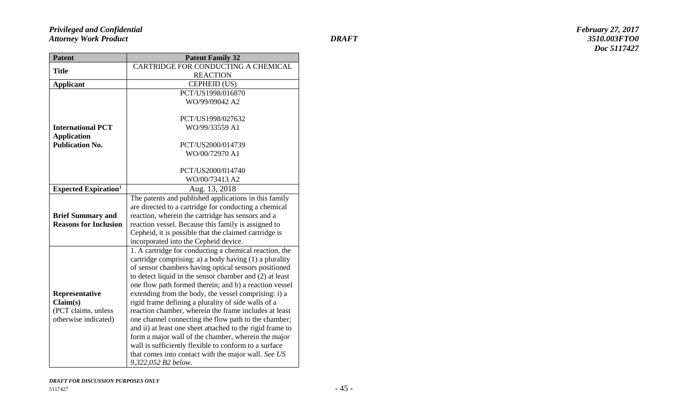| <b>Patent</b>                           | <b>Patent Family 32</b>                                                                                        |
|-----------------------------------------|----------------------------------------------------------------------------------------------------------------|
| <b>Title</b>                            | CARTRIDGE FOR CONDUCTING A CHEMICAL                                                                            |
|                                         | <b>REACTION</b>                                                                                                |
| <b>Applicant</b>                        | CEPHEID (US)                                                                                                   |
|                                         | PCT/US1998/016870                                                                                              |
|                                         | WO/99/09042 A2                                                                                                 |
|                                         |                                                                                                                |
|                                         | PCT/US1998/027632                                                                                              |
| <b>International PCT</b>                | WO/99/33559 A1                                                                                                 |
| <b>Application</b>                      |                                                                                                                |
| <b>Publication No.</b>                  | PCT/US2000/014739                                                                                              |
|                                         | WO/00/72970 A1                                                                                                 |
|                                         |                                                                                                                |
|                                         | PCT/US2000/014740                                                                                              |
|                                         | WO/00/73413 A2                                                                                                 |
| <b>Expected Expiration</b> <sup>1</sup> | Aug. 13, 2018                                                                                                  |
|                                         | The patents and published applications in this family                                                          |
|                                         | are directed to a cartridge for conducting a chemical                                                          |
| <b>Brief Summary and</b>                | reaction, wherein the cartridge has sensors and a                                                              |
| <b>Reasons for Inclusion</b>            | reaction vessel. Because this family is assigned to                                                            |
|                                         | Cepheid, it is possible that the claimed cartridge is                                                          |
|                                         | incorporated into the Cepheid device.                                                                          |
|                                         | 1. A cartridge for conducting a chemical reaction, the                                                         |
|                                         | cartridge comprising: a) a body having (1) a plurality<br>of sensor chambers having optical sensors positioned |
|                                         | to detect liquid in the sensor chamber and (2) at least                                                        |
|                                         | one flow path formed therein; and b) a reaction vessel                                                         |
| Representative                          | extending from the body, the vessel comprising: i) a                                                           |
| Claim(s)                                | rigid frame defining a plurality of side walls of a                                                            |
| (PCT claims, unless                     | reaction chamber, wherein the frame includes at least                                                          |
| otherwise indicated)                    | one channel connecting the flow path to the chamber;                                                           |
|                                         | and ii) at least one sheet attached to the rigid frame to                                                      |
|                                         | form a major wall of the chamber, wherein the major                                                            |
|                                         | wall is sufficiently flexible to conform to a surface                                                          |
|                                         | that comes into contact with the major wall. See US                                                            |
|                                         | 9,322,052 B2 below.                                                                                            |

*DRAFT FOR DISCUSSION PURPOSES ONLY*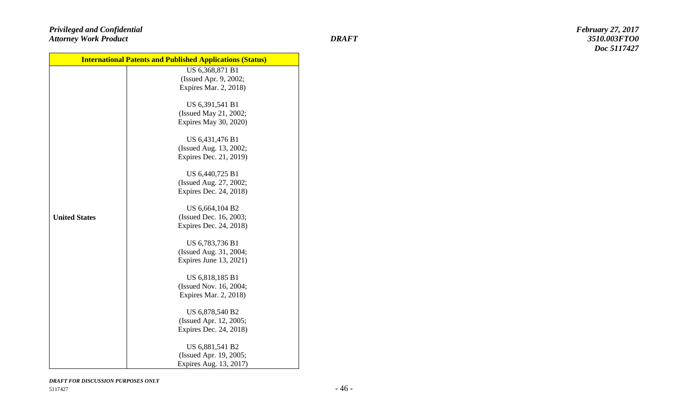|                      | <b>International Patents and Published Applications (Status)</b> |
|----------------------|------------------------------------------------------------------|
|                      | US 6,368,871 B1                                                  |
|                      | (Issued Apr. 9, 2002;                                            |
|                      | Expires Mar. 2, 2018)                                            |
|                      | US 6,391,541 B1                                                  |
|                      | (Issued May 21, 2002;                                            |
|                      | Expires May 30, 2020)                                            |
|                      | US 6,431,476 B1                                                  |
|                      | (Issued Aug. 13, 2002;                                           |
|                      | Expires Dec. 21, 2019)                                           |
|                      | US 6,440,725 B1                                                  |
|                      | (Issued Aug. 27, 2002;                                           |
|                      | Expires Dec. 24, 2018)                                           |
|                      | US 6,664,104 B2                                                  |
| <b>United States</b> | (Issued Dec. 16, 2003;                                           |
|                      | Expires Dec. 24, 2018)                                           |
|                      | US 6,783,736 B1                                                  |
|                      | (Issued Aug. 31, 2004;                                           |
|                      | Expires June 13, 2021)                                           |
|                      | US 6,818,185 B1                                                  |
|                      | (Issued Nov. 16, 2004;                                           |
|                      | Expires Mar. 2, 2018)                                            |
|                      | US 6,878,540 B2                                                  |
|                      | (Issued Apr. 12, 2005;                                           |
|                      | Expires Dec. 24, 2018)                                           |
|                      | US 6,881,541 B2                                                  |
|                      | (Issued Apr. 19, 2005;                                           |
|                      | Expires Aug. 13, 2017)                                           |

*DRAFT FOR DISCUSSION PURPOSES ONLY*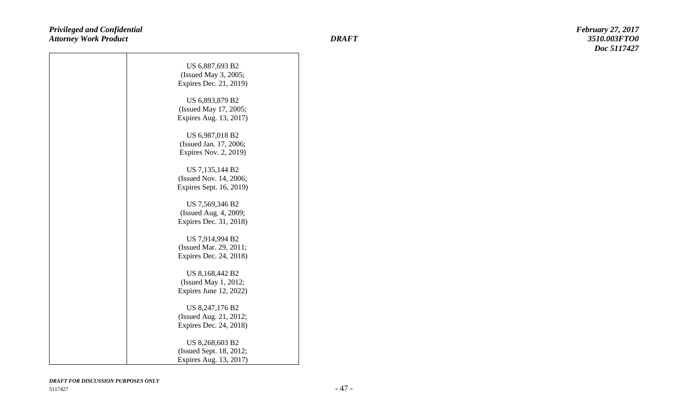| US 6,887,693 B2         |
|-------------------------|
| (Issued May 3, 2005;    |
| Expires Dec. 21, 2019)  |
|                         |
| US 6,893,879 B2         |
| (Issued May 17, 2005;   |
| Expires Aug. 13, 2017)  |
|                         |
| US 6,987,018 B2         |
| (Issued Jan. 17, 2006;  |
| Expires Nov. 2, 2019)   |
| US 7,135,144 B2         |
| (Issued Nov. 14, 2006;  |
| Expires Sept. 16, 2019) |
|                         |
| US 7,569,346 B2         |
| (Issued Aug. 4, 2009;   |
| Expires Dec. 31, 2018)  |
|                         |
| US 7,914,994 B2         |
| (Issued Mar. 29, 2011;  |
| Expires Dec. 24, 2018)  |
| US 8,168,442 B2         |
| (Issued May 1, 2012;    |
| Expires June 12, 2022)  |
| US 8,247,176 B2         |
| (Issued Aug. 21, 2012;  |
| Expires Dec. 24, 2018)  |
|                         |
| US 8,268,603 B2         |
| (Issued Sept. 18, 2012; |
| Expires Aug. 13, 2017)  |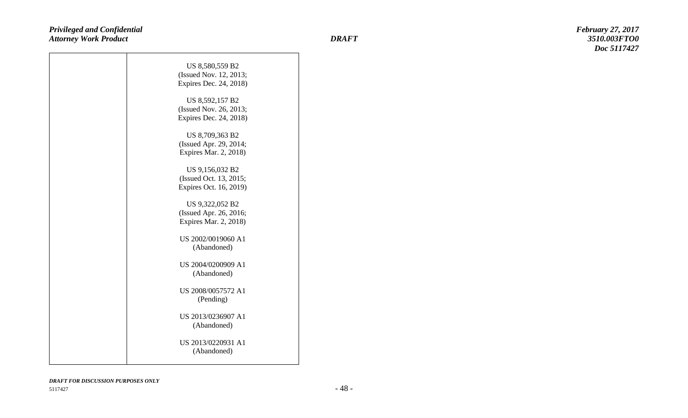| US 8,580,559 B2        |
|------------------------|
| (Issued Nov. 12, 2013; |
| Expires Dec. 24, 2018) |
|                        |
| US 8,592,157 B2        |
| (Issued Nov. 26, 2013; |
| Expires Dec. 24, 2018) |
| US 8,709,363 B2        |
| (Issued Apr. 29, 2014; |
| Expires Mar. 2, 2018)  |
|                        |
| US 9,156,032 B2        |
| (Issued Oct. 13, 2015; |
| Expires Oct. 16, 2019) |
|                        |
| US 9,322,052 B2        |
| (Issued Apr. 26, 2016; |
| Expires Mar. 2, 2018)  |
|                        |
| US 2002/0019060 A1     |
| (Abandoned)            |
| US 2004/0200909 A1     |
| (Abandoned)            |
|                        |
| US 2008/0057572 A1     |
| (Pending)              |
|                        |
| US 2013/0236907 A1     |
| (Abandoned)            |
|                        |
| US 2013/0220931 A1     |
| (Abandoned)            |
|                        |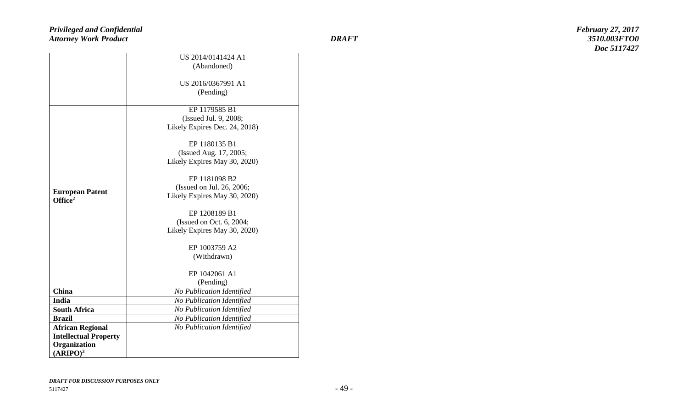|                              | US 2014/0141424 A1            |
|------------------------------|-------------------------------|
|                              | (Abandoned)                   |
|                              |                               |
|                              | US 2016/0367991 A1            |
|                              | (Pending)                     |
|                              |                               |
|                              | EP 1179585 B1                 |
|                              | (Issued Jul. 9, 2008;         |
|                              | Likely Expires Dec. 24, 2018) |
|                              | EP 1180135 B1                 |
|                              | (Issued Aug. 17, 2005;        |
|                              | Likely Expires May 30, 2020)  |
|                              | EP 1181098 B2                 |
|                              | (Issued on Jul. 26, 2006;     |
| <b>European Patent</b>       | Likely Expires May 30, 2020)  |
| Office <sup>2</sup>          |                               |
|                              | EP 1208189 B1                 |
|                              | (Issued on Oct. 6, 2004;      |
|                              | Likely Expires May 30, 2020)  |
|                              | EP 1003759 A2                 |
|                              | (Withdrawn)                   |
|                              | EP 1042061 A1                 |
|                              | (Pending)                     |
| China                        | No Publication Identified     |
| India                        | No Publication Identified     |
| <b>South Africa</b>          | No Publication Identified     |
| <b>Brazil</b>                | No Publication Identified     |
| <b>African Regional</b>      | No Publication Identified     |
| <b>Intellectual Property</b> |                               |
| Organization                 |                               |
| (ARIPO) <sup>3</sup>         |                               |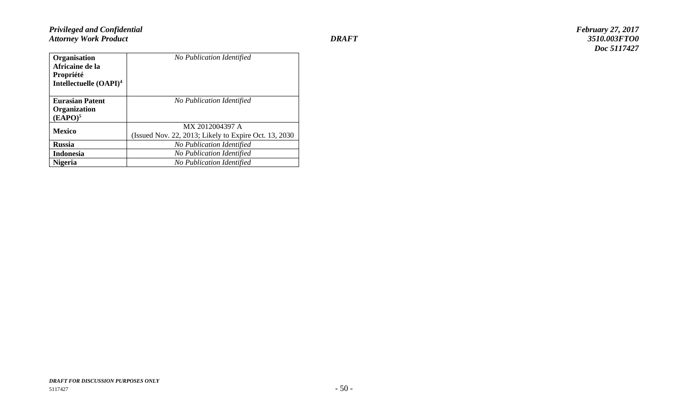| Organisation              | No Publication Identified                              |
|---------------------------|--------------------------------------------------------|
| Africaine de la           |                                                        |
| Propriété                 |                                                        |
| Intellectuelle $(OAPI)^4$ |                                                        |
| <b>Eurasian Patent</b>    | No Publication Identified                              |
| <b>Organization</b>       |                                                        |
| (EAPO) <sup>5</sup>       |                                                        |
| <b>Mexico</b>             | MX 2012004397 A                                        |
|                           | (Issued Nov. 22, 2013; Likely to Expire Oct. 13, 2030) |
| <b>Russia</b>             | No Publication Identified                              |
| <b>Indonesia</b>          | No Publication Identified                              |
| <b>Nigeria</b>            | No Publication Identified                              |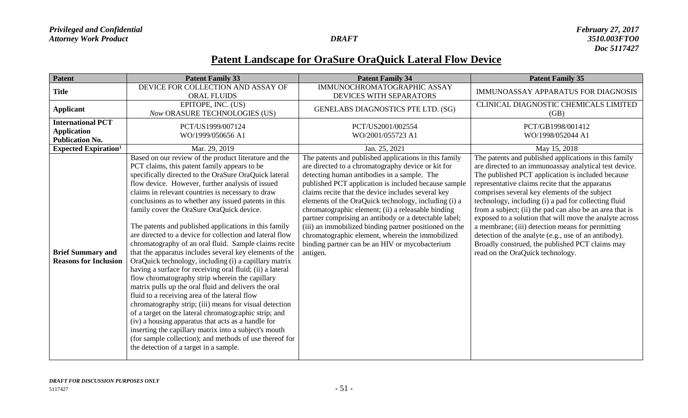## **Patent Landscape for OraSure OraQuick Lateral Flow Device**

| Patent                                                                   | <b>Patent Family 33</b>                                                                                                                                                                                                                                                                                                                                                                                                                                                                                                                                                                                                                                                                                                                                                                                                                                                                                                                                                                                                                                                                                                                                                                                                                        | <b>Patent Family 34</b>                                                                                                                                                                                                                                                                                                                                                                                                                                                                                                                                                                                                     | <b>Patent Family 35</b>                                                                                                                                                                                                                                                                                                                                                                                                                                                                                                                                                                                                                                    |
|--------------------------------------------------------------------------|------------------------------------------------------------------------------------------------------------------------------------------------------------------------------------------------------------------------------------------------------------------------------------------------------------------------------------------------------------------------------------------------------------------------------------------------------------------------------------------------------------------------------------------------------------------------------------------------------------------------------------------------------------------------------------------------------------------------------------------------------------------------------------------------------------------------------------------------------------------------------------------------------------------------------------------------------------------------------------------------------------------------------------------------------------------------------------------------------------------------------------------------------------------------------------------------------------------------------------------------|-----------------------------------------------------------------------------------------------------------------------------------------------------------------------------------------------------------------------------------------------------------------------------------------------------------------------------------------------------------------------------------------------------------------------------------------------------------------------------------------------------------------------------------------------------------------------------------------------------------------------------|------------------------------------------------------------------------------------------------------------------------------------------------------------------------------------------------------------------------------------------------------------------------------------------------------------------------------------------------------------------------------------------------------------------------------------------------------------------------------------------------------------------------------------------------------------------------------------------------------------------------------------------------------------|
| <b>Title</b>                                                             | DEVICE FOR COLLECTION AND ASSAY OF<br><b>ORAL FLUIDS</b>                                                                                                                                                                                                                                                                                                                                                                                                                                                                                                                                                                                                                                                                                                                                                                                                                                                                                                                                                                                                                                                                                                                                                                                       | IMMUNOCHROMATOGRAPHIC ASSAY<br>DEVICES WITH SEPARATORS                                                                                                                                                                                                                                                                                                                                                                                                                                                                                                                                                                      | IMMUNOASSAY APPARATUS FOR DIAGNOSIS                                                                                                                                                                                                                                                                                                                                                                                                                                                                                                                                                                                                                        |
| <b>Applicant</b>                                                         | EPITOPE, INC. (US)<br>Now ORASURE TECHNOLOGIES (US)                                                                                                                                                                                                                                                                                                                                                                                                                                                                                                                                                                                                                                                                                                                                                                                                                                                                                                                                                                                                                                                                                                                                                                                            | GENELABS DIAGNOSTICS PTE LTD. (SG)                                                                                                                                                                                                                                                                                                                                                                                                                                                                                                                                                                                          | CLINICAL DIAGNOSTIC CHEMICALS LIMITED<br>(GB)                                                                                                                                                                                                                                                                                                                                                                                                                                                                                                                                                                                                              |
| <b>International PCT</b><br><b>Application</b><br><b>Publication No.</b> | PCT/US1999/007124<br>WO/1999/050656 A1                                                                                                                                                                                                                                                                                                                                                                                                                                                                                                                                                                                                                                                                                                                                                                                                                                                                                                                                                                                                                                                                                                                                                                                                         | PCT/US2001/002554<br>WO/2001/055723 A1                                                                                                                                                                                                                                                                                                                                                                                                                                                                                                                                                                                      | PCT/GB1998/001412<br>WO/1998/052044 A1                                                                                                                                                                                                                                                                                                                                                                                                                                                                                                                                                                                                                     |
| <b>Expected Expiration</b> <sup>1</sup>                                  | Mar. 29, 2019                                                                                                                                                                                                                                                                                                                                                                                                                                                                                                                                                                                                                                                                                                                                                                                                                                                                                                                                                                                                                                                                                                                                                                                                                                  | Jan. 25, 2021                                                                                                                                                                                                                                                                                                                                                                                                                                                                                                                                                                                                               | May 15, 2018                                                                                                                                                                                                                                                                                                                                                                                                                                                                                                                                                                                                                                               |
| <b>Brief Summary and</b><br><b>Reasons for Inclusion</b>                 | Based on our review of the product literature and the<br>PCT claims, this patent family appears to be<br>specifically directed to the OraSure OraQuick lateral<br>flow device. However, further analysis of issued<br>claims in relevant countries is necessary to draw<br>conclusions as to whether any issued patents in this<br>family cover the OraSure OraQuick device.<br>The patents and published applications in this family<br>are directed to a device for collection and lateral flow<br>chromatography of an oral fluid. Sample claims recite<br>that the apparatus includes several key elements of the<br>OraQuick technology, including (i) a capillary matrix<br>having a surface for receiving oral fluid; (ii) a lateral<br>flow chromatography strip wherein the capillary<br>matrix pulls up the oral fluid and delivers the oral<br>fluid to a receiving area of the lateral flow<br>chromatography strip; (iii) means for visual detection<br>of a target on the lateral chromatographic strip; and<br>(iv) a housing apparatus that acts as a handle for<br>inserting the capillary matrix into a subject's mouth<br>(for sample collection); and methods of use thereof for<br>the detection of a target in a sample. | The patents and published applications in this family<br>are directed to a chromatography device or kit for<br>detecting human antibodies in a sample. The<br>published PCT application is included because sample<br>claims recite that the device includes several key<br>elements of the OraQuick technology, including (i) a<br>chromatographic element; (ii) a releasable binding<br>partner comprising an antibody or a detectable label;<br>(iii) an immobilized binding partner positioned on the<br>chromatographic element, wherein the immobilized<br>binding partner can be an HIV or mycobacterium<br>antigen. | The patents and published applications in this family<br>are directed to an immunoassay analytical test device.<br>The published PCT application is included because<br>representative claims recite that the apparatus<br>comprises several key elements of the subject<br>technology, including (i) a pad for collecting fluid<br>from a subject; (ii) the pad can also be an area that is<br>exposed to a solution that will move the analyte across<br>a membrane; (iii) detection means for permitting<br>detection of the analyte (e.g., use of an antibody).<br>Broadly construed, the published PCT claims may<br>read on the OraQuick technology. |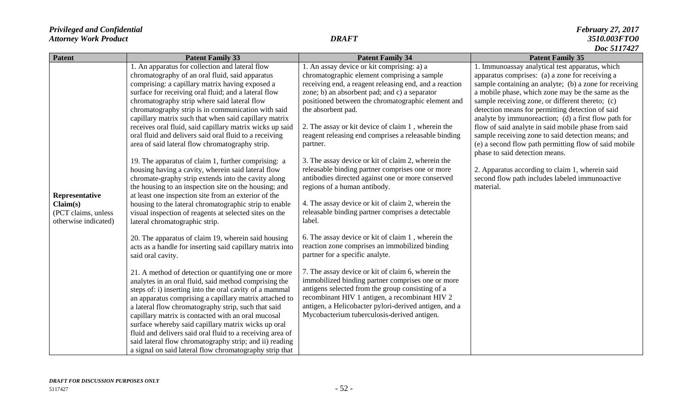| <b>Patent</b>                                                             | <b>Patent Family 33</b>                                                                                                                                                                                                                                                                                                                                                                                                                                                                                                                                                                                                                                                                                                                                                                                                                                                                                                                                                                                                                                                                                                                                                                                                                                                                                                                                                                                                                                                                                                                                                                                          | <b>Patent Family 34</b>                                                                                                                                                                                                                                                                                                                                                                                                                                                                                                                                                                                                                                                                                                                                                                                                                                                                                                                                                                                                                                                                                                                                                                            | <b>Patent Family 35</b>                                                                                                                                                                                                                                                                                                                                                                                                                                                                                                                                                                                                                                                                                     |
|---------------------------------------------------------------------------|------------------------------------------------------------------------------------------------------------------------------------------------------------------------------------------------------------------------------------------------------------------------------------------------------------------------------------------------------------------------------------------------------------------------------------------------------------------------------------------------------------------------------------------------------------------------------------------------------------------------------------------------------------------------------------------------------------------------------------------------------------------------------------------------------------------------------------------------------------------------------------------------------------------------------------------------------------------------------------------------------------------------------------------------------------------------------------------------------------------------------------------------------------------------------------------------------------------------------------------------------------------------------------------------------------------------------------------------------------------------------------------------------------------------------------------------------------------------------------------------------------------------------------------------------------------------------------------------------------------|----------------------------------------------------------------------------------------------------------------------------------------------------------------------------------------------------------------------------------------------------------------------------------------------------------------------------------------------------------------------------------------------------------------------------------------------------------------------------------------------------------------------------------------------------------------------------------------------------------------------------------------------------------------------------------------------------------------------------------------------------------------------------------------------------------------------------------------------------------------------------------------------------------------------------------------------------------------------------------------------------------------------------------------------------------------------------------------------------------------------------------------------------------------------------------------------------|-------------------------------------------------------------------------------------------------------------------------------------------------------------------------------------------------------------------------------------------------------------------------------------------------------------------------------------------------------------------------------------------------------------------------------------------------------------------------------------------------------------------------------------------------------------------------------------------------------------------------------------------------------------------------------------------------------------|
| Representative<br>Claim(s)<br>(PCT claims, unless<br>otherwise indicated) | 1. An apparatus for collection and lateral flow<br>chromatography of an oral fluid, said apparatus<br>comprising: a capillary matrix having exposed a<br>surface for receiving oral fluid; and a lateral flow<br>chromatography strip where said lateral flow<br>chromatography strip is in communication with said<br>capillary matrix such that when said capillary matrix<br>receives oral fluid, said capillary matrix wicks up said<br>oral fluid and delivers said oral fluid to a receiving<br>area of said lateral flow chromatography strip.<br>19. The apparatus of claim 1, further comprising: a<br>housing having a cavity, wherein said lateral flow<br>chromate-graphy strip extends into the cavity along<br>the housing to an inspection site on the housing; and<br>at least one inspection site from an exterior of the<br>housing to the lateral chromatographic strip to enable<br>visual inspection of reagents at selected sites on the<br>lateral chromatographic strip.<br>20. The apparatus of claim 19, wherein said housing<br>acts as a handle for inserting said capillary matrix into<br>said oral cavity.<br>21. A method of detection or quantifying one or more<br>analytes in an oral fluid, said method comprising the<br>steps of: i) inserting into the oral cavity of a mammal<br>an apparatus comprising a capillary matrix attached to<br>a lateral flow chromatography strip, such that said<br>capillary matrix is contacted with an oral mucosal<br>surface whereby said capillary matrix wicks up oral<br>fluid and delivers said oral fluid to a receiving area of | 1. An assay device or kit comprising: a) a<br>chromatographic element comprising a sample<br>receiving end, a reagent releasing end, and a reaction<br>zone; b) an absorbent pad; and c) a separator<br>positioned between the chromatographic element and<br>the absorbent pad.<br>2. The assay or kit device of claim 1, wherein the<br>reagent releasing end comprises a releasable binding<br>partner.<br>3. The assay device or kit of claim 2, wherein the<br>releasable binding partner comprises one or more<br>antibodies directed against one or more conserved<br>regions of a human antibody.<br>4. The assay device or kit of claim 2, wherein the<br>releasable binding partner comprises a detectable<br>label.<br>6. The assay device or kit of claim 1, wherein the<br>reaction zone comprises an immobilized binding<br>partner for a specific analyte.<br>7. The assay device or kit of claim 6, wherein the<br>immobilized binding partner comprises one or more<br>antigens selected from the group consisting of a<br>recombinant HIV 1 antigen, a recombinant HIV 2<br>antigen, a Helicobacter pylori-derived antigen, and a<br>Mycobacterium tuberculosis-derived antigen. | 1. Immunoassay analytical test apparatus, which<br>apparatus comprises: (a) a zone for receiving a<br>sample containing an analyte; (b) a zone for receiving<br>a mobile phase, which zone may be the same as the<br>sample receiving zone, or different thereto; (c)<br>detection means for permitting detection of said<br>analyte by immunoreaction; (d) a first flow path for<br>flow of said analyte in said mobile phase from said<br>sample receiving zone to said detection means; and<br>(e) a second flow path permitting flow of said mobile<br>phase to said detection means.<br>2. Apparatus according to claim 1, wherein said<br>second flow path includes labeled immunoactive<br>material. |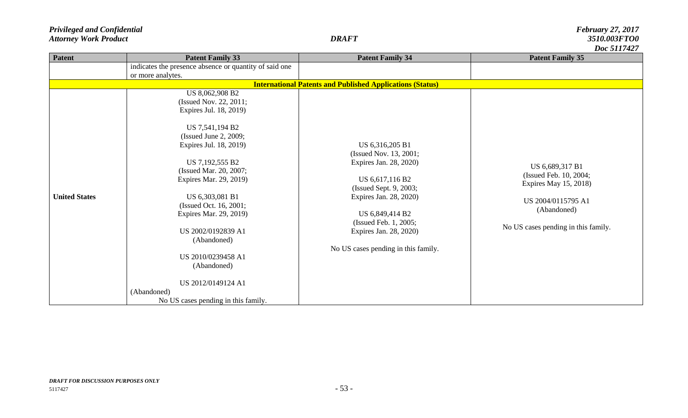| <b>Patent</b>        | <b>Patent Family 33</b>                                                                                                                                                                                                                                                                                                                                                                 | <b>Patent Family 34</b>                                                                                                                                                                                                                                 | <i>D</i> ov Jii te<br><b>Patent Family 35</b>                                                                                                  |
|----------------------|-----------------------------------------------------------------------------------------------------------------------------------------------------------------------------------------------------------------------------------------------------------------------------------------------------------------------------------------------------------------------------------------|---------------------------------------------------------------------------------------------------------------------------------------------------------------------------------------------------------------------------------------------------------|------------------------------------------------------------------------------------------------------------------------------------------------|
|                      | indicates the presence absence or quantity of said one                                                                                                                                                                                                                                                                                                                                  |                                                                                                                                                                                                                                                         |                                                                                                                                                |
|                      | or more analytes.                                                                                                                                                                                                                                                                                                                                                                       |                                                                                                                                                                                                                                                         |                                                                                                                                                |
|                      |                                                                                                                                                                                                                                                                                                                                                                                         | <b>International Patents and Published Applications (Status)</b>                                                                                                                                                                                        |                                                                                                                                                |
| <b>United States</b> | US 8,062,908 B2<br>(Issued Nov. 22, 2011;<br>Expires Jul. 18, 2019)<br>US 7,541,194 B2<br>(Issued June 2, 2009;<br>Expires Jul. 18, 2019)<br>US 7,192,555 B2<br>(Issued Mar. 20, 2007;<br>Expires Mar. 29, 2019)<br>US 6,303,081 B1<br>(Issued Oct. 16, 2001;<br>Expires Mar. 29, 2019)<br>US 2002/0192839 A1<br>(Abandoned)<br>US 2010/0239458 A1<br>(Abandoned)<br>US 2012/0149124 A1 | US 6,316,205 B1<br>(Issued Nov. 13, 2001;<br>Expires Jan. 28, 2020)<br>US 6,617,116 B2<br>(Issued Sept. 9, 2003;<br>Expires Jan. 28, 2020)<br>US 6,849,414 B2<br>(Issued Feb. 1, 2005;<br>Expires Jan. 28, 2020)<br>No US cases pending in this family. | US 6,689,317 B1<br>(Issued Feb. 10, 2004;<br>Expires May 15, 2018)<br>US 2004/0115795 A1<br>(Abandoned)<br>No US cases pending in this family. |
|                      | (Abandoned)                                                                                                                                                                                                                                                                                                                                                                             |                                                                                                                                                                                                                                                         |                                                                                                                                                |
|                      | No US cases pending in this family.                                                                                                                                                                                                                                                                                                                                                     |                                                                                                                                                                                                                                                         |                                                                                                                                                |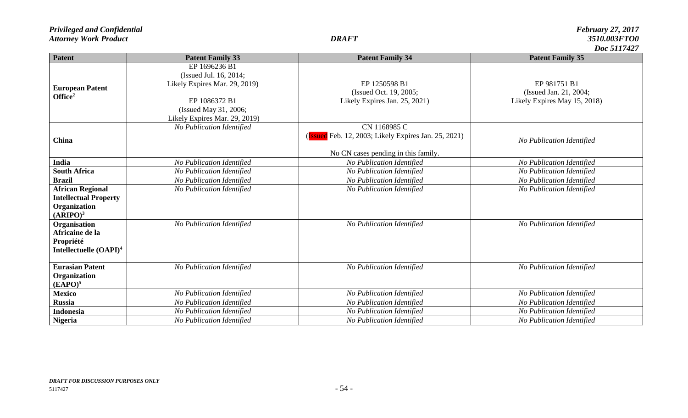|                                                                                                 |                                                                                                                                                     |                                                                                                           | <b>DUC 311/42/</b>                                                     |
|-------------------------------------------------------------------------------------------------|-----------------------------------------------------------------------------------------------------------------------------------------------------|-----------------------------------------------------------------------------------------------------------|------------------------------------------------------------------------|
| <b>Patent</b>                                                                                   | <b>Patent Family 33</b>                                                                                                                             | <b>Patent Family 34</b>                                                                                   | <b>Patent Family 35</b>                                                |
| <b>European Patent</b><br>Office <sup>2</sup>                                                   | EP 1696236 B1<br>(Issued Jul. 16, 2014;<br>Likely Expires Mar. 29, 2019)<br>EP 1086372 B1<br>(Issued May 31, 2006;<br>Likely Expires Mar. 29, 2019) | EP 1250598 B1<br>(Issued Oct. 19, 2005;<br>Likely Expires Jan. 25, 2021)                                  | EP 981751 B1<br>(Issued Jan. 21, 2004;<br>Likely Expires May 15, 2018) |
| China                                                                                           | No Publication Identified                                                                                                                           | CN 1168985 C<br>ssued Feb. 12, 2003; Likely Expires Jan. 25, 2021)<br>No CN cases pending in this family. | No Publication Identified                                              |
| India                                                                                           | No Publication Identified                                                                                                                           | No Publication Identified                                                                                 | No Publication Identified                                              |
| <b>South Africa</b>                                                                             | No Publication Identified                                                                                                                           | No Publication Identified                                                                                 | No Publication Identified                                              |
| <b>Brazil</b>                                                                                   | No Publication Identified                                                                                                                           | No Publication Identified                                                                                 | No Publication Identified                                              |
| <b>African Regional</b><br><b>Intellectual Property</b><br>Organization<br>(ARIPO) <sup>3</sup> | No Publication Identified                                                                                                                           | No Publication Identified                                                                                 | No Publication Identified                                              |
| Organisation<br>Africaine de la<br>Propriété<br>Intellectuelle (OAPI) <sup>4</sup>              | No Publication Identified                                                                                                                           | No Publication Identified                                                                                 | No Publication Identified                                              |
| <b>Eurasian Patent</b><br>Organization<br>(EAPO) <sup>5</sup>                                   | No Publication Identified                                                                                                                           | No Publication Identified                                                                                 | No Publication Identified                                              |
| <b>Mexico</b>                                                                                   | No Publication Identified                                                                                                                           | No Publication Identified                                                                                 | No Publication Identified                                              |
| <b>Russia</b>                                                                                   | No Publication Identified                                                                                                                           | No Publication Identified                                                                                 | No Publication Identified                                              |
| <b>Indonesia</b>                                                                                | No Publication Identified                                                                                                                           | No Publication Identified                                                                                 | No Publication Identified                                              |
| <b>Nigeria</b>                                                                                  | No Publication Identified                                                                                                                           | No Publication Identified                                                                                 | No Publication Identified                                              |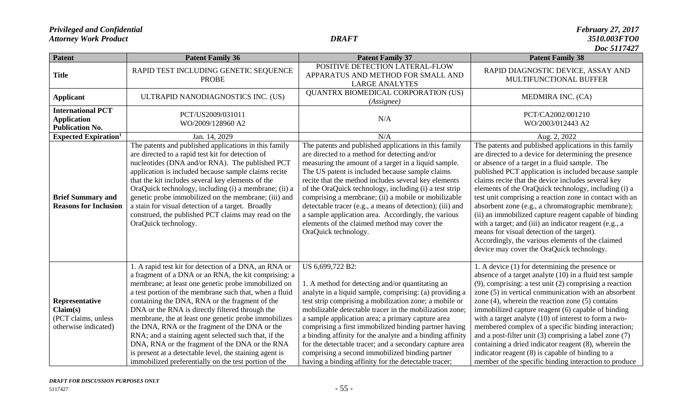|                                                                           |                                                                                                                                                                                                                                                                                                                                                                                                                                                                                                                                                                                                                                                                             |                                                                                                                                                                                                                                                                                                                                                                                                                                                                                                                                                                                                       | <b>DUC 3117427</b>                                                                                                                                                                                                                                                                                                                                                                                                                                                                                                                                                                                                                                                                                                        |
|---------------------------------------------------------------------------|-----------------------------------------------------------------------------------------------------------------------------------------------------------------------------------------------------------------------------------------------------------------------------------------------------------------------------------------------------------------------------------------------------------------------------------------------------------------------------------------------------------------------------------------------------------------------------------------------------------------------------------------------------------------------------|-------------------------------------------------------------------------------------------------------------------------------------------------------------------------------------------------------------------------------------------------------------------------------------------------------------------------------------------------------------------------------------------------------------------------------------------------------------------------------------------------------------------------------------------------------------------------------------------------------|---------------------------------------------------------------------------------------------------------------------------------------------------------------------------------------------------------------------------------------------------------------------------------------------------------------------------------------------------------------------------------------------------------------------------------------------------------------------------------------------------------------------------------------------------------------------------------------------------------------------------------------------------------------------------------------------------------------------------|
| <b>Patent</b>                                                             | <b>Patent Family 36</b>                                                                                                                                                                                                                                                                                                                                                                                                                                                                                                                                                                                                                                                     | <b>Patent Family 37</b>                                                                                                                                                                                                                                                                                                                                                                                                                                                                                                                                                                               | <b>Patent Family 38</b>                                                                                                                                                                                                                                                                                                                                                                                                                                                                                                                                                                                                                                                                                                   |
| <b>Title</b>                                                              | RAPID TEST INCLUDING GENETIC SEQUENCE<br><b>PROBE</b>                                                                                                                                                                                                                                                                                                                                                                                                                                                                                                                                                                                                                       | POSITIVE DETECTION LATERAL-FLOW<br>APPARATUS AND METHOD FOR SMALL AND<br><b>LARGE ANALYTES</b>                                                                                                                                                                                                                                                                                                                                                                                                                                                                                                        | RAPID DIAGNOSTIC DEVICE, ASSAY AND<br>MULTIFUNCTIONAL BUFFER                                                                                                                                                                                                                                                                                                                                                                                                                                                                                                                                                                                                                                                              |
| <b>Applicant</b>                                                          | ULTRAPID NANODIAGNOSTICS INC. (US)                                                                                                                                                                                                                                                                                                                                                                                                                                                                                                                                                                                                                                          | <b>QUANTRX BIOMEDICAL CORPORATION (US)</b><br>(Assignee)                                                                                                                                                                                                                                                                                                                                                                                                                                                                                                                                              | MEDMIRA INC. (CA)                                                                                                                                                                                                                                                                                                                                                                                                                                                                                                                                                                                                                                                                                                         |
| <b>International PCT</b><br><b>Application</b><br><b>Publication No.</b>  | PCT/US2009/031011<br>WO/2009/128960 A2                                                                                                                                                                                                                                                                                                                                                                                                                                                                                                                                                                                                                                      | N/A                                                                                                                                                                                                                                                                                                                                                                                                                                                                                                                                                                                                   | PCT/CA2002/001210<br>WO/2003/012443 A2                                                                                                                                                                                                                                                                                                                                                                                                                                                                                                                                                                                                                                                                                    |
| <b>Expected Expiration</b> <sup>1</sup>                                   | Jan. 14, 2029                                                                                                                                                                                                                                                                                                                                                                                                                                                                                                                                                                                                                                                               | N/A                                                                                                                                                                                                                                                                                                                                                                                                                                                                                                                                                                                                   | Aug. 2, 2022                                                                                                                                                                                                                                                                                                                                                                                                                                                                                                                                                                                                                                                                                                              |
| <b>Brief Summary and</b><br><b>Reasons for Inclusion</b>                  | The patents and published applications in this family<br>are directed to a rapid test kit for detection of<br>nucleotides (DNA and/or RNA). The published PCT<br>application is included because sample claims recite<br>that the kit includes several key elements of the<br>OraQuick technology, including (i) a membrane; (ii) a<br>genetic probe immobilized on the membrane; (iii) and<br>a stain for visual detection of a target. Broadly<br>construed, the published PCT claims may read on the<br>OraQuick technology.                                                                                                                                             | The patents and published applications in this family<br>are directed to a method for detecting and/or<br>measuring the amount of a target in a liquid sample.<br>The US patent is included because sample claims<br>recite that the method includes several key elements<br>of the OraQuick technology, including (i) a test strip<br>comprising a membrane; (ii) a mobile or mobilizable<br>detectable tracer (e.g., a means of detection); (iii) and<br>a sample application area. Accordingly, the various<br>elements of the claimed method may cover the<br>OraQuick technology.                | The patents and published applications in this family<br>are directed to a device for determining the presence<br>or absence of a target in a fluid sample. The<br>published PCT application is included because sample<br>claims recite that the device includes several key<br>elements of the OraQuick technology, including (i) a<br>test unit comprising a reaction zone in contact with an<br>absorbent zone (e.g., a chromatographic membrane);<br>(ii) an immobilized capture reagent capable of binding<br>with a target; and (iii) an indicator reagent (e.g., a<br>means for visual detection of the target).<br>Accordingly, the various elements of the claimed<br>device may cover the OraQuick technology. |
| Representative<br>Claim(s)<br>(PCT claims, unless<br>otherwise indicated) | 1. A rapid test kit for detection of a DNA, an RNA or<br>a fragment of a DNA or an RNA, the kit comprising: a<br>membrane; at least one genetic probe immobilized on<br>a test portion of the membrane such that, when a fluid<br>containing the DNA, RNA or the fragment of the<br>DNA or the RNA is directly filtered through the<br>membrane, the at least one genetic probe immobilizes<br>the DNA, RNA or the fragment of the DNA or the<br>RNA; and a staining agent selected such that, if the<br>DNA, RNA or the fragment of the DNA or the RNA<br>is present at a detectable level, the staining agent is<br>immobilized preferentially on the test portion of the | US 6,699,722 B2:<br>1. A method for detecting and/or quantitating an<br>analyte in a liquid sample, comprising: (a) providing a<br>test strip comprising a mobilization zone; a mobile or<br>mobilizable detectable tracer in the mobilization zone;<br>a sample application area; a primary capture area<br>comprising a first immobilized binding partner having<br>a binding affinity for the analyte and a binding affinity<br>for the detectable tracer; and a secondary capture area<br>comprising a second immobilized binding partner<br>having a binding affinity for the detectable tracer; | 1. A device (1) for determining the presence or<br>absence of a target analyte $(10)$ in a fluid test sample<br>$(9)$ , comprising: a test unit $(2)$ comprising a reaction<br>zone (5) in vertical communication with an absorbent<br>zone $(4)$ , wherein the reaction zone $(5)$ contains<br>immobilized capture reagent (6) capable of binding<br>with a target analyte (10) of interest to form a two-<br>membered complex of a specific binding interaction;<br>and a post-filter unit $(3)$ comprising a label zone $(7)$<br>containing a dried indicator reagent (8), wherein the<br>indicator reagent (8) is capable of binding to a<br>member of the specific binding interaction to produce                    |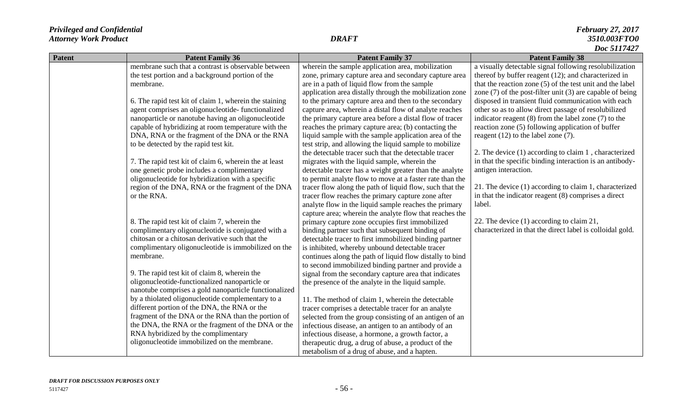| <b>Patent Family 36</b><br><b>Patent Family 37</b><br><b>Patent Family 38</b><br>membrane such that a contrast is observable between<br>wherein the sample application area, mobilization<br>a visually detectable signal following resolubilization<br>the test portion and a background portion of the<br>thereof by buffer reagent (12); and characterized in<br>zone, primary capture area and secondary capture area<br>that the reaction zone (5) of the test unit and the label<br>are in a path of liquid flow from the sample<br>membrane.<br>application area distally through the mobilization zone<br>zone $(7)$ of the post-filter unit $(3)$ are capable of being<br>to the primary capture area and then to the secondary<br>disposed in transient fluid communication with each<br>6. The rapid test kit of claim 1, wherein the staining<br>agent comprises an oligonucleotide-functionalized<br>capture area, wherein a distal flow of analyte reaches<br>other so as to allow direct passage of resolubilized<br>nanoparticle or nanotube having an oligonucleotide<br>the primary capture area before a distal flow of tracer<br>indicator reagent $(8)$ from the label zone $(7)$ to the<br>capable of hybridizing at room temperature with the<br>reaches the primary capture area; (b) contacting the<br>reaction zone (5) following application of buffer<br>DNA, RNA or the fragment of the DNA or the RNA<br>liquid sample with the sample application area of the<br>reagent $(12)$ to the label zone $(7)$ . |
|------------------------------------------------------------------------------------------------------------------------------------------------------------------------------------------------------------------------------------------------------------------------------------------------------------------------------------------------------------------------------------------------------------------------------------------------------------------------------------------------------------------------------------------------------------------------------------------------------------------------------------------------------------------------------------------------------------------------------------------------------------------------------------------------------------------------------------------------------------------------------------------------------------------------------------------------------------------------------------------------------------------------------------------------------------------------------------------------------------------------------------------------------------------------------------------------------------------------------------------------------------------------------------------------------------------------------------------------------------------------------------------------------------------------------------------------------------------------------------------------------------------------------------------|
|                                                                                                                                                                                                                                                                                                                                                                                                                                                                                                                                                                                                                                                                                                                                                                                                                                                                                                                                                                                                                                                                                                                                                                                                                                                                                                                                                                                                                                                                                                                                          |
|                                                                                                                                                                                                                                                                                                                                                                                                                                                                                                                                                                                                                                                                                                                                                                                                                                                                                                                                                                                                                                                                                                                                                                                                                                                                                                                                                                                                                                                                                                                                          |
|                                                                                                                                                                                                                                                                                                                                                                                                                                                                                                                                                                                                                                                                                                                                                                                                                                                                                                                                                                                                                                                                                                                                                                                                                                                                                                                                                                                                                                                                                                                                          |
|                                                                                                                                                                                                                                                                                                                                                                                                                                                                                                                                                                                                                                                                                                                                                                                                                                                                                                                                                                                                                                                                                                                                                                                                                                                                                                                                                                                                                                                                                                                                          |
|                                                                                                                                                                                                                                                                                                                                                                                                                                                                                                                                                                                                                                                                                                                                                                                                                                                                                                                                                                                                                                                                                                                                                                                                                                                                                                                                                                                                                                                                                                                                          |
|                                                                                                                                                                                                                                                                                                                                                                                                                                                                                                                                                                                                                                                                                                                                                                                                                                                                                                                                                                                                                                                                                                                                                                                                                                                                                                                                                                                                                                                                                                                                          |
|                                                                                                                                                                                                                                                                                                                                                                                                                                                                                                                                                                                                                                                                                                                                                                                                                                                                                                                                                                                                                                                                                                                                                                                                                                                                                                                                                                                                                                                                                                                                          |
|                                                                                                                                                                                                                                                                                                                                                                                                                                                                                                                                                                                                                                                                                                                                                                                                                                                                                                                                                                                                                                                                                                                                                                                                                                                                                                                                                                                                                                                                                                                                          |
|                                                                                                                                                                                                                                                                                                                                                                                                                                                                                                                                                                                                                                                                                                                                                                                                                                                                                                                                                                                                                                                                                                                                                                                                                                                                                                                                                                                                                                                                                                                                          |
| to be detected by the rapid test kit.<br>test strip, and allowing the liquid sample to mobilize                                                                                                                                                                                                                                                                                                                                                                                                                                                                                                                                                                                                                                                                                                                                                                                                                                                                                                                                                                                                                                                                                                                                                                                                                                                                                                                                                                                                                                          |
| 2. The device (1) according to claim 1, characterized<br>the detectable tracer such that the detectable tracer                                                                                                                                                                                                                                                                                                                                                                                                                                                                                                                                                                                                                                                                                                                                                                                                                                                                                                                                                                                                                                                                                                                                                                                                                                                                                                                                                                                                                           |
| in that the specific binding interaction is an antibody-<br>migrates with the liquid sample, wherein the<br>7. The rapid test kit of claim 6, wherein the at least                                                                                                                                                                                                                                                                                                                                                                                                                                                                                                                                                                                                                                                                                                                                                                                                                                                                                                                                                                                                                                                                                                                                                                                                                                                                                                                                                                       |
| antigen interaction.<br>one genetic probe includes a complimentary<br>detectable tracer has a weight greater than the analyte                                                                                                                                                                                                                                                                                                                                                                                                                                                                                                                                                                                                                                                                                                                                                                                                                                                                                                                                                                                                                                                                                                                                                                                                                                                                                                                                                                                                            |
| oligonucleotide for hybridization with a specific<br>to permit analyte flow to move at a faster rate than the                                                                                                                                                                                                                                                                                                                                                                                                                                                                                                                                                                                                                                                                                                                                                                                                                                                                                                                                                                                                                                                                                                                                                                                                                                                                                                                                                                                                                            |
| 21. The device (1) according to claim 1, characterized<br>region of the DNA, RNA or the fragment of the DNA<br>tracer flow along the path of liquid flow, such that the                                                                                                                                                                                                                                                                                                                                                                                                                                                                                                                                                                                                                                                                                                                                                                                                                                                                                                                                                                                                                                                                                                                                                                                                                                                                                                                                                                  |
| in that the indicator reagent $(8)$ comprises a direct<br>or the RNA.<br>tracer flow reaches the primary capture zone after                                                                                                                                                                                                                                                                                                                                                                                                                                                                                                                                                                                                                                                                                                                                                                                                                                                                                                                                                                                                                                                                                                                                                                                                                                                                                                                                                                                                              |
| analyte flow in the liquid sample reaches the primary<br>label.                                                                                                                                                                                                                                                                                                                                                                                                                                                                                                                                                                                                                                                                                                                                                                                                                                                                                                                                                                                                                                                                                                                                                                                                                                                                                                                                                                                                                                                                          |
| capture area; wherein the analyte flow that reaches the                                                                                                                                                                                                                                                                                                                                                                                                                                                                                                                                                                                                                                                                                                                                                                                                                                                                                                                                                                                                                                                                                                                                                                                                                                                                                                                                                                                                                                                                                  |
| 22. The device (1) according to claim 21,<br>8. The rapid test kit of claim 7, wherein the<br>primary capture zone occupies first immobilized                                                                                                                                                                                                                                                                                                                                                                                                                                                                                                                                                                                                                                                                                                                                                                                                                                                                                                                                                                                                                                                                                                                                                                                                                                                                                                                                                                                            |
| characterized in that the direct label is colloidal gold.<br>complimentary oligonucleotide is conjugated with a<br>binding partner such that subsequent binding of                                                                                                                                                                                                                                                                                                                                                                                                                                                                                                                                                                                                                                                                                                                                                                                                                                                                                                                                                                                                                                                                                                                                                                                                                                                                                                                                                                       |
| chitosan or a chitosan derivative such that the<br>detectable tracer to first immobilized binding partner                                                                                                                                                                                                                                                                                                                                                                                                                                                                                                                                                                                                                                                                                                                                                                                                                                                                                                                                                                                                                                                                                                                                                                                                                                                                                                                                                                                                                                |
| complimentary oligonucleotide is immobilized on the<br>is inhibited, whereby unbound detectable tracer                                                                                                                                                                                                                                                                                                                                                                                                                                                                                                                                                                                                                                                                                                                                                                                                                                                                                                                                                                                                                                                                                                                                                                                                                                                                                                                                                                                                                                   |
| membrane.<br>continues along the path of liquid flow distally to bind                                                                                                                                                                                                                                                                                                                                                                                                                                                                                                                                                                                                                                                                                                                                                                                                                                                                                                                                                                                                                                                                                                                                                                                                                                                                                                                                                                                                                                                                    |
| to second immobilized binding partner and provide a                                                                                                                                                                                                                                                                                                                                                                                                                                                                                                                                                                                                                                                                                                                                                                                                                                                                                                                                                                                                                                                                                                                                                                                                                                                                                                                                                                                                                                                                                      |
| 9. The rapid test kit of claim 8, wherein the<br>signal from the secondary capture area that indicates                                                                                                                                                                                                                                                                                                                                                                                                                                                                                                                                                                                                                                                                                                                                                                                                                                                                                                                                                                                                                                                                                                                                                                                                                                                                                                                                                                                                                                   |
| oligonucleotide-functionalized nanoparticle or<br>the presence of the analyte in the liquid sample.                                                                                                                                                                                                                                                                                                                                                                                                                                                                                                                                                                                                                                                                                                                                                                                                                                                                                                                                                                                                                                                                                                                                                                                                                                                                                                                                                                                                                                      |
| nanotube comprises a gold nanoparticle functionalized                                                                                                                                                                                                                                                                                                                                                                                                                                                                                                                                                                                                                                                                                                                                                                                                                                                                                                                                                                                                                                                                                                                                                                                                                                                                                                                                                                                                                                                                                    |
| by a thiolated oligonucleotide complementary to a<br>11. The method of claim 1, wherein the detectable                                                                                                                                                                                                                                                                                                                                                                                                                                                                                                                                                                                                                                                                                                                                                                                                                                                                                                                                                                                                                                                                                                                                                                                                                                                                                                                                                                                                                                   |
| different portion of the DNA, the RNA or the<br>tracer comprises a detectable tracer for an analyte<br>fragment of the DNA or the RNA than the portion of                                                                                                                                                                                                                                                                                                                                                                                                                                                                                                                                                                                                                                                                                                                                                                                                                                                                                                                                                                                                                                                                                                                                                                                                                                                                                                                                                                                |
| selected from the group consisting of an antigen of an<br>the DNA, the RNA or the fragment of the DNA or the                                                                                                                                                                                                                                                                                                                                                                                                                                                                                                                                                                                                                                                                                                                                                                                                                                                                                                                                                                                                                                                                                                                                                                                                                                                                                                                                                                                                                             |
| infectious disease, an antigen to an antibody of an<br>RNA hybridized by the complimentary                                                                                                                                                                                                                                                                                                                                                                                                                                                                                                                                                                                                                                                                                                                                                                                                                                                                                                                                                                                                                                                                                                                                                                                                                                                                                                                                                                                                                                               |
| infectious disease, a hormone, a growth factor, a<br>oligonucleotide immobilized on the membrane.                                                                                                                                                                                                                                                                                                                                                                                                                                                                                                                                                                                                                                                                                                                                                                                                                                                                                                                                                                                                                                                                                                                                                                                                                                                                                                                                                                                                                                        |
| therapeutic drug, a drug of abuse, a product of the<br>metabolism of a drug of abuse, and a hapten.                                                                                                                                                                                                                                                                                                                                                                                                                                                                                                                                                                                                                                                                                                                                                                                                                                                                                                                                                                                                                                                                                                                                                                                                                                                                                                                                                                                                                                      |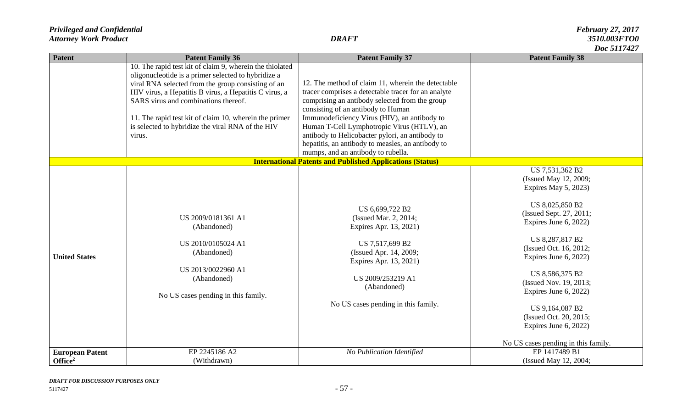| 10. The rapid test kit of claim 9, wherein the thiolated<br>oligonucleotide is a primer selected to hybridize a<br>12. The method of claim 11, wherein the detectable<br>viral RNA selected from the group consisting of an<br>HIV virus, a Hepatitis B virus, a Hepatitis C virus, a<br>tracer comprises a detectable tracer for an analyte<br>SARS virus and combinations thereof.<br>comprising an antibody selected from the group<br>consisting of an antibody to Human<br>Immunodeficiency Virus (HIV), an antibody to<br>11. The rapid test kit of claim 10, wherein the primer<br>is selected to hybridize the viral RNA of the HIV<br>Human T-Cell Lymphotropic Virus (HTLV), an<br>antibody to Helicobacter pylori, an antibody to<br>virus.<br>hepatitis, an antibody to measles, an antibody to<br>mumps, and an antibody to rubella.<br><b>International Patents and Published Applications (Status)</b><br>US 7,531,362 B2<br>(Issued May 12, 2009; | Patent | <b>Patent Family 36</b> | <b>Patent Family 37</b> | <b>Patent Family 38</b> |
|-------------------------------------------------------------------------------------------------------------------------------------------------------------------------------------------------------------------------------------------------------------------------------------------------------------------------------------------------------------------------------------------------------------------------------------------------------------------------------------------------------------------------------------------------------------------------------------------------------------------------------------------------------------------------------------------------------------------------------------------------------------------------------------------------------------------------------------------------------------------------------------------------------------------------------------------------------------------|--------|-------------------------|-------------------------|-------------------------|
|                                                                                                                                                                                                                                                                                                                                                                                                                                                                                                                                                                                                                                                                                                                                                                                                                                                                                                                                                                   |        |                         |                         |                         |
|                                                                                                                                                                                                                                                                                                                                                                                                                                                                                                                                                                                                                                                                                                                                                                                                                                                                                                                                                                   |        |                         |                         |                         |
| Expires May 5, 2023)<br>US 8,025,850 B2<br>US 6,699,722 B2<br>(Issued Sept. 27, 2011;<br>US 2009/0181361 A1<br>(Issued Mar. 2, 2014;<br>Expires June 6, 2022)<br>Expires Apr. 13, 2021)<br>(Abandoned)<br>US 8,287,817 B2<br>US 7,517,699 B2<br>US 2010/0105024 A1<br>(Issued Oct. 16, 2012;<br>(Issued Apr. 14, 2009;<br>(Abandoned)<br><b>United States</b><br>Expires June 6, 2022)<br>Expires Apr. 13, 2021)<br>US 2013/0022960 A1<br>US 8,586,375 B2<br>US 2009/253219 A1<br>(Abandoned)<br>(Issued Nov. 19, 2013;<br>(Abandoned)<br>Expires June 6, 2022)<br>No US cases pending in this family.<br>No US cases pending in this family.<br>US 9,164,087 B2<br>(Issued Oct. 20, 2015;<br>Expires June 6, 2022)<br>No US cases pending in this family.                                                                                                                                                                                                        |        |                         |                         |                         |
| EP 1417489 B1<br><b>European Patent</b><br>EP 2245186 A2<br>No Publication Identified<br>Office <sup>2</sup><br>(Withdrawn)<br>(Issued May 12, 2004;                                                                                                                                                                                                                                                                                                                                                                                                                                                                                                                                                                                                                                                                                                                                                                                                              |        |                         |                         |                         |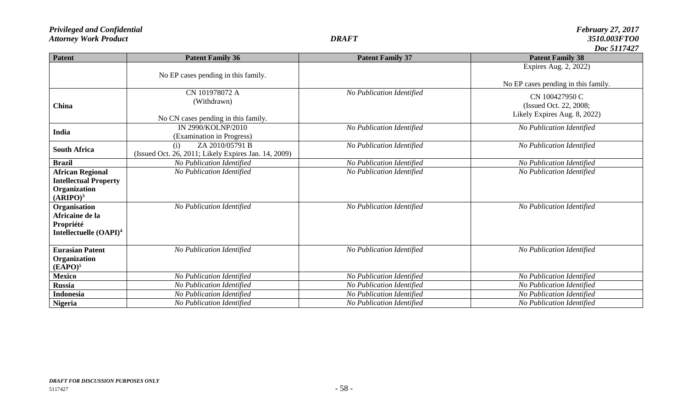| <b>Patent</b>                      | <b>Patent Family 36</b>                              | <b>Patent Family 37</b>   | $1000 \, J111741$<br><b>Patent Family 38</b> |
|------------------------------------|------------------------------------------------------|---------------------------|----------------------------------------------|
|                                    |                                                      |                           | Expires Aug. 2, 2022)                        |
|                                    | No EP cases pending in this family.                  |                           |                                              |
|                                    |                                                      |                           |                                              |
|                                    | CN 101978072 A                                       |                           | No EP cases pending in this family.          |
|                                    |                                                      | No Publication Identified | CN 100427950 C                               |
| China                              | (Withdrawn)                                          |                           | (Issued Oct. 22, 2008;                       |
|                                    |                                                      |                           | Likely Expires Aug. 8, 2022)                 |
|                                    | No CN cases pending in this family.                  |                           |                                              |
| India                              | IN 2990/KOLNP/2010                                   | No Publication Identified | No Publication Identified                    |
|                                    | (Examination in Progress)                            |                           |                                              |
| <b>South Africa</b>                | ZA 2010/05791 B<br>(i)                               | No Publication Identified | No Publication Identified                    |
|                                    | (Issued Oct. 26, 2011; Likely Expires Jan. 14, 2009) |                           |                                              |
| <b>Brazil</b>                      | No Publication Identified                            | No Publication Identified | No Publication Identified                    |
| <b>African Regional</b>            | No Publication Identified                            | No Publication Identified | No Publication Identified                    |
| <b>Intellectual Property</b>       |                                                      |                           |                                              |
| Organization                       |                                                      |                           |                                              |
| (ARIPO) <sup>3</sup>               |                                                      |                           |                                              |
| Organisation                       | No Publication Identified                            | No Publication Identified | No Publication Identified                    |
| Africaine de la                    |                                                      |                           |                                              |
| Propriété                          |                                                      |                           |                                              |
| Intellectuelle (OAPI) <sup>4</sup> |                                                      |                           |                                              |
|                                    |                                                      |                           |                                              |
| <b>Eurasian Patent</b>             | No Publication Identified                            | No Publication Identified | No Publication Identified                    |
| Organization                       |                                                      |                           |                                              |
| (EAPO) <sup>5</sup>                |                                                      |                           |                                              |
| <b>Mexico</b>                      | No Publication Identified                            | No Publication Identified | No Publication Identified                    |
| <b>Russia</b>                      | No Publication Identified                            | No Publication Identified | No Publication Identified                    |
| Indonesia                          | No Publication Identified                            | No Publication Identified | No Publication Identified                    |
| <b>Nigeria</b>                     | No Publication Identified                            | No Publication Identified | No Publication Identified                    |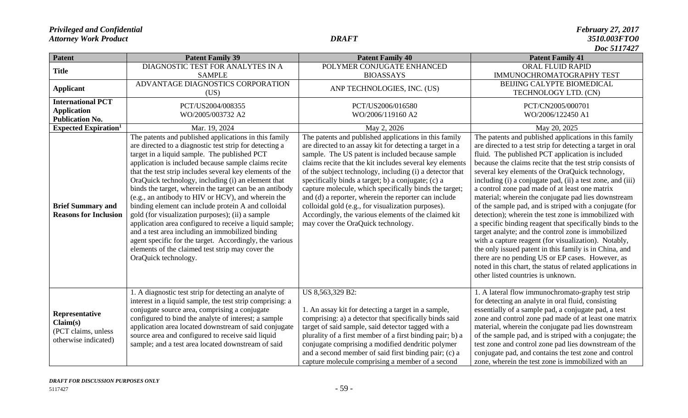| <b>Patent</b>                                                             | <b>Patent Family 39</b>                                                                                                                                                                                                                                                                                                                                                                                                                                                                                                                                                                                                                                                                                                                                                                                                      | <b>Patent Family 40</b>                                                                                                                                                                                                                                                                                                                                                                                                                                                                                                                                                                                                   | $\bm{\nu}$ vu jili ter<br><b>Patent Family 41</b>                                                                                                                                                                                                                                                                                                                                                                                                                                                                                                                                                                                                                                                                                                                                                                                                                                                                                                                                  |
|---------------------------------------------------------------------------|------------------------------------------------------------------------------------------------------------------------------------------------------------------------------------------------------------------------------------------------------------------------------------------------------------------------------------------------------------------------------------------------------------------------------------------------------------------------------------------------------------------------------------------------------------------------------------------------------------------------------------------------------------------------------------------------------------------------------------------------------------------------------------------------------------------------------|---------------------------------------------------------------------------------------------------------------------------------------------------------------------------------------------------------------------------------------------------------------------------------------------------------------------------------------------------------------------------------------------------------------------------------------------------------------------------------------------------------------------------------------------------------------------------------------------------------------------------|------------------------------------------------------------------------------------------------------------------------------------------------------------------------------------------------------------------------------------------------------------------------------------------------------------------------------------------------------------------------------------------------------------------------------------------------------------------------------------------------------------------------------------------------------------------------------------------------------------------------------------------------------------------------------------------------------------------------------------------------------------------------------------------------------------------------------------------------------------------------------------------------------------------------------------------------------------------------------------|
|                                                                           | DIAGNOSTIC TEST FOR ANALYTES IN A                                                                                                                                                                                                                                                                                                                                                                                                                                                                                                                                                                                                                                                                                                                                                                                            | POLYMER CONJUGATE ENHANCED                                                                                                                                                                                                                                                                                                                                                                                                                                                                                                                                                                                                | ORAL FLUID RAPID                                                                                                                                                                                                                                                                                                                                                                                                                                                                                                                                                                                                                                                                                                                                                                                                                                                                                                                                                                   |
| <b>Title</b>                                                              | <b>SAMPLE</b>                                                                                                                                                                                                                                                                                                                                                                                                                                                                                                                                                                                                                                                                                                                                                                                                                | <b>BIOASSAYS</b>                                                                                                                                                                                                                                                                                                                                                                                                                                                                                                                                                                                                          | IMMUNOCHROMATOGRAPHY TEST                                                                                                                                                                                                                                                                                                                                                                                                                                                                                                                                                                                                                                                                                                                                                                                                                                                                                                                                                          |
| <b>Applicant</b>                                                          | ADVANTAGE DIAGNOSTICS CORPORATION                                                                                                                                                                                                                                                                                                                                                                                                                                                                                                                                                                                                                                                                                                                                                                                            | ANP TECHNOLOGIES, INC. (US)                                                                                                                                                                                                                                                                                                                                                                                                                                                                                                                                                                                               | BEIJING CALYPTE BIOMEDICAL                                                                                                                                                                                                                                                                                                                                                                                                                                                                                                                                                                                                                                                                                                                                                                                                                                                                                                                                                         |
|                                                                           | (US)                                                                                                                                                                                                                                                                                                                                                                                                                                                                                                                                                                                                                                                                                                                                                                                                                         |                                                                                                                                                                                                                                                                                                                                                                                                                                                                                                                                                                                                                           | TECHNOLOGY LTD. (CN)                                                                                                                                                                                                                                                                                                                                                                                                                                                                                                                                                                                                                                                                                                                                                                                                                                                                                                                                                               |
| <b>International PCT</b>                                                  | PCT/US2004/008355                                                                                                                                                                                                                                                                                                                                                                                                                                                                                                                                                                                                                                                                                                                                                                                                            | PCT/US2006/016580                                                                                                                                                                                                                                                                                                                                                                                                                                                                                                                                                                                                         | PCT/CN2005/000701                                                                                                                                                                                                                                                                                                                                                                                                                                                                                                                                                                                                                                                                                                                                                                                                                                                                                                                                                                  |
| <b>Application</b>                                                        | WO/2005/003732 A2                                                                                                                                                                                                                                                                                                                                                                                                                                                                                                                                                                                                                                                                                                                                                                                                            | WO/2006/119160 A2                                                                                                                                                                                                                                                                                                                                                                                                                                                                                                                                                                                                         | WO/2006/122450 A1                                                                                                                                                                                                                                                                                                                                                                                                                                                                                                                                                                                                                                                                                                                                                                                                                                                                                                                                                                  |
| <b>Publication No.</b>                                                    |                                                                                                                                                                                                                                                                                                                                                                                                                                                                                                                                                                                                                                                                                                                                                                                                                              |                                                                                                                                                                                                                                                                                                                                                                                                                                                                                                                                                                                                                           |                                                                                                                                                                                                                                                                                                                                                                                                                                                                                                                                                                                                                                                                                                                                                                                                                                                                                                                                                                                    |
| <b>Expected Expiration</b> <sup>1</sup>                                   | Mar. 19, 2024                                                                                                                                                                                                                                                                                                                                                                                                                                                                                                                                                                                                                                                                                                                                                                                                                | May 2, 2026                                                                                                                                                                                                                                                                                                                                                                                                                                                                                                                                                                                                               | May 20, 2025                                                                                                                                                                                                                                                                                                                                                                                                                                                                                                                                                                                                                                                                                                                                                                                                                                                                                                                                                                       |
| <b>Brief Summary and</b><br><b>Reasons for Inclusion</b>                  | The patents and published applications in this family<br>are directed to a diagnostic test strip for detecting a<br>target in a liquid sample. The published PCT<br>application is included because sample claims recite<br>that the test strip includes several key elements of the<br>OraQuick technology, including (i) an element that<br>binds the target, wherein the target can be an antibody<br>(e.g., an antibody to HIV or HCV), and wherein the<br>binding element can include protein A and colloidal<br>gold (for visualization purposes); (ii) a sample<br>application area configured to receive a liquid sample;<br>and a test area including an immobilized binding<br>agent specific for the target. Accordingly, the various<br>elements of the claimed test strip may cover the<br>OraQuick technology. | The patents and published applications in this family<br>are directed to an assay kit for detecting a target in a<br>sample. The US patent is included because sample<br>claims recite that the kit includes several key elements<br>of the subject technology, including (i) a detector that<br>specifically binds a target; b) a conjugate; (c) a<br>capture molecule, which specifically binds the target;<br>and (d) a reporter, wherein the reporter can include<br>colloidal gold (e.g., for visualization purposes).<br>Accordingly, the various elements of the claimed kit<br>may cover the OraQuick technology. | The patents and published applications in this family<br>are directed to a test strip for detecting a target in oral<br>fluid. The published PCT application is included<br>because the claims recite that the test strip consists of<br>several key elements of the OraQuick technology,<br>including (i) a conjugate pad, (ii) a test zone, and (iii)<br>a control zone pad made of at least one matrix<br>material; wherein the conjugate pad lies downstream<br>of the sample pad, and is striped with a conjugate (for<br>detection); wherein the test zone is immobilized with<br>a specific binding reagent that specifically binds to the<br>target analyte; and the control zone is immobilized<br>with a capture reagent (for visualization). Notably,<br>the only issued patent in this family is in China, and<br>there are no pending US or EP cases. However, as<br>noted in this chart, the status of related applications in<br>other listed countries is unknown. |
| Representative<br>Claim(s)<br>(PCT claims, unless<br>otherwise indicated) | 1. A diagnostic test strip for detecting an analyte of<br>interest in a liquid sample, the test strip comprising: a<br>conjugate source area, comprising a conjugate<br>configured to bind the analyte of interest; a sample<br>application area located downstream of said conjugate<br>source area and configured to receive said liquid<br>sample; and a test area located downstream of said                                                                                                                                                                                                                                                                                                                                                                                                                             | US 8,563,329 B2:<br>1. An assay kit for detecting a target in a sample,<br>comprising: a) a detector that specifically binds said<br>target of said sample, said detector tagged with a<br>plurality of a first member of a first binding pair; b) a<br>conjugate comprising a modified dendritic polymer<br>and a second member of said first binding pair; (c) a<br>capture molecule comprising a member of a second                                                                                                                                                                                                    | 1. A lateral flow immunochromato-graphy test strip<br>for detecting an analyte in oral fluid, consisting<br>essentially of a sample pad, a conjugate pad, a test<br>zone and control zone pad made of at least one matrix<br>material, wherein the conjugate pad lies downstream<br>of the sample pad, and is striped with a conjugate; the<br>test zone and control zone pad lies downstream of the<br>conjugate pad, and contains the test zone and control<br>zone, wherein the test zone is immobilized with an                                                                                                                                                                                                                                                                                                                                                                                                                                                                |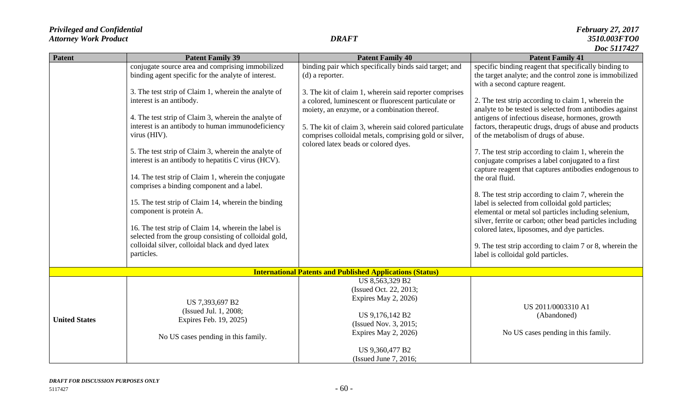| Patent               | <b>Patent Family 39</b><br>conjugate source area and comprising immobilized<br>binding agent specific for the analyte of interest.<br>3. The test strip of Claim 1, wherein the analyte of<br>interest is an antibody.<br>4. The test strip of Claim 3, wherein the analyte of<br>interest is an antibody to human immunodeficiency<br>virus (HIV).<br>5. The test strip of Claim 3, wherein the analyte of<br>interest is an antibody to hepatitis C virus (HCV).<br>14. The test strip of Claim 1, wherein the conjugate<br>comprises a binding component and a label.<br>15. The test strip of Claim 14, wherein the binding<br>component is protein A.<br>16. The test strip of Claim 14, wherein the label is<br>selected from the group consisting of colloidal gold,<br>colloidal silver, colloidal black and dyed latex<br>particles. | <b>Patent Family 40</b><br>binding pair which specifically binds said target; and<br>(d) a reporter.<br>3. The kit of claim 1, wherein said reporter comprises<br>a colored, luminescent or fluorescent particulate or<br>moiety, an enzyme, or a combination thereof.<br>5. The kit of claim 3, wherein said colored particulate<br>comprises colloidal metals, comprising gold or silver,<br>colored latex beads or colored dyes. | <b>Patent Family 41</b><br>specific binding reagent that specifically binding to<br>the target analyte; and the control zone is immobilized<br>with a second capture reagent.<br>2. The test strip according to claim 1, wherein the<br>analyte to be tested is selected from antibodies against<br>antigens of infectious disease, hormones, growth<br>factors, therapeutic drugs, drugs of abuse and products<br>of the metabolism of drugs of abuse.<br>7. The test strip according to claim 1, wherein the<br>conjugate comprises a label conjugated to a first<br>capture reagent that captures antibodies endogenous to<br>the oral fluid.<br>8. The test strip according to claim 7, wherein the<br>label is selected from colloidal gold particles;<br>elemental or metal sol particles including selenium,<br>silver, ferrite or carbon; other bead particles including<br>colored latex, liposomes, and dye particles.<br>9. The test strip according to claim 7 or 8, wherein the<br>label is colloidal gold particles. |
|----------------------|-----------------------------------------------------------------------------------------------------------------------------------------------------------------------------------------------------------------------------------------------------------------------------------------------------------------------------------------------------------------------------------------------------------------------------------------------------------------------------------------------------------------------------------------------------------------------------------------------------------------------------------------------------------------------------------------------------------------------------------------------------------------------------------------------------------------------------------------------|-------------------------------------------------------------------------------------------------------------------------------------------------------------------------------------------------------------------------------------------------------------------------------------------------------------------------------------------------------------------------------------------------------------------------------------|------------------------------------------------------------------------------------------------------------------------------------------------------------------------------------------------------------------------------------------------------------------------------------------------------------------------------------------------------------------------------------------------------------------------------------------------------------------------------------------------------------------------------------------------------------------------------------------------------------------------------------------------------------------------------------------------------------------------------------------------------------------------------------------------------------------------------------------------------------------------------------------------------------------------------------------------------------------------------------------------------------------------------------|
|                      |                                                                                                                                                                                                                                                                                                                                                                                                                                                                                                                                                                                                                                                                                                                                                                                                                                               |                                                                                                                                                                                                                                                                                                                                                                                                                                     |                                                                                                                                                                                                                                                                                                                                                                                                                                                                                                                                                                                                                                                                                                                                                                                                                                                                                                                                                                                                                                    |
|                      |                                                                                                                                                                                                                                                                                                                                                                                                                                                                                                                                                                                                                                                                                                                                                                                                                                               | <b>International Patents and Published Applications (Status)</b>                                                                                                                                                                                                                                                                                                                                                                    |                                                                                                                                                                                                                                                                                                                                                                                                                                                                                                                                                                                                                                                                                                                                                                                                                                                                                                                                                                                                                                    |
| <b>United States</b> | US 7,393,697 B2<br>(Issued Jul. 1, 2008;<br>Expires Feb. 19, 2025)<br>No US cases pending in this family.                                                                                                                                                                                                                                                                                                                                                                                                                                                                                                                                                                                                                                                                                                                                     | US 8,563,329 B2<br>(Issued Oct. 22, 2013;<br>Expires May 2, 2026)<br>US 9,176,142 B2<br>(Issued Nov. 3, 2015;<br>Expires May 2, 2026)<br>US 9,360,477 B2                                                                                                                                                                                                                                                                            | US 2011/0003310 A1<br>(Abandoned)<br>No US cases pending in this family.                                                                                                                                                                                                                                                                                                                                                                                                                                                                                                                                                                                                                                                                                                                                                                                                                                                                                                                                                           |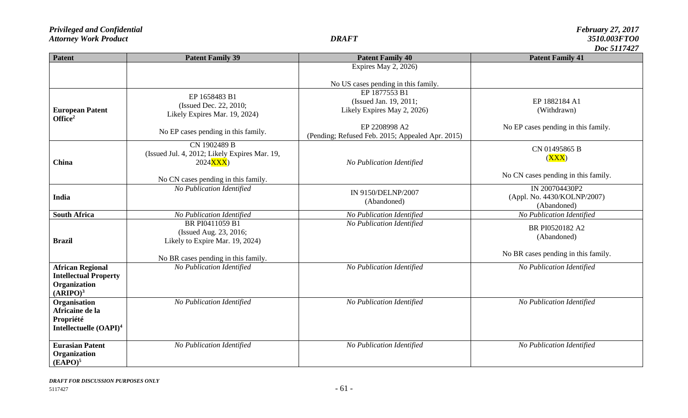| <b>Patent</b>                                                                                   | <b>Patent Family 39</b>                                                            | <b>Patent Family 40</b>                                                | LUU JIITTEI<br><b>Patent Family 41</b>                       |
|-------------------------------------------------------------------------------------------------|------------------------------------------------------------------------------------|------------------------------------------------------------------------|--------------------------------------------------------------|
|                                                                                                 |                                                                                    | Expires May 2, 2026)                                                   |                                                              |
|                                                                                                 |                                                                                    | No US cases pending in this family.                                    |                                                              |
| <b>European Patent</b><br>Office <sup>2</sup>                                                   | EP 1658483 B1<br>(Issued Dec. 22, 2010;<br>Likely Expires Mar. 19, 2024)           | EP 1877553 B1<br>(Issued Jan. 19, 2011;<br>Likely Expires May 2, 2026) | EP 1882184 A1<br>(Withdrawn)                                 |
|                                                                                                 | No EP cases pending in this family.                                                | EP 2208998 A2<br>(Pending; Refused Feb. 2015; Appealed Apr. 2015)      | No EP cases pending in this family.                          |
| China                                                                                           | CN 1902489 B<br>(Issued Jul. 4, 2012; Likely Expires Mar. 19,<br>2024 <b>XXX</b> ) | No Publication Identified                                              | CN 01495865 B<br>(XXX)                                       |
|                                                                                                 | No CN cases pending in this family.                                                |                                                                        | No CN cases pending in this family.                          |
| India                                                                                           | No Publication Identified                                                          | IN 9150/DELNP/2007<br>(Abandoned)                                      | IN 200704430P2<br>(Appl. No. 4430/KOLNP/2007)<br>(Abandoned) |
| <b>South Africa</b>                                                                             | No Publication Identified                                                          | No Publication Identified                                              | No Publication Identified                                    |
| <b>Brazil</b>                                                                                   | BR PI0411059 B1<br>(Issued Aug. 23, 2016;<br>Likely to Expire Mar. 19, 2024)       | No Publication Identified                                              | BR PI0520182 A2<br>(Abandoned)                               |
|                                                                                                 | No BR cases pending in this family.                                                |                                                                        | No BR cases pending in this family.                          |
| <b>African Regional</b><br><b>Intellectual Property</b><br>Organization<br>(ARIPO) <sup>3</sup> | No Publication Identified                                                          | No Publication Identified                                              | No Publication Identified                                    |
| Organisation<br>Africaine de la<br>Propriété<br>Intellectuelle (OAPI) <sup>4</sup>              | No Publication Identified                                                          | No Publication Identified                                              | No Publication Identified                                    |
| <b>Eurasian Patent</b><br>Organization<br>$(EAPO)^5$                                            | No Publication Identified                                                          | No Publication Identified                                              | No Publication Identified                                    |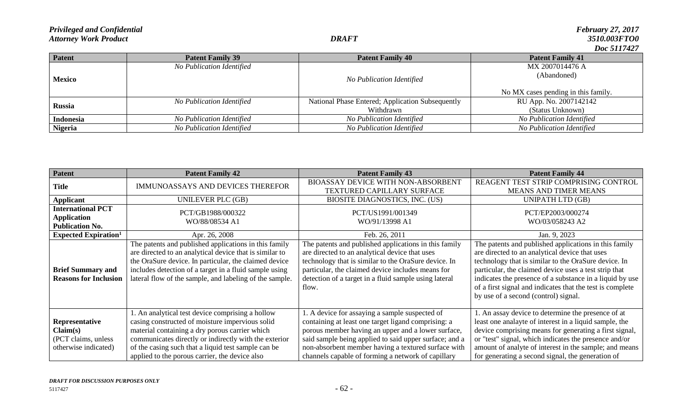|                  |                           |                                                  | $1000 \, J11/741$                   |
|------------------|---------------------------|--------------------------------------------------|-------------------------------------|
| Patent           | <b>Patent Family 39</b>   | <b>Patent Family 40</b>                          | <b>Patent Family 41</b>             |
|                  | No Publication Identified |                                                  | MX 2007014476 A                     |
| <b>Mexico</b>    |                           | No Publication Identified                        | (Abandoned)                         |
|                  |                           |                                                  | No MX cases pending in this family. |
|                  | No Publication Identified | National Phase Entered; Application Subsequently | RU App. No. 2007142142              |
| <b>Russia</b>    |                           | Withdrawn                                        | (Status Unknown)                    |
| <b>Indonesia</b> | No Publication Identified | No Publication Identified                        | No Publication Identified           |
| <b>Nigeria</b>   | No Publication Identified | No Publication Identified                        | No Publication Identified           |

| <b>Patent</b>                                                             | <b>Patent Family 42</b>                                                                                                                                                                                                                                                                                                 | <b>Patent Family 43</b>                                                                                                                                                                                                                                                                                                            | <b>Patent Family 44</b>                                                                                                                                                                                                                                                                                                                                                                   |
|---------------------------------------------------------------------------|-------------------------------------------------------------------------------------------------------------------------------------------------------------------------------------------------------------------------------------------------------------------------------------------------------------------------|------------------------------------------------------------------------------------------------------------------------------------------------------------------------------------------------------------------------------------------------------------------------------------------------------------------------------------|-------------------------------------------------------------------------------------------------------------------------------------------------------------------------------------------------------------------------------------------------------------------------------------------------------------------------------------------------------------------------------------------|
| Title                                                                     | IMMUNOASSAYS AND DEVICES THEREFOR                                                                                                                                                                                                                                                                                       | <b>BIOASSAY DEVICE WITH NON-ABSORBENT</b><br>TEXTURED CAPILLARY SURFACE                                                                                                                                                                                                                                                            | REAGENT TEST STRIP COMPRISING CONTROL<br><b>MEANS AND TIMER MEANS</b>                                                                                                                                                                                                                                                                                                                     |
| <b>Applicant</b>                                                          | UNILEVER PLC (GB)                                                                                                                                                                                                                                                                                                       | BIOSITE DIAGNOSTICS, INC. (US)                                                                                                                                                                                                                                                                                                     | UNIPATH LTD (GB)                                                                                                                                                                                                                                                                                                                                                                          |
| <b>International PCT</b><br><b>Application</b><br><b>Publication No.</b>  | PCT/GB1988/000322<br>WO/88/08534 A1                                                                                                                                                                                                                                                                                     | PCT/US1991/001349<br>WO/91/13998 A1                                                                                                                                                                                                                                                                                                | PCT/EP2003/000274<br>WO/03/058243 A2                                                                                                                                                                                                                                                                                                                                                      |
| <b>Expected Expiration</b> <sup>1</sup>                                   | Apr. 26, 2008                                                                                                                                                                                                                                                                                                           | Feb. 26, 2011                                                                                                                                                                                                                                                                                                                      | Jan. 9, 2023                                                                                                                                                                                                                                                                                                                                                                              |
| <b>Brief Summary and</b><br><b>Reasons for Inclusion</b>                  | The patents and published applications in this family<br>are directed to an analytical device that is similar to<br>the OraSure device. In particular, the claimed device<br>includes detection of a target in a fluid sample using<br>lateral flow of the sample, and labeling of the sample.                          | The patents and published applications in this family<br>are directed to an analytical device that uses<br>technology that is similar to the OraSure device. In<br>particular, the claimed device includes means for<br>detection of a target in a fluid sample using lateral<br>flow.                                             | The patents and published applications in this family<br>are directed to an analytical device that uses<br>technology that is similar to the OraSure device. In<br>particular, the claimed device uses a test strip that<br>indicates the presence of a substance in a liquid by use<br>of a first signal and indicates that the test is complete<br>by use of a second (control) signal. |
| Representative<br>Claim(s)<br>(PCT claims, unless<br>otherwise indicated) | 1. An analytical test device comprising a hollow<br>casing constructed of moisture impervious solid<br>material containing a dry porous carrier which<br>communicates directly or indirectly with the exterior<br>of the casing such that a liquid test sample can be<br>applied to the porous carrier, the device also | 1. A device for assaying a sample suspected of<br>containing at least one target ligand comprising: a<br>porous member having an upper and a lower surface,<br>said sample being applied to said upper surface; and a<br>non-absorbent member having a textured surface with<br>channels capable of forming a network of capillary | 1. An assay device to determine the presence of at<br>least one analayte of interest in a liquid sample, the<br>device comprising means for generating a first signal,<br>or "test" signal, which indicates the presence and/or<br>amount of analyte of interest in the sample; and means<br>for generating a second signal, the generation of                                            |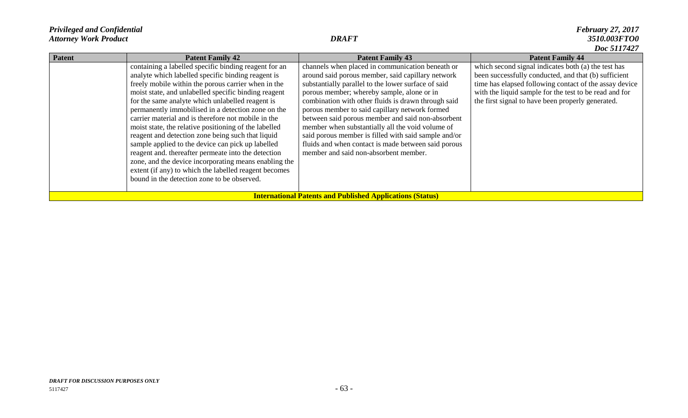| Patent                                                           | <b>Patent Family 42</b>                                                                                                                                                                                                                                                                                                                                                                                                                                                                                                                                                                                                                                                                                                                                                                | <b>Patent Family 43</b>                                                                                                                                                                                                                                                                                                                                                                                                                                                                                                                                                              | <i>D</i> vv <i>Jili 12</i><br><b>Patent Family 44</b>                                                                                                                                                                                                                                |  |
|------------------------------------------------------------------|----------------------------------------------------------------------------------------------------------------------------------------------------------------------------------------------------------------------------------------------------------------------------------------------------------------------------------------------------------------------------------------------------------------------------------------------------------------------------------------------------------------------------------------------------------------------------------------------------------------------------------------------------------------------------------------------------------------------------------------------------------------------------------------|--------------------------------------------------------------------------------------------------------------------------------------------------------------------------------------------------------------------------------------------------------------------------------------------------------------------------------------------------------------------------------------------------------------------------------------------------------------------------------------------------------------------------------------------------------------------------------------|--------------------------------------------------------------------------------------------------------------------------------------------------------------------------------------------------------------------------------------------------------------------------------------|--|
|                                                                  | containing a labelled specific binding reagent for an<br>analyte which labelled specific binding reagent is<br>freely mobile within the porous carrier when in the<br>moist state, and unlabelled specific binding reagent<br>for the same analyte which unlabelled reagent is<br>permanently immobilised in a detection zone on the<br>carrier material and is therefore not mobile in the<br>moist state, the relative positioning of the labelled<br>reagent and detection zone being such that liquid<br>sample applied to the device can pick up labelled<br>reagent and. thereafter permeate into the detection<br>zone, and the device incorporating means enabling the<br>extent (if any) to which the labelled reagent becomes<br>bound in the detection zone to be observed. | channels when placed in communication beneath or<br>around said porous member, said capillary network<br>substantially parallel to the lower surface of said<br>porous member; whereby sample, alone or in<br>combination with other fluids is drawn through said<br>porous member to said capillary network formed<br>between said porous member and said non-absorbent<br>member when substantially all the void volume of<br>said porous member is filled with said sample and/or<br>fluids and when contact is made between said porous<br>member and said non-absorbent member. | which second signal indicates both (a) the test has<br>been successfully conducted, and that (b) sufficient<br>time has elapsed following contact of the assay device<br>with the liquid sample for the test to be read and for<br>the first signal to have been properly generated. |  |
| <b>International Patents and Published Applications (Status)</b> |                                                                                                                                                                                                                                                                                                                                                                                                                                                                                                                                                                                                                                                                                                                                                                                        |                                                                                                                                                                                                                                                                                                                                                                                                                                                                                                                                                                                      |                                                                                                                                                                                                                                                                                      |  |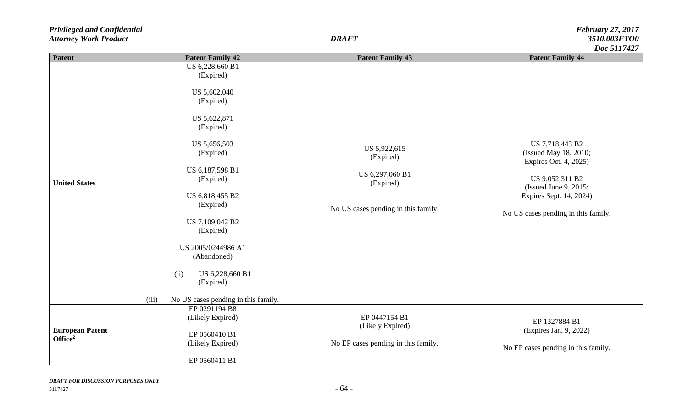| Patent                                        | <b>Patent Family 42</b>                                                                                                                                                                                                                                                                                                                          | <b>Patent Family 43</b>                                                                          | $\bm{\nu}$ vv Jiii te<br><b>Patent Family 44</b>                                                                                                                                |
|-----------------------------------------------|--------------------------------------------------------------------------------------------------------------------------------------------------------------------------------------------------------------------------------------------------------------------------------------------------------------------------------------------------|--------------------------------------------------------------------------------------------------|---------------------------------------------------------------------------------------------------------------------------------------------------------------------------------|
| <b>United States</b>                          | US 6,228,660 B1<br>(Expired)<br>US 5,602,040<br>(Expired)<br>US 5,622,871<br>(Expired)<br>US 5,656,503<br>(Expired)<br>US 6,187,598 B1<br>(Expired)<br>US 6,818,455 B2<br>(Expired)<br>US 7,109,042 B2<br>(Expired)<br>US 2005/0244986 A1<br>(Abandoned)<br>(ii)<br>US 6,228,660 B1<br>(Expired)<br>(iii)<br>No US cases pending in this family. | US 5,922,615<br>(Expired)<br>US 6,297,060 B1<br>(Expired)<br>No US cases pending in this family. | US 7,718,443 B2<br>(Issued May 18, 2010;<br>Expires Oct. 4, 2025)<br>US 9,052,311 B2<br>(Issued June 9, 2015;<br>Expires Sept. 14, 2024)<br>No US cases pending in this family. |
| <b>European Patent</b><br>Office <sup>2</sup> | EP 0291194 B8<br>(Likely Expired)<br>EP 0560410 B1<br>(Likely Expired)<br>EP 0560411 B1                                                                                                                                                                                                                                                          | EP 0447154 B1<br>(Likely Expired)<br>No EP cases pending in this family.                         | EP 1327884 B1<br>(Expires Jan. 9, 2022)<br>No EP cases pending in this family.                                                                                                  |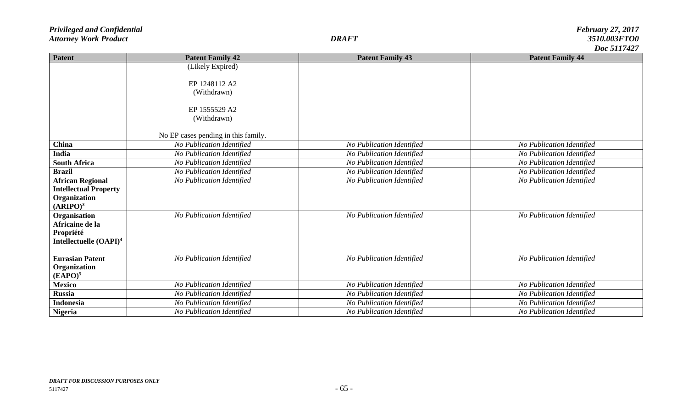|                                    |                                     |                           | <b>DUC 311/42/</b>        |
|------------------------------------|-------------------------------------|---------------------------|---------------------------|
| <b>Patent</b>                      | <b>Patent Family 42</b>             | <b>Patent Family 43</b>   | <b>Patent Family 44</b>   |
|                                    | (Likely Expired)                    |                           |                           |
|                                    |                                     |                           |                           |
|                                    | EP 1248112 A2                       |                           |                           |
|                                    | (Withdrawn)                         |                           |                           |
|                                    |                                     |                           |                           |
|                                    | EP 1555529 A2                       |                           |                           |
|                                    | (Withdrawn)                         |                           |                           |
|                                    |                                     |                           |                           |
|                                    | No EP cases pending in this family. |                           |                           |
| China                              | No Publication Identified           | No Publication Identified | No Publication Identified |
| India                              | No Publication Identified           | No Publication Identified | No Publication Identified |
| <b>South Africa</b>                | No Publication Identified           | No Publication Identified | No Publication Identified |
| <b>Brazil</b>                      | No Publication Identified           | No Publication Identified | No Publication Identified |
| <b>African Regional</b>            | No Publication Identified           | No Publication Identified | No Publication Identified |
| <b>Intellectual Property</b>       |                                     |                           |                           |
| Organization                       |                                     |                           |                           |
| (ARIPO) <sup>3</sup>               |                                     |                           |                           |
| Organisation                       | No Publication Identified           | No Publication Identified | No Publication Identified |
| Africaine de la                    |                                     |                           |                           |
| Propriété                          |                                     |                           |                           |
| Intellectuelle (OAPI) <sup>4</sup> |                                     |                           |                           |
|                                    |                                     |                           |                           |
| <b>Eurasian Patent</b>             | No Publication Identified           | No Publication Identified | No Publication Identified |
| Organization                       |                                     |                           |                           |
| (EAPO) <sup>5</sup>                |                                     |                           |                           |
| <b>Mexico</b>                      | No Publication Identified           | No Publication Identified | No Publication Identified |
| <b>Russia</b>                      | No Publication Identified           | No Publication Identified | No Publication Identified |
| <b>Indonesia</b>                   | No Publication Identified           | No Publication Identified | No Publication Identified |
| <b>Nigeria</b>                     | No Publication Identified           | No Publication Identified | No Publication Identified |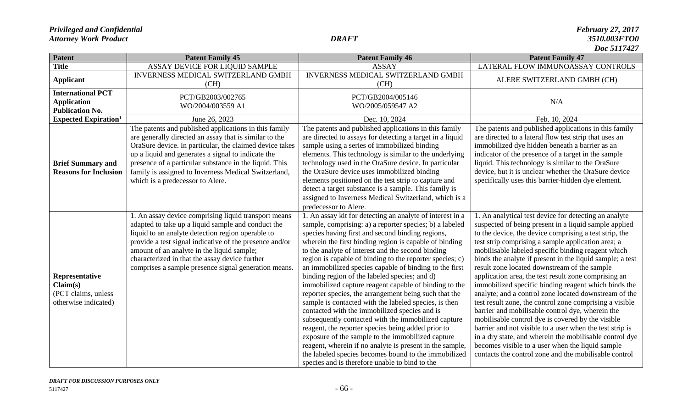## *Doc 5117427*

| Patent                                                                    | <b>Patent Family 45</b>                                                                                                                                                                                                                                                                                                                                                                | <b>Patent Family 46</b>                                                                                                                                                                                                                                                                                                                                                                                                                                                                                                                                                                                                                                                                                                                                                                                                                                                                                                                                                                                                            | <b>Patent Family 47</b>                                                                                                                                                                                                                                                                                                                                                                                                                                                                                                                                                                                                                                                                                                                                                                                                                                                                                                                                                            |
|---------------------------------------------------------------------------|----------------------------------------------------------------------------------------------------------------------------------------------------------------------------------------------------------------------------------------------------------------------------------------------------------------------------------------------------------------------------------------|------------------------------------------------------------------------------------------------------------------------------------------------------------------------------------------------------------------------------------------------------------------------------------------------------------------------------------------------------------------------------------------------------------------------------------------------------------------------------------------------------------------------------------------------------------------------------------------------------------------------------------------------------------------------------------------------------------------------------------------------------------------------------------------------------------------------------------------------------------------------------------------------------------------------------------------------------------------------------------------------------------------------------------|------------------------------------------------------------------------------------------------------------------------------------------------------------------------------------------------------------------------------------------------------------------------------------------------------------------------------------------------------------------------------------------------------------------------------------------------------------------------------------------------------------------------------------------------------------------------------------------------------------------------------------------------------------------------------------------------------------------------------------------------------------------------------------------------------------------------------------------------------------------------------------------------------------------------------------------------------------------------------------|
| <b>Title</b>                                                              | ASSAY DEVICE FOR LIQUID SAMPLE                                                                                                                                                                                                                                                                                                                                                         | <b>ASSAY</b>                                                                                                                                                                                                                                                                                                                                                                                                                                                                                                                                                                                                                                                                                                                                                                                                                                                                                                                                                                                                                       | LATERAL FLOW IMMUNOASSAY CONTROLS                                                                                                                                                                                                                                                                                                                                                                                                                                                                                                                                                                                                                                                                                                                                                                                                                                                                                                                                                  |
| <b>Applicant</b>                                                          | INVERNESS MEDICAL SWITZERLAND GMBH<br>(CH)                                                                                                                                                                                                                                                                                                                                             | INVERNESS MEDICAL SWITZERLAND GMBH<br>(CH)                                                                                                                                                                                                                                                                                                                                                                                                                                                                                                                                                                                                                                                                                                                                                                                                                                                                                                                                                                                         | ALERE SWITZERLAND GMBH (CH)                                                                                                                                                                                                                                                                                                                                                                                                                                                                                                                                                                                                                                                                                                                                                                                                                                                                                                                                                        |
| <b>International PCT</b><br><b>Application</b><br><b>Publication No.</b>  | PCT/GB2003/002765<br>WO/2004/003559 A1                                                                                                                                                                                                                                                                                                                                                 | PCT/GB2004/005146<br>WO/2005/059547 A2                                                                                                                                                                                                                                                                                                                                                                                                                                                                                                                                                                                                                                                                                                                                                                                                                                                                                                                                                                                             | N/A                                                                                                                                                                                                                                                                                                                                                                                                                                                                                                                                                                                                                                                                                                                                                                                                                                                                                                                                                                                |
| <b>Expected Expiration</b> <sup>1</sup>                                   | June 26, 2023                                                                                                                                                                                                                                                                                                                                                                          | Dec. 10, 2024                                                                                                                                                                                                                                                                                                                                                                                                                                                                                                                                                                                                                                                                                                                                                                                                                                                                                                                                                                                                                      | Feb. 10, 2024                                                                                                                                                                                                                                                                                                                                                                                                                                                                                                                                                                                                                                                                                                                                                                                                                                                                                                                                                                      |
| <b>Brief Summary and</b><br><b>Reasons for Inclusion</b>                  | The patents and published applications in this family<br>are generally directed an assay that is similar to the<br>OraSure device. In particular, the claimed device takes<br>up a liquid and generates a signal to indicate the<br>presence of a particular substance in the liquid. This<br>family is assigned to Inverness Medical Switzerland,<br>which is a predecessor to Alere. | The patents and published applications in this family<br>are directed to assays for detecting a target in a liquid<br>sample using a series of immobilized binding<br>elements. This technology is similar to the underlying<br>technology used in the OraSure device. In particular<br>the OraSure device uses immobilized binding<br>elements positioned on the test strip to capture and<br>detect a target substance is a sample. This family is<br>assigned to Inverness Medical Switzerland, which is a<br>predecessor to Alere.                                                                                                                                                                                                                                                                                                                                                                                                                                                                                             | The patents and published applications in this family<br>are directed to a lateral flow test strip that uses an<br>immobilized dye hidden beneath a barrier as an<br>indicator of the presence of a target in the sample<br>liquid. This technology is similar to the OraSure<br>device, but it is unclear whether the OraSure device<br>specifically uses this barrier-hidden dye element.                                                                                                                                                                                                                                                                                                                                                                                                                                                                                                                                                                                        |
| Representative<br>Claim(s)<br>(PCT claims, unless<br>otherwise indicated) | 1. An assay device comprising liquid transport means<br>adapted to take up a liquid sample and conduct the<br>liquid to an analyte detection region operable to<br>provide a test signal indicative of the presence and/or<br>amount of an analyte in the liquid sample;<br>characterized in that the assay device further<br>comprises a sample presence signal generation means.     | 1. An assay kit for detecting an analyte of interest in a<br>sample, comprising: a) a reporter species; b) a labeled<br>species having first and second binding regions,<br>wherein the first binding region is capable of binding<br>to the analyte of interest and the second binding<br>region is capable of binding to the reporter species; c)<br>an immobilized species capable of binding to the first<br>binding region of the labeled species; and d)<br>immobilized capture reagent capable of binding to the<br>reporter species, the arrangement being such that the<br>sample is contacted with the labeled species, is then<br>contacted with the immobilized species and is<br>subsequently contacted with the immobilized capture<br>reagent, the reporter species being added prior to<br>exposure of the sample to the immobilized capture<br>reagent, wherein if no analyte is present in the sample,<br>the labeled species becomes bound to the immobilized<br>species and is therefore unable to bind to the | 1. An analytical test device for detecting an analyte<br>suspected of being present in a liquid sample applied<br>to the device, the device comprising a test strip, the<br>test strip comprising a sample application area; a<br>mobilisable labeled specific binding reagent which<br>binds the analyte if present in the liquid sample; a test<br>result zone located downstream of the sample<br>application area, the test result zone comprising an<br>immobilized specific binding reagent which binds the<br>analyte; and a control zone located downstream of the<br>test result zone, the control zone comprising a visible<br>barrier and mobilisable control dye, wherein the<br>mobilisable control dye is covered by the visible<br>barrier and not visible to a user when the test strip is<br>in a dry state, and wherein the mobilisable control dye<br>becomes visible to a user when the liquid sample<br>contacts the control zone and the mobilisable control |

### *DRAFT FOR DISCUSSION PURPOSES ONLY*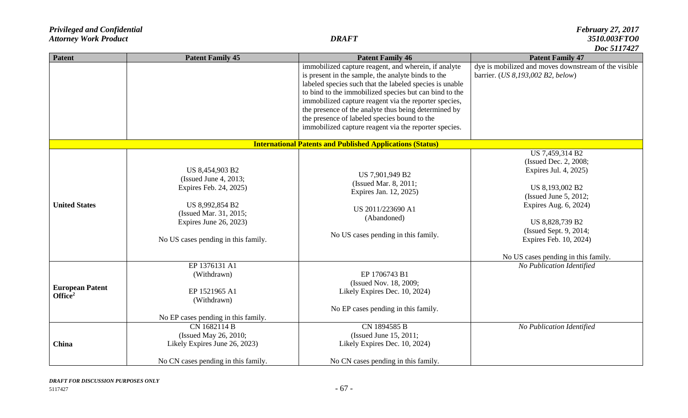| Patent                                        | <b>Patent Family 45</b>                                                                                                                                                          | <b>Patent Family 46</b>                                                                                                                                                                                                                                                                                                                                                                                                                                   | $\bm{\nu}$ vu jil $\bm{\nu}$ te<br><b>Patent Family 47</b>                                                                                                                                                                                           |
|-----------------------------------------------|----------------------------------------------------------------------------------------------------------------------------------------------------------------------------------|-----------------------------------------------------------------------------------------------------------------------------------------------------------------------------------------------------------------------------------------------------------------------------------------------------------------------------------------------------------------------------------------------------------------------------------------------------------|------------------------------------------------------------------------------------------------------------------------------------------------------------------------------------------------------------------------------------------------------|
|                                               |                                                                                                                                                                                  | immobilized capture reagent, and wherein, if analyte<br>is present in the sample, the analyte binds to the<br>labeled species such that the labeled species is unable<br>to bind to the immobilized species but can bind to the<br>immobilized capture reagent via the reporter species,<br>the presence of the analyte thus being determined by<br>the presence of labeled species bound to the<br>immobilized capture reagent via the reporter species. | dye is mobilized and moves downstream of the visible<br>barrier. (US 8,193,002 B2, below)                                                                                                                                                            |
|                                               |                                                                                                                                                                                  | <b>International Patents and Published Applications (Status)</b>                                                                                                                                                                                                                                                                                                                                                                                          |                                                                                                                                                                                                                                                      |
| <b>United States</b>                          | US 8,454,903 B2<br>(Issued June 4, 2013;<br>Expires Feb. 24, 2025)<br>US 8,992,854 B2<br>(Issued Mar. 31, 2015;<br>Expires June 26, 2023)<br>No US cases pending in this family. | US 7,901,949 B2<br>(Issued Mar. 8, 2011;<br>Expires Jan. 12, 2025)<br>US 2011/223690 A1<br>(Abandoned)<br>No US cases pending in this family.                                                                                                                                                                                                                                                                                                             | US 7,459,314 B2<br>(Issued Dec. 2, 2008;<br>Expires Jul. 4, 2025)<br>US 8,193,002 B2<br>(Issued June 5, 2012;<br>Expires Aug. 6, 2024)<br>US 8,828,739 B2<br>(Issued Sept. 9, 2014;<br>Expires Feb. 10, 2024)<br>No US cases pending in this family. |
| <b>European Patent</b><br>Office <sup>2</sup> | EP 1376131 A1<br>(Withdrawn)<br>EP 1521965 A1<br>(Withdrawn)<br>No EP cases pending in this family.<br>CN 1682114 B                                                              | EP 1706743 B1<br>(Issued Nov. 18, 2009;<br>Likely Expires Dec. 10, 2024)<br>No EP cases pending in this family.<br>CN 1894585 B                                                                                                                                                                                                                                                                                                                           | No Publication Identified<br>No Publication Identified                                                                                                                                                                                               |
| China                                         | (Issued May 26, 2010;<br>Likely Expires June 26, 2023)<br>No CN cases pending in this family.                                                                                    | (Issued June 15, 2011;<br>Likely Expires Dec. 10, 2024)<br>No CN cases pending in this family.                                                                                                                                                                                                                                                                                                                                                            |                                                                                                                                                                                                                                                      |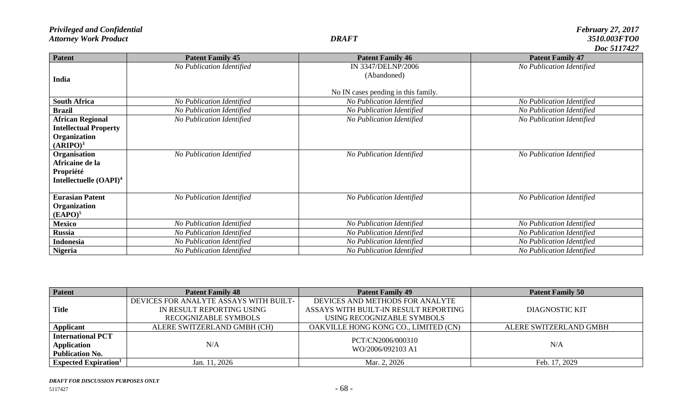|                              | DOC 311/42/               |                                     |                           |
|------------------------------|---------------------------|-------------------------------------|---------------------------|
| <b>Patent</b>                | <b>Patent Family 45</b>   | <b>Patent Family 46</b>             | <b>Patent Family 47</b>   |
|                              | No Publication Identified | IN 3347/DELNP/2006                  | No Publication Identified |
| India                        |                           | (Abandoned)                         |                           |
|                              |                           |                                     |                           |
|                              |                           | No IN cases pending in this family. |                           |
| <b>South Africa</b>          | No Publication Identified | No Publication Identified           | No Publication Identified |
| <b>Brazil</b>                | No Publication Identified | No Publication Identified           | No Publication Identified |
| <b>African Regional</b>      | No Publication Identified | No Publication Identified           | No Publication Identified |
| <b>Intellectual Property</b> |                           |                                     |                           |
| Organization                 |                           |                                     |                           |
| (ARIPO) <sup>3</sup>         |                           |                                     |                           |
| Organisation                 | No Publication Identified | No Publication Identified           | No Publication Identified |
| Africaine de la              |                           |                                     |                           |
| Propriété                    |                           |                                     |                           |
| Intellectuelle $(OAPI)^4$    |                           |                                     |                           |
|                              |                           |                                     |                           |
| <b>Eurasian Patent</b>       | No Publication Identified | No Publication Identified           | No Publication Identified |
| Organization                 |                           |                                     |                           |
| (EAPO) <sup>5</sup>          |                           |                                     |                           |
| <b>Mexico</b>                | No Publication Identified | No Publication Identified           | No Publication Identified |
| <b>Russia</b>                | No Publication Identified | No Publication Identified           | No Publication Identified |
| <b>Indonesia</b>             | No Publication Identified | No Publication Identified           | No Publication Identified |
| <b>Nigeria</b>               | No Publication Identified | No Publication Identified           | No Publication Identified |

| Patent                     | <b>Patent Family 48</b>                | <b>Patent Family 49</b>               | <b>Patent Family 50</b> |
|----------------------------|----------------------------------------|---------------------------------------|-------------------------|
|                            | DEVICES FOR ANALYTE ASSAYS WITH BUILT- | DEVICES AND METHODS FOR ANALYTE       |                         |
| <b>Title</b>               | IN RESULT REPORTING USING              | ASSAYS WITH BUILT-IN RESULT REPORTING | <b>DIAGNOSTIC KIT</b>   |
|                            | <b>RECOGNIZABLE SYMBOLS</b>            | USING RECOGNIZABLE SYMBOLS            |                         |
| <b>Applicant</b>           | ALERE SWITZERLAND GMBH (CH)            | OAKVILLE HONG KONG CO., LIMITED (CN)  | ALERE SWITZERLAND GMBH  |
| <b>International PCT</b>   |                                        | PCT/CN2006/000310                     |                         |
| <b>Application</b>         | N/A                                    | WO/2006/092103 A1                     | N/A                     |
| <b>Publication No.</b>     |                                        |                                       |                         |
| <b>Expected Expiration</b> | Jan. 11, 2026                          | Mar. 2, 2026                          | Feb. 17, 2029           |

*DRAFT FOR DISCUSSION PURPOSES ONLY*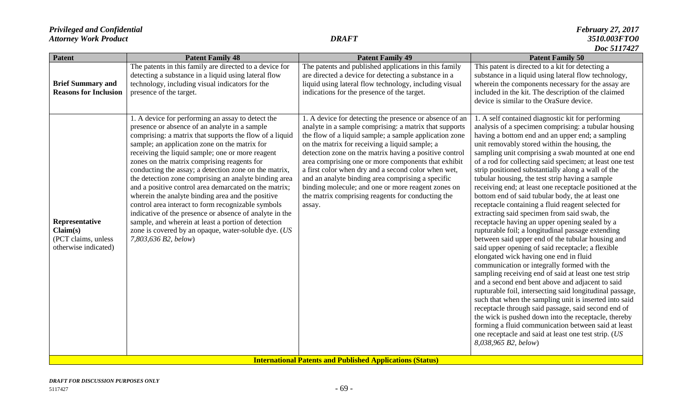| $D00 \, J11/421$<br><b>Patent Family 48</b><br><b>Patent Family 49</b><br><b>Patent Family 50</b> |                                                                                                                                                                                                                                                                                                                                                                                                                                                                                                                                                                                                                                                                                                                                                                                                           |                                                                                                                                                                                                                                                                                                                                                                                                                                                                                                                                                                                 |                                                                                                                                                                                                                                                                                                                                                                                                                                                                                                                                                                                                                                                                                                                                                                                                                                                                                                                                                                                                                                                                                                                                                                                                                                                                                                                                                                                                                                                                      |  |
|---------------------------------------------------------------------------------------------------|-----------------------------------------------------------------------------------------------------------------------------------------------------------------------------------------------------------------------------------------------------------------------------------------------------------------------------------------------------------------------------------------------------------------------------------------------------------------------------------------------------------------------------------------------------------------------------------------------------------------------------------------------------------------------------------------------------------------------------------------------------------------------------------------------------------|---------------------------------------------------------------------------------------------------------------------------------------------------------------------------------------------------------------------------------------------------------------------------------------------------------------------------------------------------------------------------------------------------------------------------------------------------------------------------------------------------------------------------------------------------------------------------------|----------------------------------------------------------------------------------------------------------------------------------------------------------------------------------------------------------------------------------------------------------------------------------------------------------------------------------------------------------------------------------------------------------------------------------------------------------------------------------------------------------------------------------------------------------------------------------------------------------------------------------------------------------------------------------------------------------------------------------------------------------------------------------------------------------------------------------------------------------------------------------------------------------------------------------------------------------------------------------------------------------------------------------------------------------------------------------------------------------------------------------------------------------------------------------------------------------------------------------------------------------------------------------------------------------------------------------------------------------------------------------------------------------------------------------------------------------------------|--|
| Patent                                                                                            |                                                                                                                                                                                                                                                                                                                                                                                                                                                                                                                                                                                                                                                                                                                                                                                                           |                                                                                                                                                                                                                                                                                                                                                                                                                                                                                                                                                                                 |                                                                                                                                                                                                                                                                                                                                                                                                                                                                                                                                                                                                                                                                                                                                                                                                                                                                                                                                                                                                                                                                                                                                                                                                                                                                                                                                                                                                                                                                      |  |
| <b>Brief Summary and</b><br><b>Reasons for Inclusion</b>                                          | The patents in this family are directed to a device for<br>detecting a substance in a liquid using lateral flow<br>technology, including visual indicators for the<br>presence of the target.                                                                                                                                                                                                                                                                                                                                                                                                                                                                                                                                                                                                             | The patents and published applications in this family<br>are directed a device for detecting a substance in a<br>liquid using lateral flow technology, including visual<br>indications for the presence of the target.                                                                                                                                                                                                                                                                                                                                                          | This patent is directed to a kit for detecting a<br>substance in a liquid using lateral flow technology,<br>wherein the components necessary for the assay are<br>included in the kit. The description of the claimed<br>device is similar to the OraSure device.                                                                                                                                                                                                                                                                                                                                                                                                                                                                                                                                                                                                                                                                                                                                                                                                                                                                                                                                                                                                                                                                                                                                                                                                    |  |
| Representative<br>Claim(s)<br>(PCT claims, unless<br>otherwise indicated)                         | 1. A device for performing an assay to detect the<br>presence or absence of an analyte in a sample<br>comprising: a matrix that supports the flow of a liquid<br>sample; an application zone on the matrix for<br>receiving the liquid sample; one or more reagent<br>zones on the matrix comprising reagents for<br>conducting the assay; a detection zone on the matrix,<br>the detection zone comprising an analyte binding area<br>and a positive control area demarcated on the matrix;<br>wherein the analyte binding area and the positive<br>control area interact to form recognizable symbols<br>indicative of the presence or absence of analyte in the<br>sample, and wherein at least a portion of detection<br>zone is covered by an opaque, water-soluble dye. (US<br>7,803,636 B2, below) | 1. A device for detecting the presence or absence of an<br>analyte in a sample comprising: a matrix that supports<br>the flow of a liquid sample; a sample application zone<br>on the matrix for receiving a liquid sample; a<br>detection zone on the matrix having a positive control<br>area comprising one or more components that exhibit<br>a first color when dry and a second color when wet,<br>and an analyte binding area comprising a specific<br>binding molecule; and one or more reagent zones on<br>the matrix comprising reagents for conducting the<br>assay. | 1. A self contained diagnostic kit for performing<br>analysis of a specimen comprising: a tubular housing<br>having a bottom end and an upper end; a sampling<br>unit removably stored within the housing, the<br>sampling unit comprising a swab mounted at one end<br>of a rod for collecting said specimen; at least one test<br>strip positioned substantially along a wall of the<br>tubular housing, the test strip having a sample<br>receiving end; at least one receptacle positioned at the<br>bottom end of said tubular body, the at least one<br>receptacle containing a fluid reagent selected for<br>extracting said specimen from said swab, the<br>receptacle having an upper opening sealed by a<br>rupturable foil; a longitudinal passage extending<br>between said upper end of the tubular housing and<br>said upper opening of said receptacle; a flexible<br>elongated wick having one end in fluid<br>communication or integrally formed with the<br>sampling receiving end of said at least one test strip<br>and a second end bent above and adjacent to said<br>rupturable foil, intersecting said longitudinal passage,<br>such that when the sampling unit is inserted into said<br>receptacle through said passage, said second end of<br>the wick is pushed down into the receptacle, thereby<br>forming a fluid communication between said at least<br>one receptacle and said at least one test strip. (US<br>8,038,965 B2, below) |  |
| <b>International Patents and Published Applications (Status)</b>                                  |                                                                                                                                                                                                                                                                                                                                                                                                                                                                                                                                                                                                                                                                                                                                                                                                           |                                                                                                                                                                                                                                                                                                                                                                                                                                                                                                                                                                                 |                                                                                                                                                                                                                                                                                                                                                                                                                                                                                                                                                                                                                                                                                                                                                                                                                                                                                                                                                                                                                                                                                                                                                                                                                                                                                                                                                                                                                                                                      |  |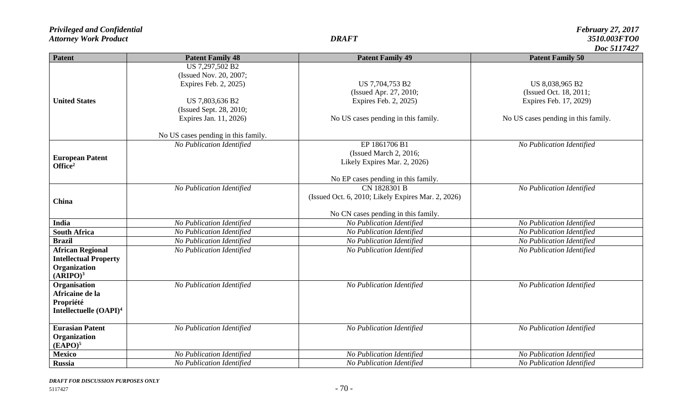| Patent                               | <b>Patent Family 48</b>             | <b>Patent Family 49</b>                            | LUU JII 174.<br><b>Patent Family 50</b> |
|--------------------------------------|-------------------------------------|----------------------------------------------------|-----------------------------------------|
|                                      | US 7,297,502 B2                     |                                                    |                                         |
|                                      | (Issued Nov. 20, 2007;              |                                                    |                                         |
|                                      | Expires Feb. 2, 2025)               | US 7,704,753 B2                                    | US 8,038,965 B2                         |
|                                      |                                     | (Issued Apr. 27, 2010;                             | (Issued Oct. 18, 2011;                  |
| <b>United States</b>                 | US 7,803,636 B2                     | Expires Feb. 2, 2025)                              | Expires Feb. 17, 2029)                  |
|                                      | (Issued Sept. 28, 2010;             |                                                    |                                         |
|                                      | Expires Jan. 11, 2026)              | No US cases pending in this family.                | No US cases pending in this family.     |
|                                      | No US cases pending in this family. |                                                    |                                         |
|                                      | No Publication Identified           | EP 1861706 B1                                      | No Publication Identified               |
|                                      |                                     | (Issued March 2, 2016;                             |                                         |
| <b>European Patent</b>               |                                     | Likely Expires Mar. 2, 2026)                       |                                         |
| Office <sup>2</sup>                  |                                     |                                                    |                                         |
|                                      |                                     | No EP cases pending in this family.                |                                         |
|                                      | No Publication Identified           | CN 1828301 B                                       | No Publication Identified               |
| China                                |                                     | (Issued Oct. 6, 2010; Likely Expires Mar. 2, 2026) |                                         |
|                                      |                                     |                                                    |                                         |
|                                      |                                     | No CN cases pending in this family.                |                                         |
| India                                | No Publication Identified           | No Publication Identified                          | No Publication Identified               |
| <b>South Africa</b>                  | No Publication Identified           | No Publication Identified                          | No Publication Identified               |
| <b>Brazil</b>                        | No Publication Identified           | No Publication Identified                          | No Publication Identified               |
| <b>African Regional</b>              | No Publication Identified           | No Publication Identified                          | No Publication Identified               |
| <b>Intellectual Property</b>         |                                     |                                                    |                                         |
| Organization<br>(ARIPO) <sup>3</sup> |                                     |                                                    |                                         |
| Organisation                         | No Publication Identified           | No Publication Identified                          | No Publication Identified               |
| Africaine de la                      |                                     |                                                    |                                         |
| Propriété                            |                                     |                                                    |                                         |
| Intellectuelle (OAPI) <sup>4</sup>   |                                     |                                                    |                                         |
|                                      |                                     |                                                    |                                         |
| <b>Eurasian Patent</b>               | No Publication Identified           | No Publication Identified                          | No Publication Identified               |
| Organization                         |                                     |                                                    |                                         |
| (EAPO) <sup>5</sup>                  |                                     |                                                    |                                         |
| <b>Mexico</b>                        | No Publication Identified           | No Publication Identified                          | No Publication Identified               |
| <b>Russia</b>                        | No Publication Identified           | No Publication Identified                          | No Publication Identified               |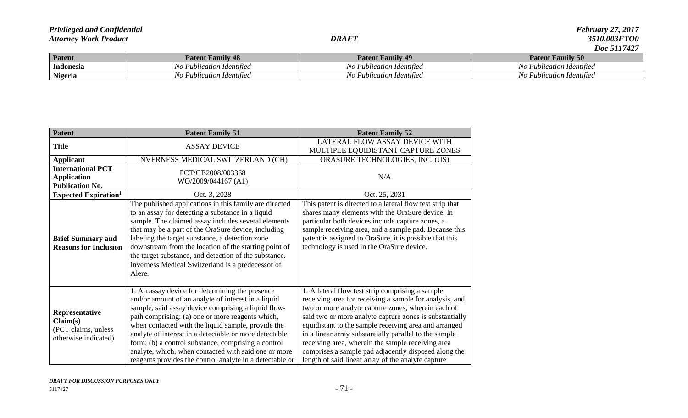# *Doc 5117427*

| <b>Patent</b>        | <b>Patent Family 48</b>                        | <b>Patent Family 49</b>                       | <b>Patent Family 50</b>       |
|----------------------|------------------------------------------------|-----------------------------------------------|-------------------------------|
| Indonesia            | $\cdot$ $\sim$<br>Publication Identified<br>Vо | $D_{11}$<br>cation Identitied<br>$\gamma$     | Publication Identified<br>VO. |
| <b>BY</b><br>Nigeria | $\cdot$ $\sim$<br>Publication Identified<br>NС | $\mathbf{D}_{11}$<br>cation Identified<br>'VG | Publication Identified<br>VO. |

| <b>Patent</b>                                                             | <b>Patent Family 51</b>                                                                                                                                                                                                                                                                                                                                                                                                                                                                                      | <b>Patent Family 52</b>                                                                                                                                                                                                                                                                                                                                                                                                                                                                                            |
|---------------------------------------------------------------------------|--------------------------------------------------------------------------------------------------------------------------------------------------------------------------------------------------------------------------------------------------------------------------------------------------------------------------------------------------------------------------------------------------------------------------------------------------------------------------------------------------------------|--------------------------------------------------------------------------------------------------------------------------------------------------------------------------------------------------------------------------------------------------------------------------------------------------------------------------------------------------------------------------------------------------------------------------------------------------------------------------------------------------------------------|
| <b>Title</b>                                                              | <b>ASSAY DEVICE</b>                                                                                                                                                                                                                                                                                                                                                                                                                                                                                          | LATERAL FLOW ASSAY DEVICE WITH<br>MULTIPLE EQUIDISTANT CAPTURE ZONES                                                                                                                                                                                                                                                                                                                                                                                                                                               |
| <b>Applicant</b>                                                          | INVERNESS MEDICAL SWITZERLAND (CH)                                                                                                                                                                                                                                                                                                                                                                                                                                                                           | ORASURE TECHNOLOGIES, INC. (US)                                                                                                                                                                                                                                                                                                                                                                                                                                                                                    |
| <b>International PCT</b><br><b>Application</b><br><b>Publication No.</b>  | PCT/GB2008/003368<br>WO/2009/044167 (A1)                                                                                                                                                                                                                                                                                                                                                                                                                                                                     | N/A                                                                                                                                                                                                                                                                                                                                                                                                                                                                                                                |
| <b>Expected Expiration</b> <sup>1</sup>                                   | Oct. 3, 2028                                                                                                                                                                                                                                                                                                                                                                                                                                                                                                 | Oct. 25, 2031                                                                                                                                                                                                                                                                                                                                                                                                                                                                                                      |
| <b>Brief Summary and</b><br><b>Reasons for Inclusion</b>                  | The published applications in this family are directed<br>to an assay for detecting a substance in a liquid<br>sample. The claimed assay includes several elements<br>that may be a part of the OraSure device, including<br>labeling the target substance, a detection zone<br>downstream from the location of the starting point of<br>the target substance, and detection of the substance.<br>Inverness Medical Switzerland is a predecessor of<br>Alere.                                                | This patent is directed to a lateral flow test strip that<br>shares many elements with the OraSure device. In<br>particular both devices include capture zones, a<br>sample receiving area, and a sample pad. Because this<br>patent is assigned to OraSure, it is possible that this<br>technology is used in the OraSure device.                                                                                                                                                                                 |
| Representative<br>Claim(s)<br>(PCT claims, unless<br>otherwise indicated) | 1. An assay device for determining the presence<br>and/or amount of an analyte of interest in a liquid<br>sample, said assay device comprising a liquid flow-<br>path comprising: (a) one or more reagents which,<br>when contacted with the liquid sample, provide the<br>analyte of interest in a detectable or more detectable<br>form; (b) a control substance, comprising a control<br>analyte, which, when contacted with said one or more<br>reagents provides the control analyte in a detectable or | 1. A lateral flow test strip comprising a sample<br>receiving area for receiving a sample for analysis, and<br>two or more analyte capture zones, wherein each of<br>said two or more analyte capture zones is substantially<br>equidistant to the sample receiving area and arranged<br>in a linear array substantially parallel to the sample<br>receiving area, wherein the sample receiving area<br>comprises a sample pad adjacently disposed along the<br>length of said linear array of the analyte capture |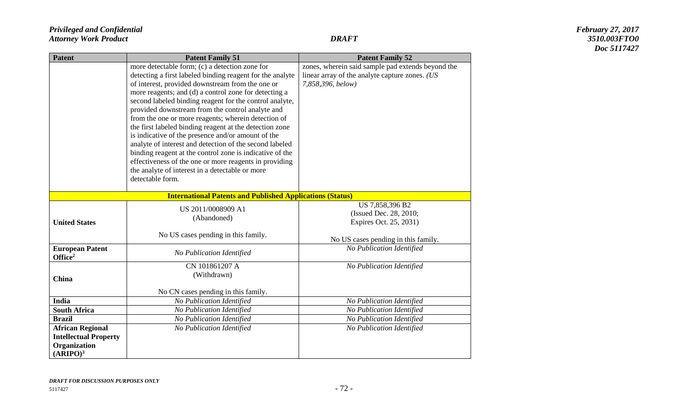*Doc 5117427*

| <b>Patent</b>                                                                                   | <b>Patent Family 51</b>                                                                                                                                                                                                                                                                                                                                                                                                                                                                                                                                                                                                                                                                                                                                                 | <b>Patent Family 52</b>                                                                                                  |
|-------------------------------------------------------------------------------------------------|-------------------------------------------------------------------------------------------------------------------------------------------------------------------------------------------------------------------------------------------------------------------------------------------------------------------------------------------------------------------------------------------------------------------------------------------------------------------------------------------------------------------------------------------------------------------------------------------------------------------------------------------------------------------------------------------------------------------------------------------------------------------------|--------------------------------------------------------------------------------------------------------------------------|
|                                                                                                 | more detectable form; (c) a detection zone for<br>detecting a first labeled binding reagent for the analyte<br>of interest, provided downstream from the one or<br>more reagents; and (d) a control zone for detecting a<br>second labeled binding reagent for the control analyte,<br>provided downstream from the control analyte and<br>from the one or more reagents; wherein detection of<br>the first labeled binding reagent at the detection zone<br>is indicative of the presence and/or amount of the<br>analyte of interest and detection of the second labeled<br>binding reagent at the control zone is indicative of the<br>effectiveness of the one or more reagents in providing<br>the analyte of interest in a detectable or more<br>detectable form. | zones, wherein said sample pad extends beyond the<br>linear array of the analyte capture zones. (US<br>7,858,396, below) |
|                                                                                                 | <b>International Patents and Published Applications (Status)</b>                                                                                                                                                                                                                                                                                                                                                                                                                                                                                                                                                                                                                                                                                                        |                                                                                                                          |
| <b>United States</b>                                                                            | US 2011/0008909 A1<br>(Abandoned)<br>No US cases pending in this family.                                                                                                                                                                                                                                                                                                                                                                                                                                                                                                                                                                                                                                                                                                | US 7,858,396 B2<br>(Issued Dec. 28, 2010;<br>Expires Oct. 25, 2031)<br>No US cases pending in this family.               |
| <b>European Patent</b><br>Office <sup>2</sup>                                                   | No Publication Identified                                                                                                                                                                                                                                                                                                                                                                                                                                                                                                                                                                                                                                                                                                                                               | No Publication Identified                                                                                                |
| China                                                                                           | CN 101861207 A<br>(Withdrawn)<br>No CN cases pending in this family.                                                                                                                                                                                                                                                                                                                                                                                                                                                                                                                                                                                                                                                                                                    | No Publication Identified                                                                                                |
| <b>India</b>                                                                                    | No Publication Identified                                                                                                                                                                                                                                                                                                                                                                                                                                                                                                                                                                                                                                                                                                                                               | No Publication Identified                                                                                                |
| <b>South Africa</b>                                                                             | No Publication Identified                                                                                                                                                                                                                                                                                                                                                                                                                                                                                                                                                                                                                                                                                                                                               | No Publication Identified                                                                                                |
| <b>Brazil</b>                                                                                   | No Publication Identified                                                                                                                                                                                                                                                                                                                                                                                                                                                                                                                                                                                                                                                                                                                                               | No Publication Identified                                                                                                |
| <b>African Regional</b><br><b>Intellectual Property</b><br>Organization<br>(ARIPO) <sup>3</sup> | No Publication Identified                                                                                                                                                                                                                                                                                                                                                                                                                                                                                                                                                                                                                                                                                                                                               | No Publication Identified                                                                                                |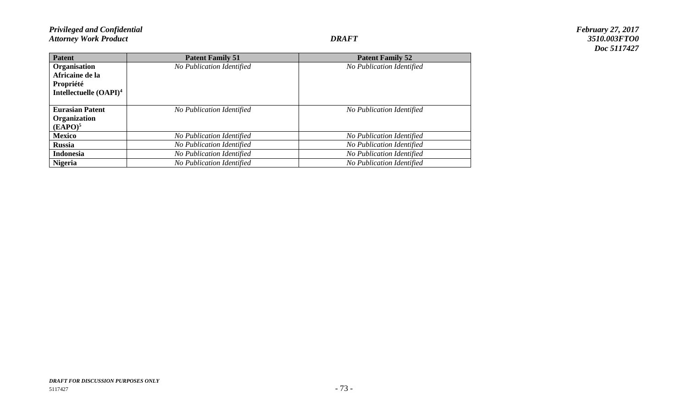*Doc 5117427*

| <b>Patent</b>                      | <b>Patent Family 51</b>   | <b>Patent Family 52</b>   |
|------------------------------------|---------------------------|---------------------------|
| Organisation                       | No Publication Identified | No Publication Identified |
| Africaine de la                    |                           |                           |
| Propriété                          |                           |                           |
| Intellectuelle (OAPI) <sup>4</sup> |                           |                           |
|                                    |                           |                           |
| <b>Eurasian Patent</b>             | No Publication Identified | No Publication Identified |
| Organization                       |                           |                           |
| (EAPO) <sup>5</sup>                |                           |                           |
| <b>Mexico</b>                      | No Publication Identified | No Publication Identified |
| <b>Russia</b>                      | No Publication Identified | No Publication Identified |
| <b>Indonesia</b>                   | No Publication Identified | No Publication Identified |
| <b>Nigeria</b>                     | No Publication Identified | No Publication Identified |